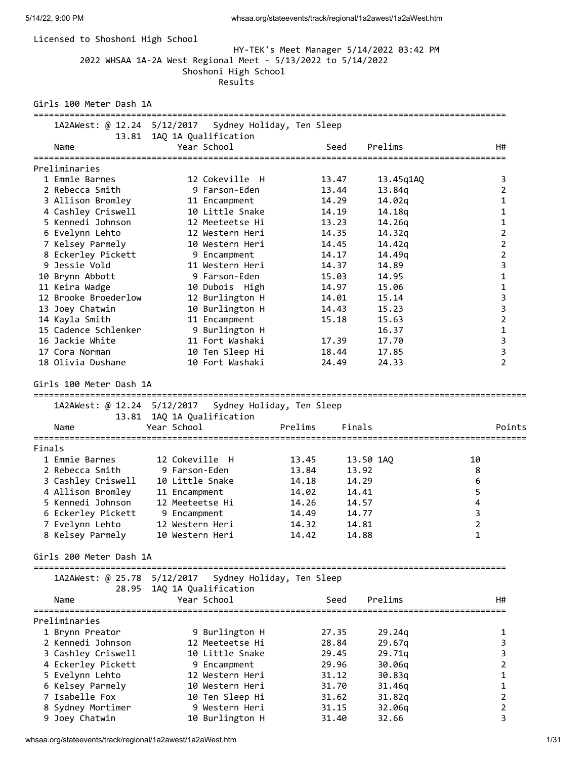| Licensed to Shoshoni High School<br>HY-TEK's Meet Manager 5/14/2022 03:42 PM<br>2022 WHSAA 1A-2A West Regional Meet - 5/13/2022 to 5/14/2022<br>Shoshoni High School<br>Results<br>Girls 100 Meter Dash 1A<br>1A2AWest: @ 12.24 5/12/2017<br>Sydney Holiday, Ten Sleep<br>13.81 1AQ 1A Qualification<br>Year School<br>Prelims<br>Seed<br>Name<br>Preliminaries<br>12 Cokeville H<br>1 Emmie Barnes<br>13.47<br>13.45q1AQ<br>2 Rebecca Smith<br>9 Farson-Eden<br>13.84q<br>13.44<br>3 Allison Bromley<br>11 Encampment<br>14.29<br>14.02q<br>4 Cashley Criswell<br>10 Little Snake<br>14.19<br>14.18g<br>5 Kennedi Johnson<br>12 Meeteetse Hi<br>13.23<br>14.26q<br>6 Evelynn Lehto<br>12 Western Heri<br>14.35<br>14.32g<br>7 Kelsey Parmely<br>10 Western Heri<br>14.45<br>14.42q<br>8 Eckerley Pickett<br>14.17<br>14.49q<br>9 Encampment<br>9 Jessie Vold<br>11 Western Heri<br>14.37<br>14.89<br>9 Farson-Eden<br>14.95<br>10 Brynn Abbott<br>15.03<br>11 Keira Wadge<br>10 Dubois High<br>14.97<br>15.06<br>12 Brooke Broederlow<br>12 Burlington H<br>14.01<br>15.14<br>10 Burlington H<br>15.23<br>13 Joey Chatwin<br>14.43<br>11 Encampment<br>14 Kayla Smith<br>15.18<br>15.63<br>15 Cadence Schlenker<br>9 Burlington H<br>16.37<br>16 Jackie White<br>11 Fort Washaki<br>17.70<br>17.39<br>10 Ten Sleep Hi<br>17.85<br>17 Cora Norman<br>18.44<br>18 Olivia Dushane<br>10 Fort Washaki<br>24.33<br>24.49<br>Girls 100 Meter Dash 1A<br>1A2AWest: @ 12.24 5/12/2017<br>Sydney Holiday, Ten Sleep<br>13.81 1AQ 1A Qualification<br>Year School<br>Prelims<br>Finals<br>Name<br>Finals<br>12 Cokeville H<br>13.45<br>13.50 1AQ<br>10<br>1 Emmie Barnes<br>2 Rebecca Smith<br>9 Farson-Eden<br>13.84<br>8<br>13.92<br>3 Cashley Criswell<br>10 Little Snake<br>14.18<br>14.29<br>6<br>5<br>4 Allison Bromley<br>14.02<br>14.41<br>11 Encampment<br>$\overline{\mathbf{4}}$<br>5 Kennedi Johnson<br>12 Meeteetse Hi<br>14.26<br>14.57<br>3<br>6 Eckerley Pickett<br>14.77<br>14.49<br>9 Encampment<br>$\overline{2}$<br>7 Evelynn Lehto<br>12 Western Heri<br>14.32<br>14.81<br>14.88<br>1<br>8 Kelsey Parmely<br>14.42<br>10 Western Heri<br>Girls 200 Meter Dash 1A<br>1A2AWest: @ 25.78 5/12/2017<br>Sydney Holiday, Ten Sleep<br>28.95 1AQ 1A Qualification<br>Year School<br>Prelims<br>Name<br>Seed<br>Preliminaries<br>1 Brynn Preator<br>9 Burlington H<br>27.35<br>29.24q<br>2 Kennedi Johnson<br>29.67q |                                                |        |                |
|--------------------------------------------------------------------------------------------------------------------------------------------------------------------------------------------------------------------------------------------------------------------------------------------------------------------------------------------------------------------------------------------------------------------------------------------------------------------------------------------------------------------------------------------------------------------------------------------------------------------------------------------------------------------------------------------------------------------------------------------------------------------------------------------------------------------------------------------------------------------------------------------------------------------------------------------------------------------------------------------------------------------------------------------------------------------------------------------------------------------------------------------------------------------------------------------------------------------------------------------------------------------------------------------------------------------------------------------------------------------------------------------------------------------------------------------------------------------------------------------------------------------------------------------------------------------------------------------------------------------------------------------------------------------------------------------------------------------------------------------------------------------------------------------------------------------------------------------------------------------------------------------------------------------------------------------------------------------------------------------------------------------------------------------------------------------------------------------------------------------------------------------------------------------------------------------------------------------------------------------------------------------------------------------------------------------------------------------------------------------------------------------------------------------------|------------------------------------------------|--------|----------------|
|                                                                                                                                                                                                                                                                                                                                                                                                                                                                                                                                                                                                                                                                                                                                                                                                                                                                                                                                                                                                                                                                                                                                                                                                                                                                                                                                                                                                                                                                                                                                                                                                                                                                                                                                                                                                                                                                                                                                                                                                                                                                                                                                                                                                                                                                                                                                                                                                                          |                                                |        |                |
|                                                                                                                                                                                                                                                                                                                                                                                                                                                                                                                                                                                                                                                                                                                                                                                                                                                                                                                                                                                                                                                                                                                                                                                                                                                                                                                                                                                                                                                                                                                                                                                                                                                                                                                                                                                                                                                                                                                                                                                                                                                                                                                                                                                                                                                                                                                                                                                                                          |                                                |        |                |
|                                                                                                                                                                                                                                                                                                                                                                                                                                                                                                                                                                                                                                                                                                                                                                                                                                                                                                                                                                                                                                                                                                                                                                                                                                                                                                                                                                                                                                                                                                                                                                                                                                                                                                                                                                                                                                                                                                                                                                                                                                                                                                                                                                                                                                                                                                                                                                                                                          |                                                |        |                |
|                                                                                                                                                                                                                                                                                                                                                                                                                                                                                                                                                                                                                                                                                                                                                                                                                                                                                                                                                                                                                                                                                                                                                                                                                                                                                                                                                                                                                                                                                                                                                                                                                                                                                                                                                                                                                                                                                                                                                                                                                                                                                                                                                                                                                                                                                                                                                                                                                          |                                                |        |                |
|                                                                                                                                                                                                                                                                                                                                                                                                                                                                                                                                                                                                                                                                                                                                                                                                                                                                                                                                                                                                                                                                                                                                                                                                                                                                                                                                                                                                                                                                                                                                                                                                                                                                                                                                                                                                                                                                                                                                                                                                                                                                                                                                                                                                                                                                                                                                                                                                                          |                                                |        |                |
|                                                                                                                                                                                                                                                                                                                                                                                                                                                                                                                                                                                                                                                                                                                                                                                                                                                                                                                                                                                                                                                                                                                                                                                                                                                                                                                                                                                                                                                                                                                                                                                                                                                                                                                                                                                                                                                                                                                                                                                                                                                                                                                                                                                                                                                                                                                                                                                                                          |                                                |        |                |
|                                                                                                                                                                                                                                                                                                                                                                                                                                                                                                                                                                                                                                                                                                                                                                                                                                                                                                                                                                                                                                                                                                                                                                                                                                                                                                                                                                                                                                                                                                                                                                                                                                                                                                                                                                                                                                                                                                                                                                                                                                                                                                                                                                                                                                                                                                                                                                                                                          |                                                |        | H#             |
|                                                                                                                                                                                                                                                                                                                                                                                                                                                                                                                                                                                                                                                                                                                                                                                                                                                                                                                                                                                                                                                                                                                                                                                                                                                                                                                                                                                                                                                                                                                                                                                                                                                                                                                                                                                                                                                                                                                                                                                                                                                                                                                                                                                                                                                                                                                                                                                                                          |                                                |        |                |
|                                                                                                                                                                                                                                                                                                                                                                                                                                                                                                                                                                                                                                                                                                                                                                                                                                                                                                                                                                                                                                                                                                                                                                                                                                                                                                                                                                                                                                                                                                                                                                                                                                                                                                                                                                                                                                                                                                                                                                                                                                                                                                                                                                                                                                                                                                                                                                                                                          |                                                |        | 3              |
|                                                                                                                                                                                                                                                                                                                                                                                                                                                                                                                                                                                                                                                                                                                                                                                                                                                                                                                                                                                                                                                                                                                                                                                                                                                                                                                                                                                                                                                                                                                                                                                                                                                                                                                                                                                                                                                                                                                                                                                                                                                                                                                                                                                                                                                                                                                                                                                                                          |                                                |        | 2              |
|                                                                                                                                                                                                                                                                                                                                                                                                                                                                                                                                                                                                                                                                                                                                                                                                                                                                                                                                                                                                                                                                                                                                                                                                                                                                                                                                                                                                                                                                                                                                                                                                                                                                                                                                                                                                                                                                                                                                                                                                                                                                                                                                                                                                                                                                                                                                                                                                                          |                                                |        | 1              |
|                                                                                                                                                                                                                                                                                                                                                                                                                                                                                                                                                                                                                                                                                                                                                                                                                                                                                                                                                                                                                                                                                                                                                                                                                                                                                                                                                                                                                                                                                                                                                                                                                                                                                                                                                                                                                                                                                                                                                                                                                                                                                                                                                                                                                                                                                                                                                                                                                          |                                                |        | 1              |
|                                                                                                                                                                                                                                                                                                                                                                                                                                                                                                                                                                                                                                                                                                                                                                                                                                                                                                                                                                                                                                                                                                                                                                                                                                                                                                                                                                                                                                                                                                                                                                                                                                                                                                                                                                                                                                                                                                                                                                                                                                                                                                                                                                                                                                                                                                                                                                                                                          |                                                |        | 1              |
|                                                                                                                                                                                                                                                                                                                                                                                                                                                                                                                                                                                                                                                                                                                                                                                                                                                                                                                                                                                                                                                                                                                                                                                                                                                                                                                                                                                                                                                                                                                                                                                                                                                                                                                                                                                                                                                                                                                                                                                                                                                                                                                                                                                                                                                                                                                                                                                                                          |                                                |        | $\overline{2}$ |
|                                                                                                                                                                                                                                                                                                                                                                                                                                                                                                                                                                                                                                                                                                                                                                                                                                                                                                                                                                                                                                                                                                                                                                                                                                                                                                                                                                                                                                                                                                                                                                                                                                                                                                                                                                                                                                                                                                                                                                                                                                                                                                                                                                                                                                                                                                                                                                                                                          |                                                |        | $\overline{2}$ |
|                                                                                                                                                                                                                                                                                                                                                                                                                                                                                                                                                                                                                                                                                                                                                                                                                                                                                                                                                                                                                                                                                                                                                                                                                                                                                                                                                                                                                                                                                                                                                                                                                                                                                                                                                                                                                                                                                                                                                                                                                                                                                                                                                                                                                                                                                                                                                                                                                          |                                                |        | $\overline{2}$ |
|                                                                                                                                                                                                                                                                                                                                                                                                                                                                                                                                                                                                                                                                                                                                                                                                                                                                                                                                                                                                                                                                                                                                                                                                                                                                                                                                                                                                                                                                                                                                                                                                                                                                                                                                                                                                                                                                                                                                                                                                                                                                                                                                                                                                                                                                                                                                                                                                                          |                                                |        | 3              |
|                                                                                                                                                                                                                                                                                                                                                                                                                                                                                                                                                                                                                                                                                                                                                                                                                                                                                                                                                                                                                                                                                                                                                                                                                                                                                                                                                                                                                                                                                                                                                                                                                                                                                                                                                                                                                                                                                                                                                                                                                                                                                                                                                                                                                                                                                                                                                                                                                          |                                                |        | 1              |
|                                                                                                                                                                                                                                                                                                                                                                                                                                                                                                                                                                                                                                                                                                                                                                                                                                                                                                                                                                                                                                                                                                                                                                                                                                                                                                                                                                                                                                                                                                                                                                                                                                                                                                                                                                                                                                                                                                                                                                                                                                                                                                                                                                                                                                                                                                                                                                                                                          |                                                |        | 1              |
|                                                                                                                                                                                                                                                                                                                                                                                                                                                                                                                                                                                                                                                                                                                                                                                                                                                                                                                                                                                                                                                                                                                                                                                                                                                                                                                                                                                                                                                                                                                                                                                                                                                                                                                                                                                                                                                                                                                                                                                                                                                                                                                                                                                                                                                                                                                                                                                                                          |                                                |        | 3              |
|                                                                                                                                                                                                                                                                                                                                                                                                                                                                                                                                                                                                                                                                                                                                                                                                                                                                                                                                                                                                                                                                                                                                                                                                                                                                                                                                                                                                                                                                                                                                                                                                                                                                                                                                                                                                                                                                                                                                                                                                                                                                                                                                                                                                                                                                                                                                                                                                                          |                                                |        | 3              |
|                                                                                                                                                                                                                                                                                                                                                                                                                                                                                                                                                                                                                                                                                                                                                                                                                                                                                                                                                                                                                                                                                                                                                                                                                                                                                                                                                                                                                                                                                                                                                                                                                                                                                                                                                                                                                                                                                                                                                                                                                                                                                                                                                                                                                                                                                                                                                                                                                          |                                                |        | $\overline{2}$ |
|                                                                                                                                                                                                                                                                                                                                                                                                                                                                                                                                                                                                                                                                                                                                                                                                                                                                                                                                                                                                                                                                                                                                                                                                                                                                                                                                                                                                                                                                                                                                                                                                                                                                                                                                                                                                                                                                                                                                                                                                                                                                                                                                                                                                                                                                                                                                                                                                                          |                                                |        | $\mathbf{1}$   |
|                                                                                                                                                                                                                                                                                                                                                                                                                                                                                                                                                                                                                                                                                                                                                                                                                                                                                                                                                                                                                                                                                                                                                                                                                                                                                                                                                                                                                                                                                                                                                                                                                                                                                                                                                                                                                                                                                                                                                                                                                                                                                                                                                                                                                                                                                                                                                                                                                          |                                                |        | 3              |
|                                                                                                                                                                                                                                                                                                                                                                                                                                                                                                                                                                                                                                                                                                                                                                                                                                                                                                                                                                                                                                                                                                                                                                                                                                                                                                                                                                                                                                                                                                                                                                                                                                                                                                                                                                                                                                                                                                                                                                                                                                                                                                                                                                                                                                                                                                                                                                                                                          |                                                |        | 3              |
|                                                                                                                                                                                                                                                                                                                                                                                                                                                                                                                                                                                                                                                                                                                                                                                                                                                                                                                                                                                                                                                                                                                                                                                                                                                                                                                                                                                                                                                                                                                                                                                                                                                                                                                                                                                                                                                                                                                                                                                                                                                                                                                                                                                                                                                                                                                                                                                                                          |                                                |        | $\overline{2}$ |
|                                                                                                                                                                                                                                                                                                                                                                                                                                                                                                                                                                                                                                                                                                                                                                                                                                                                                                                                                                                                                                                                                                                                                                                                                                                                                                                                                                                                                                                                                                                                                                                                                                                                                                                                                                                                                                                                                                                                                                                                                                                                                                                                                                                                                                                                                                                                                                                                                          |                                                |        |                |
|                                                                                                                                                                                                                                                                                                                                                                                                                                                                                                                                                                                                                                                                                                                                                                                                                                                                                                                                                                                                                                                                                                                                                                                                                                                                                                                                                                                                                                                                                                                                                                                                                                                                                                                                                                                                                                                                                                                                                                                                                                                                                                                                                                                                                                                                                                                                                                                                                          |                                                |        |                |
|                                                                                                                                                                                                                                                                                                                                                                                                                                                                                                                                                                                                                                                                                                                                                                                                                                                                                                                                                                                                                                                                                                                                                                                                                                                                                                                                                                                                                                                                                                                                                                                                                                                                                                                                                                                                                                                                                                                                                                                                                                                                                                                                                                                                                                                                                                                                                                                                                          |                                                |        |                |
|                                                                                                                                                                                                                                                                                                                                                                                                                                                                                                                                                                                                                                                                                                                                                                                                                                                                                                                                                                                                                                                                                                                                                                                                                                                                                                                                                                                                                                                                                                                                                                                                                                                                                                                                                                                                                                                                                                                                                                                                                                                                                                                                                                                                                                                                                                                                                                                                                          |                                                |        | Points         |
|                                                                                                                                                                                                                                                                                                                                                                                                                                                                                                                                                                                                                                                                                                                                                                                                                                                                                                                                                                                                                                                                                                                                                                                                                                                                                                                                                                                                                                                                                                                                                                                                                                                                                                                                                                                                                                                                                                                                                                                                                                                                                                                                                                                                                                                                                                                                                                                                                          |                                                |        |                |
|                                                                                                                                                                                                                                                                                                                                                                                                                                                                                                                                                                                                                                                                                                                                                                                                                                                                                                                                                                                                                                                                                                                                                                                                                                                                                                                                                                                                                                                                                                                                                                                                                                                                                                                                                                                                                                                                                                                                                                                                                                                                                                                                                                                                                                                                                                                                                                                                                          |                                                |        |                |
|                                                                                                                                                                                                                                                                                                                                                                                                                                                                                                                                                                                                                                                                                                                                                                                                                                                                                                                                                                                                                                                                                                                                                                                                                                                                                                                                                                                                                                                                                                                                                                                                                                                                                                                                                                                                                                                                                                                                                                                                                                                                                                                                                                                                                                                                                                                                                                                                                          |                                                |        |                |
|                                                                                                                                                                                                                                                                                                                                                                                                                                                                                                                                                                                                                                                                                                                                                                                                                                                                                                                                                                                                                                                                                                                                                                                                                                                                                                                                                                                                                                                                                                                                                                                                                                                                                                                                                                                                                                                                                                                                                                                                                                                                                                                                                                                                                                                                                                                                                                                                                          |                                                |        |                |
|                                                                                                                                                                                                                                                                                                                                                                                                                                                                                                                                                                                                                                                                                                                                                                                                                                                                                                                                                                                                                                                                                                                                                                                                                                                                                                                                                                                                                                                                                                                                                                                                                                                                                                                                                                                                                                                                                                                                                                                                                                                                                                                                                                                                                                                                                                                                                                                                                          |                                                |        |                |
|                                                                                                                                                                                                                                                                                                                                                                                                                                                                                                                                                                                                                                                                                                                                                                                                                                                                                                                                                                                                                                                                                                                                                                                                                                                                                                                                                                                                                                                                                                                                                                                                                                                                                                                                                                                                                                                                                                                                                                                                                                                                                                                                                                                                                                                                                                                                                                                                                          |                                                |        |                |
|                                                                                                                                                                                                                                                                                                                                                                                                                                                                                                                                                                                                                                                                                                                                                                                                                                                                                                                                                                                                                                                                                                                                                                                                                                                                                                                                                                                                                                                                                                                                                                                                                                                                                                                                                                                                                                                                                                                                                                                                                                                                                                                                                                                                                                                                                                                                                                                                                          |                                                |        |                |
|                                                                                                                                                                                                                                                                                                                                                                                                                                                                                                                                                                                                                                                                                                                                                                                                                                                                                                                                                                                                                                                                                                                                                                                                                                                                                                                                                                                                                                                                                                                                                                                                                                                                                                                                                                                                                                                                                                                                                                                                                                                                                                                                                                                                                                                                                                                                                                                                                          |                                                |        |                |
|                                                                                                                                                                                                                                                                                                                                                                                                                                                                                                                                                                                                                                                                                                                                                                                                                                                                                                                                                                                                                                                                                                                                                                                                                                                                                                                                                                                                                                                                                                                                                                                                                                                                                                                                                                                                                                                                                                                                                                                                                                                                                                                                                                                                                                                                                                                                                                                                                          |                                                |        |                |
|                                                                                                                                                                                                                                                                                                                                                                                                                                                                                                                                                                                                                                                                                                                                                                                                                                                                                                                                                                                                                                                                                                                                                                                                                                                                                                                                                                                                                                                                                                                                                                                                                                                                                                                                                                                                                                                                                                                                                                                                                                                                                                                                                                                                                                                                                                                                                                                                                          |                                                |        |                |
|                                                                                                                                                                                                                                                                                                                                                                                                                                                                                                                                                                                                                                                                                                                                                                                                                                                                                                                                                                                                                                                                                                                                                                                                                                                                                                                                                                                                                                                                                                                                                                                                                                                                                                                                                                                                                                                                                                                                                                                                                                                                                                                                                                                                                                                                                                                                                                                                                          |                                                |        |                |
|                                                                                                                                                                                                                                                                                                                                                                                                                                                                                                                                                                                                                                                                                                                                                                                                                                                                                                                                                                                                                                                                                                                                                                                                                                                                                                                                                                                                                                                                                                                                                                                                                                                                                                                                                                                                                                                                                                                                                                                                                                                                                                                                                                                                                                                                                                                                                                                                                          |                                                |        | H#             |
|                                                                                                                                                                                                                                                                                                                                                                                                                                                                                                                                                                                                                                                                                                                                                                                                                                                                                                                                                                                                                                                                                                                                                                                                                                                                                                                                                                                                                                                                                                                                                                                                                                                                                                                                                                                                                                                                                                                                                                                                                                                                                                                                                                                                                                                                                                                                                                                                                          |                                                |        |                |
|                                                                                                                                                                                                                                                                                                                                                                                                                                                                                                                                                                                                                                                                                                                                                                                                                                                                                                                                                                                                                                                                                                                                                                                                                                                                                                                                                                                                                                                                                                                                                                                                                                                                                                                                                                                                                                                                                                                                                                                                                                                                                                                                                                                                                                                                                                                                                                                                                          |                                                |        |                |
|                                                                                                                                                                                                                                                                                                                                                                                                                                                                                                                                                                                                                                                                                                                                                                                                                                                                                                                                                                                                                                                                                                                                                                                                                                                                                                                                                                                                                                                                                                                                                                                                                                                                                                                                                                                                                                                                                                                                                                                                                                                                                                                                                                                                                                                                                                                                                                                                                          |                                                |        | 1              |
|                                                                                                                                                                                                                                                                                                                                                                                                                                                                                                                                                                                                                                                                                                                                                                                                                                                                                                                                                                                                                                                                                                                                                                                                                                                                                                                                                                                                                                                                                                                                                                                                                                                                                                                                                                                                                                                                                                                                                                                                                                                                                                                                                                                                                                                                                                                                                                                                                          |                                                |        | 3              |
|                                                                                                                                                                                                                                                                                                                                                                                                                                                                                                                                                                                                                                                                                                                                                                                                                                                                                                                                                                                                                                                                                                                                                                                                                                                                                                                                                                                                                                                                                                                                                                                                                                                                                                                                                                                                                                                                                                                                                                                                                                                                                                                                                                                                                                                                                                                                                                                                                          | 12 Meeteetse Hi<br>28.84                       |        | 3              |
|                                                                                                                                                                                                                                                                                                                                                                                                                                                                                                                                                                                                                                                                                                                                                                                                                                                                                                                                                                                                                                                                                                                                                                                                                                                                                                                                                                                                                                                                                                                                                                                                                                                                                                                                                                                                                                                                                                                                                                                                                                                                                                                                                                                                                                                                                                                                                                                                                          | 3 Cashley Criswell<br>10 Little Snake<br>29.45 | 29.71q |                |
|                                                                                                                                                                                                                                                                                                                                                                                                                                                                                                                                                                                                                                                                                                                                                                                                                                                                                                                                                                                                                                                                                                                                                                                                                                                                                                                                                                                                                                                                                                                                                                                                                                                                                                                                                                                                                                                                                                                                                                                                                                                                                                                                                                                                                                                                                                                                                                                                                          | 4 Eckerley Pickett<br>29.96<br>9 Encampment    | 30.06q | 2              |
|                                                                                                                                                                                                                                                                                                                                                                                                                                                                                                                                                                                                                                                                                                                                                                                                                                                                                                                                                                                                                                                                                                                                                                                                                                                                                                                                                                                                                                                                                                                                                                                                                                                                                                                                                                                                                                                                                                                                                                                                                                                                                                                                                                                                                                                                                                                                                                                                                          | 5 Evelynn Lehto<br>12 Western Heri<br>31.12    | 30.83q | 1              |
|                                                                                                                                                                                                                                                                                                                                                                                                                                                                                                                                                                                                                                                                                                                                                                                                                                                                                                                                                                                                                                                                                                                                                                                                                                                                                                                                                                                                                                                                                                                                                                                                                                                                                                                                                                                                                                                                                                                                                                                                                                                                                                                                                                                                                                                                                                                                                                                                                          | 31.70<br>6 Kelsey Parmely<br>10 Western Heri   | 31.46q | 1              |
| 9 Joey Chatwin<br>10 Burlington H<br>31.40<br>32.66                                                                                                                                                                                                                                                                                                                                                                                                                                                                                                                                                                                                                                                                                                                                                                                                                                                                                                                                                                                                                                                                                                                                                                                                                                                                                                                                                                                                                                                                                                                                                                                                                                                                                                                                                                                                                                                                                                                                                                                                                                                                                                                                                                                                                                                                                                                                                                      | 7 Isabelle Fox<br>10 Ten Sleep Hi<br>31.62     | 31.82q | 2<br>2         |
| 9 Western Heri<br>8 Sydney Mortimer<br>32.06q<br>31.15                                                                                                                                                                                                                                                                                                                                                                                                                                                                                                                                                                                                                                                                                                                                                                                                                                                                                                                                                                                                                                                                                                                                                                                                                                                                                                                                                                                                                                                                                                                                                                                                                                                                                                                                                                                                                                                                                                                                                                                                                                                                                                                                                                                                                                                                                                                                                                   |                                                |        |                |

whsaa.org/stateevents/track/regional/1a2awest/1a2aWest.htm 1/31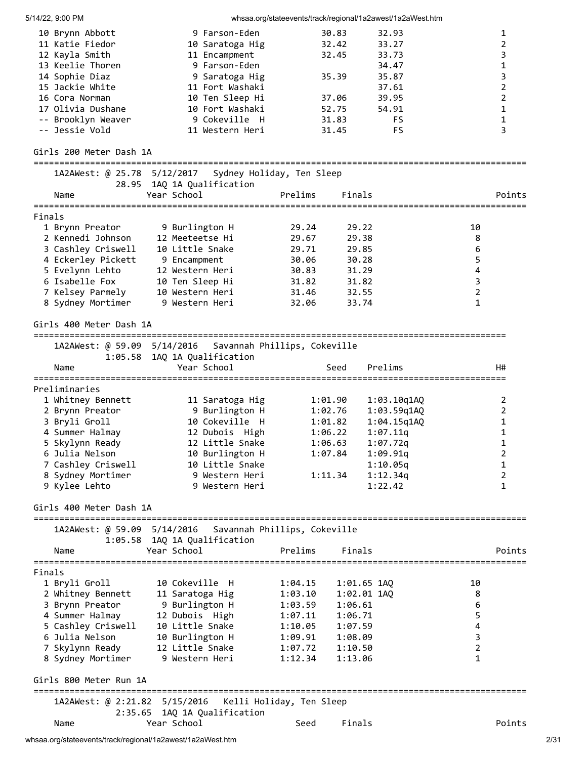| 10 Brynn Abbott    | 9 Farson-Eden   | 30.83 | 32.93 |  |
|--------------------|-----------------|-------|-------|--|
| 11 Katie Fiedor    | 10 Saratoga Hig | 32.42 | 33.27 |  |
| 12 Kayla Smith     | 11 Encampment   | 32.45 | 33.73 |  |
| 13 Keelie Thoren   | 9 Farson-Eden   |       | 34.47 |  |
| 14 Sophie Diaz     | 9 Saratoga Hig  | 35.39 | 35.87 |  |
| 15 Jackie White    | 11 Fort Washaki |       | 37.61 |  |
| 16 Cora Norman     | 10 Ten Sleep Hi | 37.06 | 39.95 |  |
| 17 Olivia Dushane  | 10 Fort Washaki | 52.75 | 54.91 |  |
| -- Brooklyn Weaver | 9 Cokeville H   | 31.83 | FS    |  |
| -- Jessie Vold     | 11 Western Heri | 31.45 | FS    |  |

### Girls 200 Meter Dash 1A

================================================================================================ 1A2AWest: @ 25.78 5/12/2017 Sydney Holiday, Ten Sleep 28.95 1AQ 1A Qualification Name Year School Prelims Finals Points ================================================================================================ Finals 1 Brynn Preator 9 Burlington H 29.24 29.22 10 2 Kennedi Johnson 12 Meeteetse Hi 29.67 29.38 8 3 Cashley Criswell 10 Little Snake 29.71 29.85 6 4 Eckerley Pickett 9 Encampment 30.06 30.28 5 5 Evelynn Lehto 12 Western Heri 30.83 31.29 4 6 Isabelle Fox 10 Ten Sleep Hi 31.82 31.82 3 7 Kelsey Parmely 10 Western Heri 31.46 32.55 2 8 Sydney Mortimer 9 Western Heri 32.06 33.74 1

#### Girls 400 Meter Dash 1A

#### ============================================================================================

|  |  | 1A2AWest: @ 59.09 5/14/2016 Savannah Phillips, Cokeville |  |
|--|--|----------------------------------------------------------|--|
|--|--|----------------------------------------------------------|--|

| Name               | 1:05.58 1AQ 1A Qualification | Year School     | Seed    | Prelims     | H# |
|--------------------|------------------------------|-----------------|---------|-------------|----|
|                    |                              |                 |         |             |    |
| Preliminaries      |                              |                 |         |             |    |
| 1 Whitney Bennett  |                              | 11 Saratoga Hig | 1:01.90 | 1:03.10q1AQ |    |
| 2 Brynn Preator    |                              | 9 Burlington H  | 1:02.76 | 1:03.59q1AQ |    |
| 3 Bryli Groll      |                              | 10 Cokeville H  | 1:01.82 | 1:04.15q1A0 |    |
| 4 Summer Halmay    |                              | 12 Dubois High  | 1:06.22 | 1:07.11q    |    |
| 5 Skylynn Ready    |                              | 12 Little Snake | 1:06.63 | 1:07.72g    |    |
| 6 Julia Nelson     |                              | 10 Burlington H | 1:07.84 | 1:09.91q    |    |
| 7 Cashley Criswell |                              | 10 Little Snake |         | 1:10.05q    |    |
| 8 Sydney Mortimer  |                              | 9 Western Heri  | 1:11.34 | 1:12.34q    |    |
| 9 Kylee Lehto      |                              | 9 Western Heri  |         | 1:22.42     |    |

Girls 400 Meter Dash 1A

|                        | 1A2AWest: @ 59.09 5/14/2016 Savannah Phillips, Cokeville<br>1:05.58 1AQ 1A Qualification |         |             |        |
|------------------------|------------------------------------------------------------------------------------------|---------|-------------|--------|
| Name                   | Year School <b>Prelims</b> Finals                                                        |         |             | Points |
| Finals                 |                                                                                          |         |             |        |
|                        | 1 Bryli Groll 10 Cokeville H                                                             | 1:04.15 | 1:01.65 1AQ | 10     |
| 2 Whitney Bennett      | 11 Saratoga Hig                                                                          | 1:03.10 | 1:02.01 1AO | 8      |
| 3 Brynn Preator        | 9 Burlington H                                                                           | 1:03.59 | 1:06.61     | 6      |
|                        | 4 Summer Halmay 12 Dubois High                                                           | 1:07.11 | 1:06.71     | 5      |
| 5 Cashley Criswell     | 10 Little Snake                                                                          | 1:10.05 | 1:07.59     | 4      |
| 6 Julia Nelson         | 10 Burlington H                                                                          | 1:09.91 | 1:08.09     | 3      |
|                        | 7 Skylynn Ready 12 Little Snake                                                          | 1:07.72 | 1:10.50     | 2      |
| 8 Sydney Mortimer      | 9 Western Heri                                                                           | 1:12.34 | 1:13.06     |        |
| Girls 800 Meter Run 1A |                                                                                          |         |             |        |
|                        | 1A2AWest: @ 2:21.82 5/15/2016 Kelli Holiday, Ten Sleep                                   |         |             |        |
|                        | 2:35.65 1AQ 1A Qualification                                                             |         |             |        |
| Name                   | Year School                                                                              | Seed    | Finals      | Points |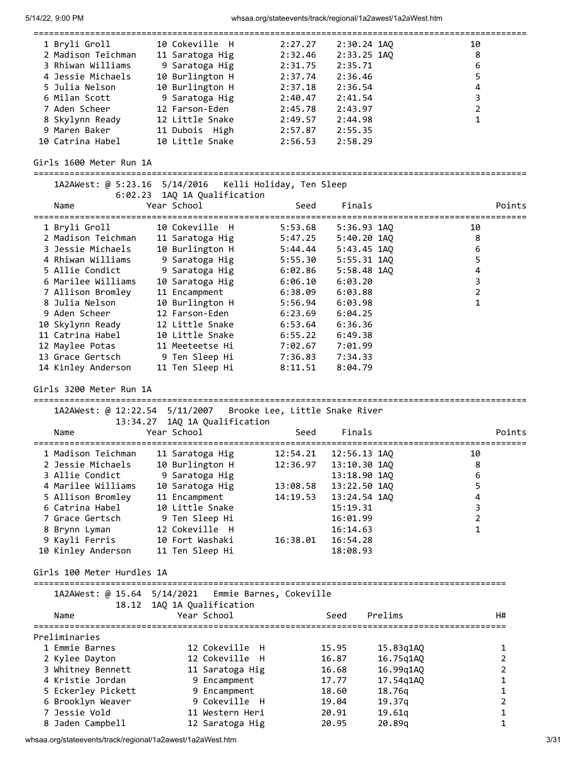| 1 Bryli Groll      | 10 Cokeville H  | 2:27.27 | 2:30.24 1AO | 10 |
|--------------------|-----------------|---------|-------------|----|
| 2 Madison Teichman | 11 Saratoga Hig | 2:32.46 | 2:33.25 1AO | 8  |
| 3 Rhiwan Williams  | 9 Saratoga Hig  | 2:31.75 | 2:35.71     | 6  |
| 4 Jessie Michaels  | 10 Burlington H | 2:37.74 | 2:36.46     |    |
| 5 Julia Nelson     | 10 Burlington H | 2:37.18 | 2:36.54     | 4  |
| 6 Milan Scott      | 9 Saratoga Hig  | 2:40.47 | 2:41.54     |    |
| 7 Aden Scheer      | 12 Farson-Eden  | 2:45.78 | 2:43.97     |    |
| 8 Skylynn Ready    | 12 Little Snake | 2:49.57 | 2:44.98     |    |
| 9 Maren Baker      | 11 Dubois High  | 2:57.87 | 2:55.35     |    |
| 10 Catrina Habel   | 10 Little Snake | 2:56.53 | 2:58.29     |    |
|                    |                 |         |             |    |

## Girls 1600 Meter Run 1A

| 1A2AWest: @ 5:23.16 5/14/2016          |                                                                                                               | Kelli Holiday, Ten Sleep |                            |           |                |        |
|----------------------------------------|---------------------------------------------------------------------------------------------------------------|--------------------------|----------------------------|-----------|----------------|--------|
| Name                                   | 6:02.23 1AQ 1A Qualification<br>Year School                                                                   | Seed                     | Finals                     |           |                | Points |
|                                        |                                                                                                               |                          |                            |           |                |        |
| 1 Bryli Groll                          | 10 Cokeville H                                                                                                | 5:53.68                  | 5:36.93 1AO                |           | 10             |        |
| 2 Madison Teichman                     | 11 Saratoga Hig                                                                                               | 5:47.25                  | 5:40.20 1AQ                |           | 8              |        |
| 3 Jessie Michaels<br>4 Rhiwan Williams | 10 Burlington H<br>9 Saratoga Hig                                                                             | 5:44.44<br>5:55.30       | 5:43.45 1AQ<br>5:55.31 1AQ |           | 6<br>5         |        |
| 5 Allie Condict                        | 9 Saratoga Hig                                                                                                | 6:02.86                  | 5:58.48 1AQ                |           | 4              |        |
| 6 Marilee Williams                     | 10 Saratoga Hig                                                                                               | 6:06.10                  | 6:03.20                    |           | 3              |        |
| 7 Allison Bromley                      | 11 Encampment                                                                                                 | 6:38.09                  | 6:03.88                    |           | $\overline{2}$ |        |
| 8 Julia Nelson                         | 10 Burlington H                                                                                               | 5:56.94                  | 6:03.98                    |           | $\mathbf{1}$   |        |
| 9 Aden Scheer                          | 12 Farson-Eden                                                                                                | 6:23.69                  | 6:04.25                    |           |                |        |
| 10 Skylynn Ready                       | 12 Little Snake                                                                                               | 6:53.64                  | 6:36.36                    |           |                |        |
| 11 Catrina Habel                       | 10 Little Snake                                                                                               | 6:55.22                  | 6:49.38                    |           |                |        |
| 12 Maylee Potas                        | 11 Meeteetse Hi                                                                                               | 7:02.67                  | 7:01.99                    |           |                |        |
| 13 Grace Gertsch                       | 9 Ten Sleep Hi                                                                                                | 7:36.83                  | 7:34.33                    |           |                |        |
| 14 Kinley Anderson                     | 11 Ten Sleep Hi                                                                                               | 8:11.51                  | 8:04.79                    |           |                |        |
| Girls 3200 Meter Run 1A                |                                                                                                               |                          |                            |           |                |        |
|                                        | 1A2AWest: @ 12:22.54                5/11/2007                                  Brooke Lee, Little Snake River |                          |                            |           |                |        |
|                                        | 13:34.27 1AQ 1A Qualification                                                                                 |                          |                            |           |                |        |
| Name                                   | Year School<br>--------                                                                                       | Seed                     | Finals                     |           |                | Points |
| 1 Madison Teichman                     | 11 Saratoga Hig                                                                                               | 12:54.21                 | 12:56.13 1AQ               |           | 10             |        |
| 2 Jessie Michaels                      | 10 Burlington H                                                                                               | 12:36.97                 | 13:10.30 1AQ               |           | 8              |        |
| 3 Allie Condict                        | 9 Saratoga Hig                                                                                                |                          | 13:18.90 1AQ               |           | 6              |        |
| 4 Marilee Williams                     | 10 Saratoga Hig                                                                                               | 13:08.58                 | 13:22.50 1AQ               |           | 5              |        |
| 5 Allison Bromley                      | 11 Encampment                                                                                                 | 14:19.53                 | 13:24.54 1AQ               |           | 4              |        |
| 6 Catrina Habel                        | 10 Little Snake                                                                                               |                          | 15:19.31                   |           | 3              |        |
| 7 Grace Gertsch                        | 9 Ten Sleep Hi                                                                                                |                          | 16:01.99                   |           | $\overline{2}$ |        |
| 8 Brynn Lyman                          | 12 Cokeville H                                                                                                |                          | 16:14.63                   |           | $\mathbf{1}$   |        |
| 9 Kayli Ferris                         | 10 Fort Washaki                                                                                               | 16:38.01                 | 16:54.28                   |           |                |        |
| 10 Kinley Anderson                     | 11 Ten Sleep Hi                                                                                               |                          | 18:08.93                   |           |                |        |
| Girls 100 Meter Hurdles 1A             |                                                                                                               |                          |                            |           |                |        |
| 1A2AWest: @ 15.64 5/14/2021            |                                                                                                               | Emmie Barnes, Cokeville  |                            |           |                |        |
| 18.12                                  | 1AQ 1A Qualification                                                                                          |                          |                            |           |                |        |
| Name                                   | Year School                                                                                                   |                          | Seed                       | Prelims   |                | H#     |
| Preliminaries                          |                                                                                                               |                          |                            |           |                |        |
| 1 Emmie Barnes                         | 12 Cokeville H                                                                                                |                          | 15.95                      | 15.83q1AQ |                | 1      |
| 2 Kylee Dayton                         | 12 Cokeville                                                                                                  | - H                      | 16.87                      | 16.75q1AQ |                | 2      |
| 3 Whitney Bennett                      | 11 Saratoga Hig                                                                                               |                          | 16.68                      | 16.99q1AQ |                | 2      |
| 4 Kristie Jordan                       | 9 Encampment                                                                                                  |                          | 17.77                      | 17.54q1AQ |                | 1      |
| 5 Eckerley Pickett                     | 9 Encampment                                                                                                  |                          | 18.60                      | 18.76q    |                | 1      |
| 6 Brooklyn Weaver                      | 9 Cokeville H                                                                                                 |                          | 19.04                      | 19.37q    |                | 2      |
| 7 Jessie Vold                          | 11 Western Heri                                                                                               |                          | 20.91                      | 19.61q    |                | 1      |
| 8 Jaden Campbell                       | 12 Saratoga Hig                                                                                               |                          | 20.95                      | 20.89q    |                | 1      |

whsaa.org/stateevents/track/regional/1a2awest/1a2aWest.htm 3/31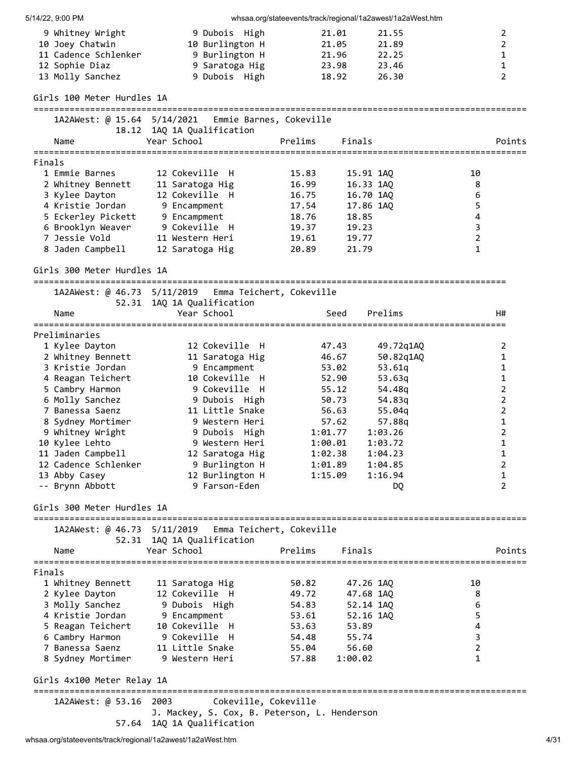| 5/14/22, 9:00 PM |  |
|------------------|--|
|                  |  |

| /14/22, 9:00 PM                                                                                   |                                                                                       | whsaa.org/stateevents/track/regional/1a2awest/1a2aWest.htm                             |                                                                         |
|---------------------------------------------------------------------------------------------------|---------------------------------------------------------------------------------------|----------------------------------------------------------------------------------------|-------------------------------------------------------------------------|
| 9 Whitney Wright<br>10 Joey Chatwin<br>11 Cadence Schlenker<br>12 Sophie Diaz<br>13 Molly Sanchez | 9 Dubois High<br>10 Burlington H<br>9 Burlington H<br>9 Saratoga Hig<br>9 Dubois High | 21.01<br>21.55<br>21.05<br>21.89<br>21.96<br>22.25<br>23.98<br>23.46<br>18.92<br>26.30 | $\overline{2}$<br>$\overline{2}$<br>$\mathbf{1}$<br>1<br>$\overline{2}$ |
| Girls 100 Meter Hurdles 1A                                                                        |                                                                                       |                                                                                        |                                                                         |
| 1A2AWest: @ 15.64 5/14/2021                                                                       |                                                                                       | Emmie Barnes, Cokeville                                                                |                                                                         |
|                                                                                                   | 18.12 1AQ 1A Qualification                                                            |                                                                                        |                                                                         |
| Name                                                                                              | Year School                                                                           | Prelims<br>Finals                                                                      | Points                                                                  |
| Finals                                                                                            |                                                                                       |                                                                                        |                                                                         |
| 1 Emmie Barnes                                                                                    | 12 Cokeville<br>H                                                                     | 15.83<br>15.91 1AQ                                                                     | 10                                                                      |
| 2 Whitney Bennett                                                                                 | 11 Saratoga Hig                                                                       | 16.99<br>16.33 1AQ                                                                     | 8                                                                       |
| 3 Kylee Dayton                                                                                    | 12 Cokeville H                                                                        | 16.75<br>16.70 1AQ                                                                     | 6                                                                       |
| 4 Kristie Jordan                                                                                  | 9 Encampment                                                                          | 17.54<br>17.86 1AQ                                                                     | 5                                                                       |
| 5 Eckerley Pickett                                                                                | 9 Encampment                                                                          | 18.76<br>18.85                                                                         | 4                                                                       |
| 6 Brooklyn Weaver                                                                                 | 9 Cokeville H                                                                         | 19.37<br>19.23                                                                         | 3                                                                       |
| 7 Jessie Vold                                                                                     | 11 Western Heri                                                                       | 19.61<br>19.77                                                                         | $\overline{2}$                                                          |
| 8 Jaden Campbell                                                                                  | 12 Saratoga Hig                                                                       | 20.89<br>21.79                                                                         | 1                                                                       |
| Girls 300 Meter Hurdles 1A<br>=================================                                   |                                                                                       |                                                                                        |                                                                         |
|                                                                                                   |                                                                                       |                                                                                        |                                                                         |
| 52.31                                                                                             | 1AQ 1A Qualification                                                                  |                                                                                        |                                                                         |
| Name                                                                                              | Year School                                                                           | Prelims<br>Seed                                                                        | H#                                                                      |
|                                                                                                   |                                                                                       |                                                                                        |                                                                         |
| Preliminaries                                                                                     | 12 Cokeville H                                                                        | 47.43                                                                                  |                                                                         |
| 1 Kylee Dayton<br>2 Whitney Bennett                                                               | 11 Saratoga Hig                                                                       | 49.72q1AQ<br>46.67<br>50.82q1AQ                                                        | 2<br>$\mathbf{1}$                                                       |
| 3 Kristie Jordan                                                                                  | 9 Encampment                                                                          | 53.02<br>53.61q                                                                        | $\mathbf{1}$                                                            |
| 4 Reagan Teichert                                                                                 | 10 Cokeville H                                                                        | 52.90<br>53.63q                                                                        | $\mathbf{1}$                                                            |
| 5 Cambry Harmon                                                                                   | 9 Cokeville H                                                                         | 55.12<br>54.48q                                                                        | 2                                                                       |
| 6 Molly Sanchez                                                                                   | 9 Dubois High                                                                         | 50.73<br>54.83q                                                                        | $\overline{2}$                                                          |
| 7 Banessa Saenz                                                                                   | 11 Little Snake                                                                       | 56.63<br>55.04q                                                                        | $\overline{2}$                                                          |
| 8 Sydney Mortimer                                                                                 | 9 Western Heri                                                                        | 57.62<br>57.88q                                                                        | 1                                                                       |
| 9 Whitney Wright                                                                                  | 9 Dubois High                                                                         | 1:01.77<br>1:03.26                                                                     | $\overline{2}$                                                          |
| 10 Kylee Lehto                                                                                    | 9 Western Heri                                                                        | 1:03.72<br>1:00.01                                                                     | $\mathbf{1}$                                                            |
| 11 Jaden Campbell                                                                                 | 12 Saratoga Hig                                                                       | 1:02.38<br>1:04.23                                                                     | 1                                                                       |
| 12 Cadence Schlenker                                                                              | 9 Burlington H<br>12 Burlington H                                                     | 1:01.89<br>1:04.85                                                                     | $\overline{2}$<br>$\mathbf{1}$                                          |
| 13 Abby Casey<br>-- Brynn Abbott                                                                  | 9 Farson-Eden                                                                         | 1:15.09<br>1:16.94<br>DQ.                                                              | 2                                                                       |
|                                                                                                   |                                                                                       |                                                                                        |                                                                         |
| Girls 300 Meter Hurdles 1A                                                                        |                                                                                       |                                                                                        |                                                                         |
|                                                                                                   | 1A2AWest: @ 46.73 5/11/2019 Emma Teichert, Cokeville                                  |                                                                                        |                                                                         |
|                                                                                                   | 52.31 1AQ 1A Qualification                                                            |                                                                                        |                                                                         |
| Name                                                                                              | Year School                                                                           | Finals<br>Prelims                                                                      | Points                                                                  |
| Finals                                                                                            |                                                                                       |                                                                                        |                                                                         |
| 1 Whitney Bennett                                                                                 | 11 Saratoga Hig                                                                       | 50.82<br>47.26 1AQ                                                                     | 10                                                                      |
| 2 Kylee Dayton                                                                                    | 12 Cokeville H                                                                        | 49.72<br>47.68 1AQ                                                                     | 8                                                                       |
| 3 Molly Sanchez                                                                                   | 9 Dubois High                                                                         | 54.83<br>52.14 1AQ                                                                     | 6                                                                       |
| 4 Kristie Jordan                                                                                  | 9 Encampment                                                                          | 53.61<br>52.16 1AQ                                                                     | 5                                                                       |
| 5 Reagan Teichert                                                                                 | 10 Cokeville H                                                                        | 53.63<br>53.89                                                                         | $\pmb{4}$                                                               |
| 6 Cambry Harmon                                                                                   | 9 Cokeville  H                                                                        | 55.74<br>54.48                                                                         | 3                                                                       |
| 7 Banessa Saenz                                                                                   | 11 Little Snake                                                                       | 56.60<br>55.04                                                                         | $\overline{2}$                                                          |
| 8 Sydney Mortimer                                                                                 | 9 Western Heri                                                                        | 57.88<br>1:00.02                                                                       | $\mathbf 1$                                                             |
| Girls 4x100 Meter Relay 1A<br>=================================                                   |                                                                                       |                                                                                        |                                                                         |
| 1A2AWest: @ 53.16 2003                                                                            | Cokeville, Cokeville                                                                  |                                                                                        |                                                                         |
|                                                                                                   | J. Mackey, S. Cox, B. Peterson, L. Henderson<br>57.64 1AQ 1A Qualification            |                                                                                        |                                                                         |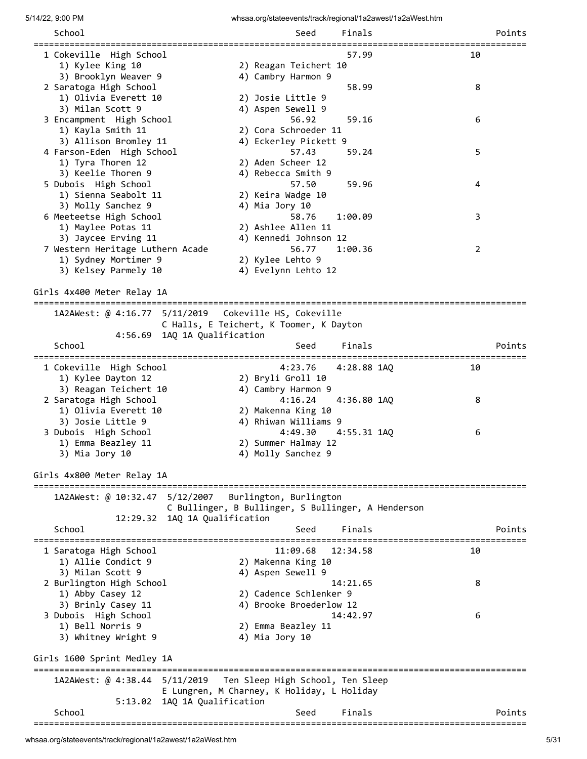| School                                                           | Seed<br>Finals                                                   | Points                                     |
|------------------------------------------------------------------|------------------------------------------------------------------|--------------------------------------------|
| 1 Cokeville High School                                          | 57.99                                                            | ==========================<br>10           |
| 1) Kylee King 10                                                 | 2) Reagan Teichert 10                                            |                                            |
| 3) Brooklyn Weaver 9                                             | 4) Cambry Harmon 9                                               |                                            |
| 2 Saratoga High School                                           | 58.99                                                            | 8                                          |
| 1) Olivia Everett 10                                             | 2) Josie Little 9                                                |                                            |
| 3) Milan Scott 9                                                 | 4) Aspen Sewell 9                                                |                                            |
| 3 Encampment High School                                         | 56.92<br>59.16                                                   | 6                                          |
| 1) Kayla Smith 11<br>3) Allison Bromley 11                       | 2) Cora Schroeder 11<br>4) Eckerley Pickett 9                    |                                            |
| 4 Farson-Eden High School                                        | 57.43<br>59.24                                                   | 5                                          |
| 1) Tyra Thoren 12                                                | 2) Aden Scheer 12                                                |                                            |
| 3) Keelie Thoren 9                                               | 4) Rebecca Smith 9                                               |                                            |
| 5 Dubois High School                                             | 57.50<br>59.96                                                   | 4                                          |
| 1) Sienna Seabolt 11                                             | 2) Keira Wadge 10                                                |                                            |
| 3) Molly Sanchez 9                                               | 4) Mia Jory 10                                                   |                                            |
| 6 Meeteetse High School                                          | 58.76<br>1:00.09                                                 | 3                                          |
| 1) Maylee Potas 11                                               | 2) Ashlee Allen 11                                               |                                            |
| 3) Jaycee Erving 11                                              | 4) Kennedi Johnson 12                                            |                                            |
| 7 Western Heritage Luthern Acade                                 | 56.77<br>1:00.36                                                 | 2                                          |
| 1) Sydney Mortimer 9                                             | 2) Kylee Lehto 9                                                 |                                            |
| 3) Kelsey Parmely 10                                             | 4) Evelynn Lehto 12                                              |                                            |
| Girls 4x400 Meter Relay 1A<br>================================== |                                                                  |                                            |
|                                                                  |                                                                  |                                            |
|                                                                  | C Halls, E Teichert, K Toomer, K Dayton                          |                                            |
| 4:56.69 1AQ 1A Qualification                                     |                                                                  |                                            |
| School                                                           | Finals<br>Seed                                                   | Points<br>================================ |
| 1 Cokeville High School                                          | 4:23.76<br>4:28.88 1AQ                                           | 10                                         |
| 1) Kylee Dayton 12                                               | 2) Bryli Groll 10                                                |                                            |
| 3) Reagan Teichert 10                                            | 4) Cambry Harmon 9                                               |                                            |
| 2 Saratoga High School                                           | 4:16.24<br>4:36.80 1AQ                                           | 8                                          |
| 1) Olivia Everett 10                                             | 2) Makenna King 10                                               |                                            |
| 3) Josie Little 9                                                | 4) Rhiwan Williams 9                                             |                                            |
| 3 Dubois High School                                             | 4:49.30<br>4:55.31 1AQ                                           | 6                                          |
| 1) Emma Beazley 11                                               | 2) Summer Halmay 12                                              |                                            |
| 3) Mia Jory 10                                                   | 4) Molly Sanchez 9                                               |                                            |
| Girls 4x800 Meter Relay 1A                                       |                                                                  |                                            |
| 1A2AWest: @ 10:32.47 5/12/2007                                   | Burlington, Burlington                                           |                                            |
|                                                                  | C Bullinger, B Bullinger, S Bullinger, A Henderson               |                                            |
| 12:29.32 1AQ 1A Qualification                                    |                                                                  |                                            |
| School                                                           | Finals<br>Seed                                                   | Points                                     |
|                                                                  |                                                                  |                                            |
| 1 Saratoga High School                                           | 11:09.68<br>12:34.58                                             | 10                                         |
| 1) Allie Condict 9<br>3) Milan Scott 9                           | 2) Makenna King 10<br>4) Aspen Sewell 9                          |                                            |
| 2 Burlington High School                                         | 14:21.65                                                         | 8                                          |
| 1) Abby Casey 12                                                 | 2) Cadence Schlenker 9                                           |                                            |
| 3) Brinly Casey 11                                               | 4) Brooke Broederlow 12                                          |                                            |
| 3 Dubois High School                                             | 14:42.97                                                         | 6                                          |
| 1) Bell Norris 9                                                 | 2) Emma Beazley 11                                               |                                            |
| 3) Whitney Wright 9                                              | 4) Mia Jory 10                                                   |                                            |
| Girls 1600 Sprint Medley 1A                                      |                                                                  |                                            |
|                                                                  |                                                                  |                                            |
|                                                                  | 1A2AWest: @ 4:38.44  5/11/2019  Ten Sleep High School, Ten Sleep |                                            |
|                                                                  | E Lungren, M Charney, K Holiday, L Holiday                       |                                            |
| 5:13.02 1AQ 1A Qualification                                     |                                                                  |                                            |
| School                                                           | Finals<br>Seed                                                   | Points                                     |
|                                                                  |                                                                  |                                            |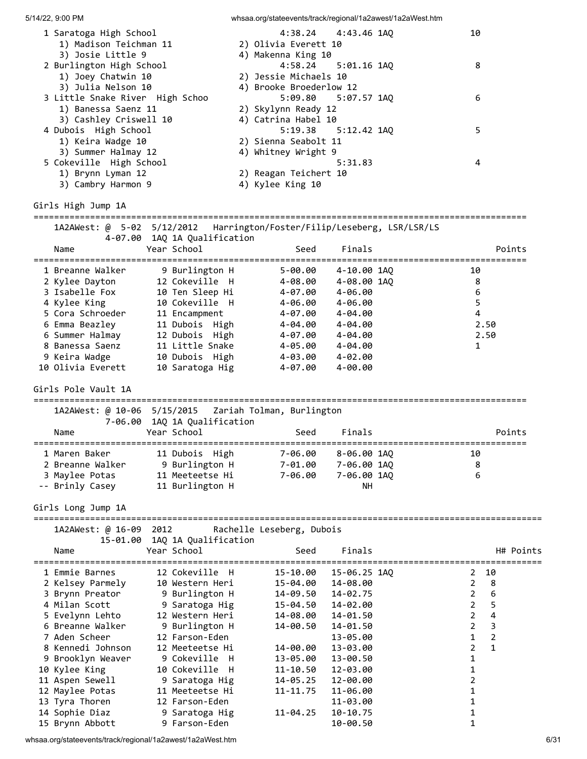| 1 Saratoga High School                    |                                 |                                                                                                                                                                                                  |                           | 4:38.24 4:43.46 1AQ        | 10                                    |
|-------------------------------------------|---------------------------------|--------------------------------------------------------------------------------------------------------------------------------------------------------------------------------------------------|---------------------------|----------------------------|---------------------------------------|
|                                           | 1) Madison Teichman 11          |                                                                                                                                                                                                  | 2) Olivia Everett 10      |                            |                                       |
| 3) Josie Little 9                         | 2 Burlington High School        |                                                                                                                                                                                                  | 4) Makenna King 10        | 4:58.24 5:01.16 1AQ        | 8                                     |
| 1) Joey Chatwin 10                        |                                 |                                                                                                                                                                                                  | 2) Jessie Michaels 10     |                            |                                       |
| 3) Julia Nelson 10                        |                                 |                                                                                                                                                                                                  | 4) Brooke Broederlow 12   |                            |                                       |
|                                           | 3 Little Snake River High Schoo |                                                                                                                                                                                                  |                           | 5:09.80 5:07.57 1AQ        | 6                                     |
|                                           | 1) Banessa Saenz 11             |                                                                                                                                                                                                  | 2) Skylynn Ready 12       |                            |                                       |
|                                           | 3) Cashley Criswell 10          |                                                                                                                                                                                                  | 4) Catrina Habel 10       |                            |                                       |
| 4 Dubois High School<br>1) Keira Wadge 10 |                                 |                                                                                                                                                                                                  | 2) Sienna Seabolt 11      | 5:19.38 5:12.42 1AQ        | 5                                     |
|                                           | 3) Summer Halmay 12             |                                                                                                                                                                                                  | 4) Whitney Wright 9       |                            |                                       |
|                                           | 5 Cokeville High School         |                                                                                                                                                                                                  |                           | 5:31.83                    | 4                                     |
| 1) Brynn Lyman 12                         |                                 |                                                                                                                                                                                                  | 2) Reagan Teichert 10     |                            |                                       |
|                                           | 3) Cambry Harmon 9              |                                                                                                                                                                                                  | 4) Kylee King 10          |                            |                                       |
| Girls High Jump 1A                        |                                 |                                                                                                                                                                                                  |                           |                            |                                       |
|                                           |                                 | 1A2AWest: @ 5-02 5/12/2012 Harrington/Foster/Filip/Leseberg, LSR/LSR/LS                                                                                                                          |                           |                            |                                       |
|                                           |                                 | 4-07.00 1AQ 1A Qualification                                                                                                                                                                     |                           |                            |                                       |
| Name                                      | Year School                     |                                                                                                                                                                                                  |                           | Seed Finals                | Points                                |
|                                           |                                 | 1 Breanne Walker 9 Burlington H 5-00.00 4-10.00 1AQ                                                                                                                                              |                           |                            | 10                                    |
|                                           |                                 | 2 Kylee Dayton 12 Cokeville H 4-08.00                                                                                                                                                            |                           | 4-08.00 1AQ                | $_{\rm 8}$                            |
| 3 Isabelle Fox                            |                                 | 3 Isabelle Fox 10 Ten Sleep Hi 4-07.00 4-06.00<br>4 Kylee King 10 Cokeville H 4-06.00 4-06.00<br>5 Cora Schroeder 11 Encampment 4-07.00 4-04.00<br>6 Emma Beazley 11 Dubois High 4-04.00 4-04.00 |                           |                            | 6                                     |
|                                           |                                 |                                                                                                                                                                                                  |                           |                            | 5                                     |
|                                           |                                 |                                                                                                                                                                                                  |                           |                            | $\overline{4}$                        |
|                                           |                                 | 6 Summer Halmay 12 Dubois High 4-07.00 4-04.00                                                                                                                                                   |                           |                            | 2.50<br>2.50                          |
| 8 Banessa Saenz                           |                                 |                                                                                                                                                                                                  |                           |                            | 1                                     |
|                                           |                                 | 9 Keira Wadge 10 Dubois High 4-03.00 4-02.00                                                                                                                                                     |                           |                            |                                       |
| 10 Olivia Everett                         |                                 | 10 Saratoga Hig                                                                                                                                                                                  | 4-07.00 4-00.00           |                            |                                       |
| Girls Pole Vault 1A                       |                                 |                                                                                                                                                                                                  |                           |                            |                                       |
|                                           |                                 | 1A2AWest: @ 10-06 5/15/2015  Zariah Tolman, Burlington                                                                                                                                           |                           |                            |                                       |
|                                           |                                 | 7-06.00 1AQ 1A Qualification                                                                                                                                                                     |                           |                            |                                       |
| Name                                      | Year School                     |                                                                                                                                                                                                  | Seed Finals               |                            | Points                                |
|                                           |                                 |                                                                                                                                                                                                  |                           |                            |                                       |
| 1 Maren Baker<br>2 Breanne Walker         |                                 | 11 Dubois High                                                                                                                                                                                   |                           | 7-06.00 8-06.00 1AQ        | 10                                    |
| 3 Maylee Potas                            |                                 | 9 Burlington H<br>11 Meeteetse Hi                                                                                                                                                                | $7 - 01.00$<br>7-06.00    | 7-06.00 1AQ<br>7-06.00 1AQ | 8<br>6                                |
| -- Brinly Casey                           |                                 | 11 Burlington H                                                                                                                                                                                  |                           | NН                         |                                       |
| Girls Long Jump 1A                        |                                 |                                                                                                                                                                                                  |                           |                            |                                       |
|                                           |                                 |                                                                                                                                                                                                  |                           |                            |                                       |
|                                           | 1A2AWest: @ 16-09 2012          |                                                                                                                                                                                                  | Rachelle Leseberg, Dubois |                            |                                       |
| Name                                      | Year School                     | 15-01.00 1AQ 1A Qualification                                                                                                                                                                    | Seed                      | Finals                     | H# Points                             |
| 1 Emmie Barnes                            |                                 | 12 Cokeville H                                                                                                                                                                                   | 15-10.00                  | 15-06.25 1AQ               | 10<br>2                               |
| 2 Kelsey Parmely                          |                                 | 10 Western Heri                                                                                                                                                                                  | 15-04.00                  | 14-08.00                   | $2^{\circ}$<br>8                      |
| 3 Brynn Preator                           |                                 | 9 Burlington H                                                                                                                                                                                   | 14-09.50                  | 14-02.75                   | $\overline{2}$<br>6                   |
| 4 Milan Scott                             |                                 | 9 Saratoga Hig                                                                                                                                                                                   | 15-04.50                  | 14-02.00                   | $\overline{2}$<br>5<br>4              |
| 5 Evelynn Lehto<br>6 Breanne Walker       |                                 | 12 Western Heri<br>9 Burlington H                                                                                                                                                                | 14-08.00<br>14-00.50      | 14-01.50<br>14-01.50       | $\overline{2}$<br>$\overline{2}$<br>3 |
| 7 Aden Scheer                             |                                 | 12 Farson-Eden                                                                                                                                                                                   |                           | 13-05.00                   | $\overline{2}$<br>1                   |
| 8 Kennedi Johnson                         |                                 | 12 Meeteetse Hi                                                                                                                                                                                  | 14-00.00                  | 13-03.00                   | $\overline{2}$<br>$\mathbf 1$         |
| 9 Brooklyn Weaver                         |                                 | 9 Cokeville H                                                                                                                                                                                    | 13-05.00                  | 13-00.50                   | 1                                     |
| 10 Kylee King                             |                                 | 10 Cokeville H                                                                                                                                                                                   | $11 - 10.50$              | 12-03.00                   | 1                                     |
| 11 Aspen Sewell                           |                                 | 9 Saratoga Hig                                                                                                                                                                                   | 14-05.25                  | 12-00.00                   | 2                                     |
| 12 Maylee Potas                           |                                 | 11 Meeteetse Hi                                                                                                                                                                                  | 11-11.75                  | 11-06.00                   | 1                                     |
| 13 Tyra Thoren<br>14 Sophie Diaz          |                                 | 12 Farson-Eden<br>9 Saratoga Hig                                                                                                                                                                 | $11 - 04.25$              | 11-03.00<br>10-10.75       | 1<br>1                                |
| 15 Brynn Abbott                           |                                 | 9 Farson-Eden                                                                                                                                                                                    |                           | 10-00.50                   | 1                                     |
|                                           |                                 |                                                                                                                                                                                                  |                           |                            |                                       |

whsaa.org/stateevents/track/regional/1a2awest/1a2aWest.htm 6/31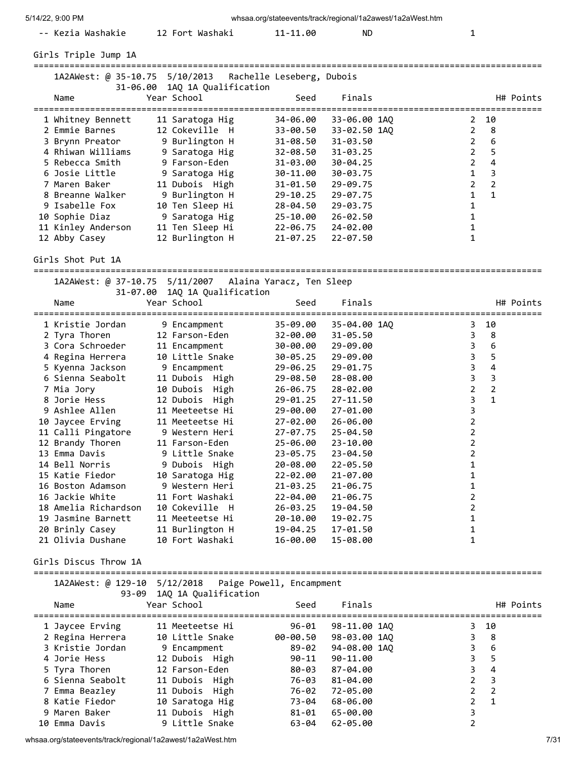| 5/14/22, 9:00 PM |  |
|------------------|--|
|                  |  |

| 5/14/22. 9:00 PM | whsaa.org/stateevents/track/regional/1a2awest/1a2aWest.htm |
|------------------|------------------------------------------------------------|
|                  |                                                            |

| -- Kezia Washakie | 12 Fort Washaki | 11-11.00 | ND. |  |
|-------------------|-----------------|----------|-----|--|
|                   |                 |          |     |  |

Girls Triple Jump 1A

| 1A2AWest: @ 35-10.75  5/10/2013  Rachelle Leseberg, Dubois |                               |              |              |                       |                |
|------------------------------------------------------------|-------------------------------|--------------|--------------|-----------------------|----------------|
|                                                            | 31-06.00 1AO 1A Oualification |              |              |                       |                |
| Name                                                       | Year School                   | Seed         | Finals       |                       | H# Points      |
| 1 Whitney Bennett                                          | 11 Saratoga Hig               | 34-06.00     | 33-06.00 1AQ |                       | 2 10           |
| 2 Emmie Barnes                                             | 12 Cokeville H                | 33-00.50     | 33-02.50 1AO | $\mathbf{2}$          | 8              |
| 3 Brynn Preator                                            | 9 Burlington H                | 31-08.50     | $31 - 03.50$ | $\overline{2}$        | 6              |
| 4 Rhiwan Williams                                          | 9 Saratoga Hig                | 32-08.50     | $31 - 03.25$ | $\overline{2}$        | 5              |
| 5 Rebecca Smith                                            | 9 Farson-Eden                 | 31-03.00     | $30 - 04.25$ | $\mathbf{2}^{\prime}$ | 4              |
| 6 Josie Little                                             | 9 Saratoga Hig                | 30-11.00     | 30-03.75     |                       | 3              |
| 7 Maren Baker                                              | 11 Dubois High                | $31 - 01.50$ | 29-09.75     | $\overline{2}$        | $\overline{2}$ |
| 8 Breanne Walker                                           | 9 Burlington H                | 29-10.25     | 29-07.75     |                       | $\mathbf{1}$   |
| 9 Isabelle Fox                                             | 10 Ten Sleep Hi               | 28-04.50     | 29-03.75     |                       |                |
| 10 Sophie Diaz                                             | 9 Saratoga Hig                | 25-10.00     | 26-02.50     |                       |                |
| 11 Kinley Anderson                                         | 11 Ten Sleep Hi               | 22-06.75     | 24-02.00     |                       |                |
| 12 Abby Casey                                              | 12 Burlington H               | 21-07.25     | 22-07.50     |                       |                |

Girls Shot Put 1A

===================================================================================================

1A2AWest: @ 37-10.75 5/11/2007 Alaina Yaracz, Ten Sleep

| Name                          | 31-07.00 1AQ 1A Qualification<br>Year School | Seed     | Finals       | H# Points              |
|-------------------------------|----------------------------------------------|----------|--------------|------------------------|
|                               | ==================================           |          |              | ====================== |
| 1 Kristie Jordan              | 9 Encampment                                 | 35-09.00 | 35-04.00 1AQ | 10<br>3                |
| 2 Tyra Thoren                 | 12 Farson-Eden                               | 32-00.00 | $31 - 05.50$ | 3<br>8                 |
| 3 Cora Schroeder              | 11 Encampment                                | 30-00.00 | 29-09.00     | 3<br>6                 |
| 4 Regina Herrera              | 10 Little Snake                              | 30-05.25 | 29-09.00     | 3<br>5                 |
| 5 Kyenna Jackson 9 Encampment |                                              | 29-06.25 | 29-01.75     | 3<br>4                 |
| 6 Sienna Seabolt              | 11 Dubois High                               | 29-08.50 | 28-08.00     | 3<br>3                 |
| 7 Mia Jory                    | 10 Dubois  High                              | 26-06.75 | 28-02.00     | 2<br>$\overline{2}$    |
| 8 Jorie Hess                  | 12 Dubois High                               | 29-01.25 | 27-11.50     | $\mathbf{1}$<br>3      |
| 9 Ashlee Allen                | 11 Meeteetse Hi                              | 29-00.00 | 27-01.00     | 3                      |
| 10 Jaycee Erving              | 11 Meeteetse Hi                              | 27-02.00 | 26-06.00     | 2                      |
|                               | 11 Calli Pingatore 9 Western Heri            | 27-07.75 | 25-04.50     | 2                      |
| 12 Brandy Thoren              | 11 Farson-Eden                               | 25-06.00 | 23-10.00     | 2                      |
| 13 Emma Davis                 | 9 Little Snake                               | 23-05.75 | 23-04.50     | 2                      |
| 14 Bell Norris                | 9 Dubois  High                               | 20-08.00 | $22 - 05.50$ | 1                      |
| 15 Katie Fiedor               | 10 Saratoga Hig                              | 22-02.00 | $21 - 07.00$ | 1                      |
| 16 Boston Adamson             | 9 Western Heri                               | 21-03.25 | $21 - 06.75$ | 1                      |
| 16 Jackie White               | 11 Fort Washaki                              | 22-04.00 | $21 - 06.75$ | 2                      |
| 18 Amelia Richardson          | 10 Cokeville H                               | 26-03.25 | 19-04.50     | 2                      |
| 19 Jasmine Barnett            | 11 Meeteetse Hi                              | 20-10.00 | 19-02.75     | 1                      |
| 20 Brinly Casey               | 11 Burlington H                              | 19-04.25 | 17-01.50     |                        |
| 21 Olivia Dushane             | 10 Fort Washaki                              | 16-00.00 | 15-08.00     | 1                      |

### Girls Discus Throw 1A

=================================================================================================== 1A2AWest: @ 129-10 5/12/2018 Paige Powell, Encampment

|                  | IRZAWEST. W IZJ-IO J/IZ/ZOIO TAIKE TOWEII, LIICAMPMENT |           |              |                                  |
|------------------|--------------------------------------------------------|-----------|--------------|----------------------------------|
|                  | 93-09 1AQ 1A Qualification                             |           |              |                                  |
| Name             | Year School                                            | Seed      | Finals       | H# Points                        |
|                  |                                                        |           |              |                                  |
| 1 Jaycee Erving  | 11 Meeteetse Hi                                        | 96-01     | 98-11.00 1AO | 3 10                             |
| 2 Regina Herrera | 10 Little Snake                                        | 00-00.50  | 98-03.00 1AO | 3<br>-8                          |
| 3 Kristie Jordan | 9 Encampment                                           | 89-02     | 94-08.00 1AO | 3<br>6                           |
| 4 Jorie Hess     | 12 Dubois High                                         | $90 - 11$ | 90-11.00     | 3<br>5                           |
| 5 Tyra Thoren    | 12 Farson-Eden                                         | 80-03     | 87-04.00     | 3.<br>4                          |
| 6 Sienna Seabolt | 11 Dubois High                                         | 76-03     | 81-04.00     | $\mathbf{2}^{\prime}$<br>3       |
| 7 Emma Beazley   | 11 Dubois High                                         | 76-02     | 72-05.00     | $\overline{2}$<br>$\overline{2}$ |
| 8 Katie Fiedor   | 10 Saratoga Hig                                        | 73-04     | 68-06.00     | 2<br>$\mathbf{1}$                |
| 9 Maren Baker    | 11 Dubois High                                         | 81-01     | 65-00.00     | 3                                |
| 10 Emma Davis    | 9 Little Snake                                         | 63-04     | 62-05.00     |                                  |
|                  |                                                        |           |              |                                  |

whsaa.org/stateevents/track/regional/1a2awest/1a2aWest.htm 7/31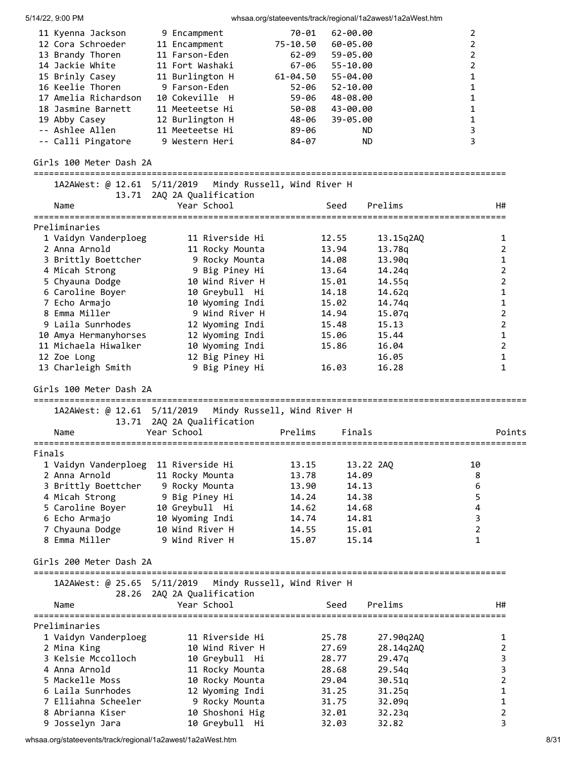| 11 Kyenna Jackson    | 9 Encampment    | 70-01        | 62-00.00     |   |
|----------------------|-----------------|--------------|--------------|---|
| 12 Cora Schroeder    | 11 Encampment   | 75-10.50     | 60-05.00     |   |
| 13 Brandy Thoren     | 11 Farson-Eden  | $62 - 09$    | 59-05.00     |   |
| 14 Jackie White      | 11 Fort Washaki | 67-06        | $55 - 10.00$ |   |
| 15 Brinly Casey      | 11 Burlington H | $61 - 04.50$ | 55-04.00     |   |
| 16 Keelie Thoren     | 9 Farson-Eden   | 52-06        | $52 - 10.00$ |   |
| 17 Amelia Richardson | 10 Cokeville H  | 59-06        | 48-08.00     |   |
| 18 Jasmine Barnett   | 11 Meeteetse Hi | 50-08        | 43-00.00     |   |
| 19 Abby Casey        | 12 Burlington H | 48-06        | 39-05.00     |   |
| -- Ashlee Allen      | 11 Meeteetse Hi | 89-06        | ND.          |   |
| -- Calli Pingatore   | 9 Western Heri  | $84 - 07$    | ND.          | 3 |

### Girls 100 Meter Dash 2A

|                                      | 1A2AWest: @ 12.61  5/11/2019  Mindy Russell, Wind River H |                             |                 |
|--------------------------------------|-----------------------------------------------------------|-----------------------------|-----------------|
| Name                                 | 13.71 2AQ 2A Qualification<br>Year School                 | Seed<br>Prelims             | H#              |
|                                      |                                                           |                             |                 |
| Preliminaries                        |                                                           |                             |                 |
| 1 Vaidyn Vanderploeg                 | 11 Riverside Hi                                           | 12.55<br>13.15q2AQ          | 1               |
| 2 Anna Arnold                        | 11 Rocky Mounta                                           | 13.94<br>13.78q             | 2               |
| 3 Brittly Boettcher                  | 9 Rocky Mounta                                            | 14.08<br>13.90q             | 1               |
| 4 Micah Strong                       | 9 Big Piney Hi                                            | 14.24q<br>13.64             | $\overline{2}$  |
| 5 Chyauna Dodge                      | 10 Wind River H                                           | 14.55q<br>15.01             | $\overline{2}$  |
| 6 Caroline Boyer                     | 10 Greybull Hi                                            | 14.18<br>14.62q             | 1               |
| 7 Echo Armajo                        | 10 Wyoming Indi                                           | 15.02<br>14.74q             | 1               |
| 8 Emma Miller                        | 9 Wind River H                                            | 15.07q<br>14.94             | $\mathbf 2$     |
| 9 Laila Sunrhodes                    | 12 Wyoming Indi                                           | 15.13<br>15.48              | $\overline{2}$  |
| 10 Amya Hermanyhorses                | 12 Wyoming Indi                                           | 15.06<br>15.44              | 1               |
| 11 Michaela Hiwalker                 | 10 Wyoming Indi                                           | 15.86<br>16.04              | $\overline{2}$  |
| 12 Zoe Long                          | 12 Big Piney Hi                                           | 16.05                       | 1               |
| 13 Charleigh Smith                   | 9 Big Piney Hi                                            | 16.03<br>16.28              | 1               |
| Girls 100 Meter Dash 2A              |                                                           |                             |                 |
|                                      | 1A2AWest: @ 12.61 5/11/2019  Mindy Russell, Wind River H  |                             |                 |
|                                      | 13.71 2AQ 2A Qualification                                |                             |                 |
| Name                                 | Year School                                               | Prelims<br>Finals           | Points          |
| -------                              | ------------                                              |                             |                 |
| Finals                               |                                                           |                             |                 |
| 1 Vaidyn Vanderploeg 11 Riverside Hi |                                                           | 13.15<br>13.22 2AQ          | 10              |
| 2 Anna Arnold                        | 11 Rocky Mounta                                           | 13.78<br>14.09              | 8               |
| 3 Brittly Boettcher 9 Rocky Mounta   |                                                           | 13.90<br>14.13              | 6               |
| 4 Micah Strong                       | 9 Big Piney Hi                                            | 14.24<br>14.38              | 5               |
| 5 Caroline Boyer                     | 10 Greybull Hi                                            | 14.62<br>14.68              | 4               |
| 6 Echo Armajo                        | 10 Wyoming Indi                                           | 14.74<br>14.81              | 3               |
| 7 Chyauna Dodge                      | 10 Wind River H                                           | 14.55<br>15.01              | $\overline{2}$  |
| 8 Emma Miller                        | 9 Wind River H                                            | 15.07<br>15.14              | $\mathbf{1}$    |
|                                      |                                                           |                             |                 |
| Girls 200 Meter Dash 2A              |                                                           |                             |                 |
| 1A2AWest: @ 25.65 5/11/2019          |                                                           | Mindy Russell, Wind River H |                 |
|                                      | 28.26 2AQ 2A Qualification                                |                             |                 |
| Name                                 | Year School                                               | Prelims<br>Seed             | H#              |
| Preliminaries                        |                                                           |                             | =============== |
| 1 Vaidyn Vanderploeg                 | 11 Riverside Hi                                           | 25.78<br>27.90q2AQ          | 1               |
| 2 Mina King                          | 10 Wind River H                                           | 27.69<br>28.14q2AQ          | 2               |
| 3 Kelsie Mccolloch                   | 10 Greybull Hi                                            | 28.77<br>29.47q             | 3               |
| 4 Anna Arnold                        | 11 Rocky Mounta                                           | 29.54q<br>28.68             | 3               |
| 5 Mackelle Moss                      | 10 Rocky Mounta                                           |                             | 2               |
| 6 Laila Sunrhodes                    | 12 Wyoming Indi                                           | 29.04<br>30.51q             | 1               |
| 7 Elliahna Scheeler                  | 9 Rocky Mounta                                            | 31.25<br>31.25q             | 1               |
|                                      |                                                           | 32.09q<br>31.75             |                 |

 7 Elliahna Scheeler 9 Rocky Mounta 31.75 32.09q 1 8 Abrianna Kiser 10 Shoshoni Hig 32.01 32.23q 2

9 Josselyn Jara 10 Greybull Hi 32.03 32.82 3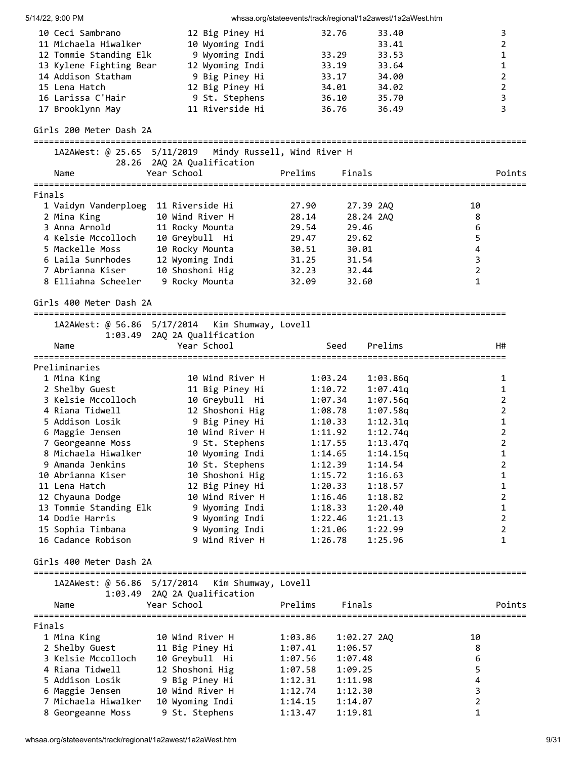|        | 5/14/22, 9:00 PM                     |             |                                                         | whsaa.org/stateevents/track/regional/1a2awest/1a2aWest.htm |             |          |                         |                |
|--------|--------------------------------------|-------------|---------------------------------------------------------|------------------------------------------------------------|-------------|----------|-------------------------|----------------|
|        | 10 Ceci Sambrano                     |             | 12 Big Piney Hi                                         |                                                            | 32.76       | 33.40    |                         | 3              |
|        | 11 Michaela Hiwalker                 |             | 10 Wyoming Indi                                         |                                                            |             | 33.41    |                         | 2              |
|        | 12 Tommie Standing Elk               |             | 9 Wyoming Indi                                          |                                                            | 33.29       | 33.53    |                         | 1              |
|        | 13 Kylene Fighting Bear              |             | 12 Wyoming Indi                                         |                                                            | 33.19       | 33.64    |                         | 1              |
|        | 14 Addison Statham                   |             | 9 Big Piney Hi                                          |                                                            | 33.17       | 34.00    |                         | $\overline{2}$ |
|        | 15 Lena Hatch                        |             | 12 Big Piney Hi                                         |                                                            | 34.01       | 34.02    |                         | $\overline{2}$ |
|        | 16 Larissa C'Hair                    |             | 9 St. Stephens                                          |                                                            | 36.10       | 35.70    |                         | 3              |
|        | 17 Brooklynn May                     |             | 11 Riverside Hi                                         |                                                            | 36.76       | 36.49    |                         | 3              |
|        |                                      |             |                                                         |                                                            |             |          |                         |                |
|        | Girls 200 Meter Dash 2A              |             |                                                         |                                                            |             |          |                         |                |
|        |                                      |             | 1A2AWest: @ 25.65 5/11/2019 Mindy Russell, Wind River H |                                                            |             |          |                         |                |
|        |                                      |             | 28.26 2AQ 2A Qualification                              |                                                            |             |          |                         |                |
|        | Name                                 | Year School |                                                         | Prelims                                                    | Finals      |          |                         | Points         |
|        |                                      |             |                                                         |                                                            |             |          |                         |                |
| Finals |                                      |             |                                                         |                                                            |             |          |                         |                |
|        | 1 Vaidyn Vanderploeg 11 Riverside Hi |             |                                                         | 27.90                                                      | 27.39 2AQ   |          | 10                      |                |
|        | 2 Mina King                          |             | 10 Wind River H                                         | 28.14                                                      | 28.24 2AQ   |          | 8                       |                |
|        | 3 Anna Arnold                        |             | 11 Rocky Mounta                                         | 29.54                                                      | 29.46       |          | 6                       |                |
|        | 4 Kelsie Mccolloch                   |             | 10 Greybull Hi                                          | 29.47                                                      | 29.62       |          | 5                       |                |
|        | 5 Mackelle Moss                      |             | 10 Rocky Mounta                                         | 30.51                                                      | 30.01       |          | $\overline{\mathbf{4}}$ |                |
|        | 6 Laila Sunrhodes                    |             | 12 Wyoming Indi                                         | 31.25                                                      | 31.54       |          | 3                       |                |
|        | 7 Abrianna Kiser                     |             | 10 Shoshoni Hig                                         | 32.23                                                      | 32.44       |          | $\overline{2}$          |                |
|        | 8 Elliahna Scheeler                  |             | 9 Rocky Mounta                                          | 32.09                                                      | 32.60       |          | $\mathbf 1$             |                |
|        |                                      |             |                                                         |                                                            |             |          |                         |                |
|        | Girls 400 Meter Dash 2A              |             |                                                         |                                                            |             |          |                         |                |
|        |                                      |             | 1A2AWest: @ 56.86 5/17/2014 Kim Shumway, Lovell         |                                                            |             |          |                         |                |
|        |                                      |             | 1:03.49 2AQ 2A Qualification                            |                                                            |             |          |                         |                |
|        | Name                                 |             | Year School                                             |                                                            | Seed        | Prelims  |                         | H#             |
|        |                                      |             |                                                         |                                                            |             |          |                         |                |
|        | Preliminaries                        |             |                                                         |                                                            |             |          |                         |                |
|        | 1 Mina King                          |             | 10 Wind River H                                         |                                                            | 1:03.24     | 1:03.86q |                         | 1              |
|        | 2 Shelby Guest                       |             | 11 Big Piney Hi                                         |                                                            | 1:10.72     | 1:07.41q |                         | 1              |
|        | 3 Kelsie Mccolloch                   |             | 10 Greybull Hi                                          |                                                            | 1:07.34     | 1:07.56q |                         | $\overline{2}$ |
|        | 4 Riana Tidwell                      |             | 12 Shoshoni Hig                                         |                                                            | 1:08.78     | 1:07.58q |                         | $\overline{2}$ |
|        | 5 Addison Losik                      |             | 9 Big Piney Hi                                          |                                                            | 1:10.33     | 1:12.31q |                         | $\mathbf{1}$   |
|        | 6 Maggie Jensen                      |             | 10 Wind River H                                         |                                                            | 1:11.92     | 1:12.74q |                         | $\overline{2}$ |
|        | 7 Georgeanne Moss                    |             | 9 St. Stephens                                          |                                                            | 1:17.55     | 1:13.47q |                         | $\overline{2}$ |
|        | 8 Michaela Hiwalker                  |             |                                                         |                                                            | 1:14.65     |          |                         |                |
|        | 9 Amanda Jenkins                     |             | 10 Wyoming Indi                                         |                                                            |             | 1:14.15q |                         | 1              |
|        | 10 Abrianna Kiser                    |             | 10 St. Stephens                                         |                                                            | 1:12.39     | 1:14.54  |                         | 2              |
|        |                                      |             | 10 Shoshoni Hig                                         |                                                            | 1:15.72     | 1:16.63  |                         | 1              |
|        | 11 Lena Hatch                        |             | 12 Big Piney Hi                                         |                                                            | 1:20.33     | 1:18.57  |                         | 1              |
|        | 12 Chyauna Dodge                     |             | 10 Wind River H                                         |                                                            | 1:16.46     | 1:18.82  |                         | $\overline{2}$ |
|        | 13 Tommie Standing Elk               |             | 9 Wyoming Indi                                          |                                                            | 1:18.33     | 1:20.40  |                         | $\mathbf{1}$   |
|        | 14 Dodie Harris                      |             | 9 Wyoming Indi                                          |                                                            | 1:22.46     | 1:21.13  |                         | $\overline{2}$ |
|        | 15 Sophia Timbana                    |             | 9 Wyoming Indi                                          |                                                            | 1:21.06     | 1:22.99  |                         | $\overline{2}$ |
|        | 16 Cadance Robison                   |             | 9 Wind River H                                          |                                                            | 1:26.78     | 1:25.96  |                         | $\mathbf{1}$   |
|        | Girls 400 Meter Dash 2A              |             |                                                         |                                                            |             |          |                         |                |
|        | 1A2AWest: @ 56.86 5/17/2014          |             | Kim Shumway, Lovell                                     |                                                            |             |          |                         |                |
|        |                                      |             | 1:03.49 2AQ 2A Qualification                            |                                                            |             |          |                         |                |
|        | Name                                 | Year School |                                                         | Prelims                                                    | Finals      |          |                         | Points         |
|        |                                      |             |                                                         |                                                            |             |          |                         |                |
| Finals |                                      |             |                                                         |                                                            |             |          |                         |                |
|        | 1 Mina King                          |             | 10 Wind River H                                         | 1:03.86                                                    | 1:02.27 2AQ |          | 10                      |                |
|        | 2 Shelby Guest                       |             | 11 Big Piney Hi                                         | 1:07.41                                                    | 1:06.57     |          | 8                       |                |
|        | 3 Kelsie Mccolloch                   |             | 10 Greybull Hi                                          | 1:07.56                                                    | 1:07.48     |          | 6                       |                |
|        | 4 Riana Tidwell                      |             | 12 Shoshoni Hig                                         | 1:07.58                                                    | 1:09.25     |          | 5                       |                |
|        | 5 Addison Losik                      |             | 9 Big Piney Hi                                          | 1:12.31                                                    | 1:11.98     |          | $\overline{\mathbf{4}}$ |                |
|        | 6 Maggie Jensen                      |             | 10 Wind River H                                         | 1:12.74                                                    | 1:12.30     |          | 3                       |                |
|        | 7 Michaela Hiwalker                  |             | 10 Wyoming Indi                                         | 1:14.15                                                    | 1:14.07     |          | $\overline{2}$          |                |
|        | 8 Georgeanne Moss                    |             | 9 St. Stephens                                          | 1:13.47                                                    | 1:19.81     |          | 1                       |                |

whsaa.org/stateevents/track/regional/1a2awest/1a2aWest.htm 9/31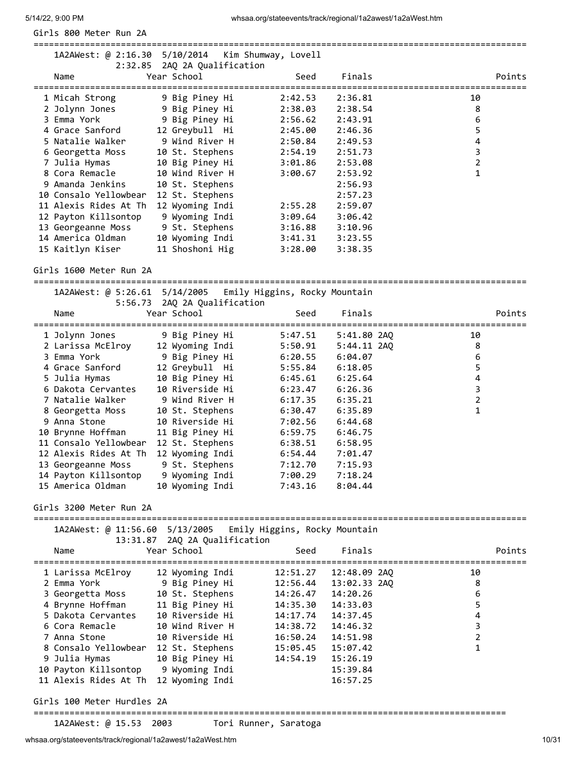Girls 800 Meter Run 2A

|                                       | 1A2AWest: @ 2:16.30 5/10/2014 Kim Shumway, Lovell                                           |                 |             |                |
|---------------------------------------|---------------------------------------------------------------------------------------------|-----------------|-------------|----------------|
| Name                                  | 2:32.85 2AQ 2A Qualification<br>Year School                                                 | Seed            | Finals      | Points         |
| 1 Micah Strong                        | 9 Big Piney Hi                                                                              | 2:42.53         | 2:36.81     | 10             |
| 2 Jolynn Jones                        | 9 Big Piney Hi                                                                              | 2:38.03         | 2:38.54     | 8              |
| 3 Emma York                           | 9 Big Piney Hi                                                                              | 2:56.62         | 2:43.91     | 6              |
| 4 Grace Sanford                       | 12 Greybull Hi                                                                              | 2:45.00         | 2:46.36     | 5              |
| 5 Natalie Walker                      | 9 Wind River H                                                                              | 2:50.84 2:49.53 |             | 4              |
| 6 Georgetta Moss                      | 10 St. Stephens                                                                             | 2:54.19         | 2:51.73     | 3              |
| 7 Julia Hymas                         | 10 Big Piney Hi                                                                             | 3:01.86         | 2:53.08     | $\overline{2}$ |
| 8 Cora Remacle                        | 10 Wind River H                                                                             | 3:00.67         | 2:53.92     | $\mathbf{1}$   |
| 9 Amanda Jenkins                      | 10 St. Stephens                                                                             |                 | 2:56.93     |                |
| 10 Consalo Yellowbear                 | 12 St. Stephens                                                                             |                 | 2:57.23     |                |
| 11 Alexis Rides At Th 12 Wyoming Indi |                                                                                             | 2:55.28         | 2:59.07     |                |
| 12 Payton Killsontop                  | 9 Wyoming Indi                                                                              | 3:09.64         | 3:06.42     |                |
| 13 Georgeanne Moss                    | 9 St. Stephens                                                                              | 3:16.88         | 3:10.96     |                |
| 14 America Oldman                     | 10 Wyoming Indi                                                                             | 3:41.31         | 3:23.55     |                |
| 15 Kaitlyn Kiser                      | 11 Shoshoni Hig                                                                             | 3:28.00         | 3:38.35     |                |
| Girls 1600 Meter Run 2A               |                                                                                             |                 |             |                |
|                                       | 1A2AWest: @ 5:26.61 5/14/2005 Emily Higgins, Rocky Mountain<br>5:56.73 2AQ 2A Qualification |                 |             |                |
| Name                                  | Year School                                                                                 | Seed            | Finals      | Points         |
| 1 Jolynn Jones                        | 9 Big Piney Hi                                                                              | 5:47.51         | 5:41.80 2AQ | 10             |
| 2 Larissa McElroy 12 Wyoming Indi     |                                                                                             | 5:50.91         | 5:44.11 2AO | 8              |
| 3 Emma York                           | 9 Big Piney Hi                                                                              | 6:20.55         | 6:04.07     | 6              |

 4 Grace Sanford 12 Greybull Hi 5:55.84 6:18.05 5 5 Julia Hymas 10 Big Piney Hi 6:45.61 6:25.64 4 6 Dakota Cervantes 10 Riverside Hi 6:23.47 6:26.36 3 7 Natalie Walker 9 Wind River H 6:17.35 6:35.21 2 8 Georgetta Moss 10 St. Stephens 6:30.47 6:35.89 1

 9 Anna Stone 10 Riverside Hi 7:02.56 6:44.68 10 Brynne Hoffman 11 Big Piney Hi 6:59.75 6:46.75 11 Consalo Yellowbear 12 St. Stephens 6:38.51 6:58.95 12 Alexis Rides At Th 12 Wyoming Indi 6:54.44 7:01.47 13 Georgeanne Moss 9 St. Stephens 7:12.70 7:15.93 14 Payton Killsontop 9 Wyoming Indi 7:00.29 7:18.24 15 America Oldman 10 Wyoming Indi 7:43.16 8:04.44

================================================================================================

| Girls 3200 Meter Run 2A |  |  |
|-------------------------|--|--|

|                                   | 13:31.87 2AQ 2A Qualification | 1A2AWest: @ 11:56.60 5/13/2005 Emily Higgins, Rocky Mountain |                    |                |        |
|-----------------------------------|-------------------------------|--------------------------------------------------------------|--------------------|----------------|--------|
| Name                              | Year School                   | Seed                                                         | Finals             |                | Points |
| 1 Larissa McElroy                 | 12 Wyoming Indi               | 12:51.27                                                     | 12:48.09 2AO       | 10             |        |
| 2 Emma York                       | 9 Big Piney Hi                | 12:56.44                                                     | 13:02.33 2AO       | 8              |        |
| 3 Georgetta Moss                  | 10 St. Stephens               | 14:26.47                                                     | 14:20.26           | 6              |        |
| 4 Brynne Hoffman                  | 11 Big Piney Hi               | 14:35.30                                                     | 14:33.03           | 5              |        |
| 5 Dakota Cervantes                | 10 Riverside Hi               | 14:17.74                                                     | 14:37.45           | 4              |        |
| 6 Cora Remacle                    | 10 Wind River H               |                                                              | 14:38.72  14:46.32 | 3              |        |
| 7 Anna Stone                      | 10 Riverside Hi               | 16:50.24                                                     | 14:51.98           | $\overline{2}$ |        |
| 8 Consalo Yellowbear              | 12 St. Stephens               | 15:05.45                                                     | 15:07.42           |                |        |
| 9 Julia Hymas                     | 10 Big Piney Hi               | 14:54.19                                                     | 15:26.19           |                |        |
| 10 Payton Killsontop              | 9 Wyoming Indi                |                                                              | 15:39.84           |                |        |
| 11 Alexis Rides At Th             | 12 Wyoming Indi               |                                                              | 16:57.25           |                |        |
| $C_1 = 1 - 400$ Motor Hought - 0A |                               |                                                              |                    |                |        |

Girls 100 Meter Hurdles 2A

============================================================================================

```
 1A2AWest: @ 15.53 2003 Tori Runner, Saratoga
```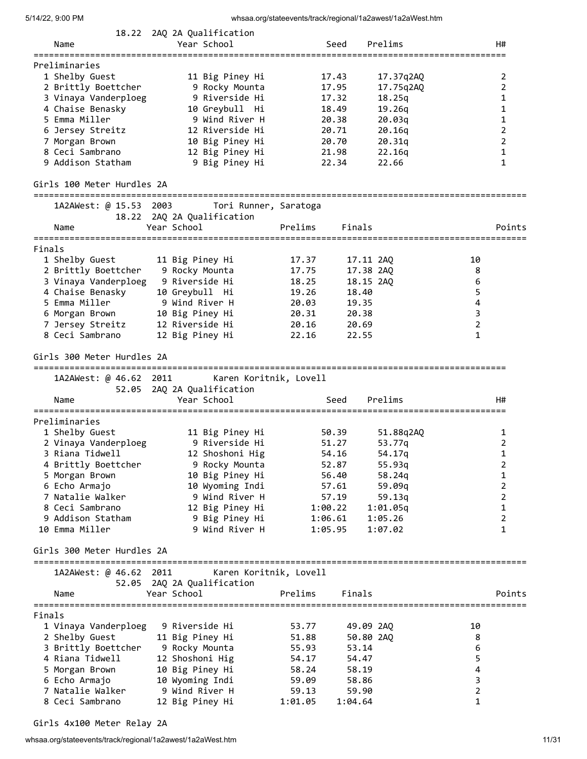|        | 18.22<br>Name                       | 2AQ 2A Qualification<br>Year School       |                  | Seed               | Prelims            |                         | H#                |
|--------|-------------------------------------|-------------------------------------------|------------------|--------------------|--------------------|-------------------------|-------------------|
|        | ======================              |                                           |                  |                    |                    |                         |                   |
|        | Preliminaries                       |                                           |                  |                    |                    |                         |                   |
|        | 1 Shelby Guest                      | 11 Big Piney Hi                           |                  | 17.43              | 17.37q2AQ          |                         | 2                 |
|        | 2 Brittly Boettcher                 | 9 Rocky Mounta                            |                  | 17.95              | 17.75q2AQ          |                         | 2                 |
|        | 3 Vinaya Vanderploeg                | 9 Riverside Hi                            |                  | 17.32              | 18.25q             |                         | 1                 |
|        | 4 Chaise Benasky                    | 10 Greybull Hi                            |                  | 18.49              | 19.26q             |                         | 1                 |
|        | 5 Emma Miller                       | 9 Wind River H                            |                  | 20.38              | 20.03q             |                         | $\mathbf{1}$      |
|        | 6 Jersey Streitz                    | 12 Riverside Hi                           |                  | 20.71              | 20.16q             |                         | $\overline{2}$    |
|        | 7 Morgan Brown                      | 10 Big Piney Hi                           |                  | 20.70              | 20.31q             |                         | $\overline{2}$    |
|        | 8 Ceci Sambrano                     | 12 Big Piney Hi                           |                  | 21.98              | 22.16q             |                         | 1                 |
|        | 9 Addison Statham                   | 9 Big Piney Hi                            |                  | 22.34              | 22.66              |                         | 1                 |
|        | Girls 100 Meter Hurdles 2A          |                                           |                  |                    |                    |                         |                   |
|        | 1A2AWest: @ 15.53 2003              | Tori Runner, Saratoga                     |                  |                    |                    |                         |                   |
|        |                                     | 18.22 2AQ 2A Qualification                |                  |                    |                    |                         |                   |
|        | Name                                | Year School                               | Prelims          | Finals             |                    |                         | Points            |
| Finals |                                     |                                           |                  |                    |                    |                         |                   |
|        | 1 Shelby Guest                      | 11 Big Piney Hi                           | 17.37            | 17.11 2AQ          |                    | 10                      |                   |
|        | 2 Brittly Boettcher                 | 9 Rocky Mounta                            | 17.75            | 17.38 2AQ          |                    | 8                       |                   |
|        | 3 Vinaya Vanderploeg 9 Riverside Hi |                                           | 18.25            | 18.15 2AQ          |                    | 6                       |                   |
|        | 4 Chaise Benasky                    | 10 Greybull Hi                            | 19.26            | 18.40              |                    | 5                       |                   |
|        | 5 Emma Miller                       | 9 Wind River H                            | 20.03            | 19.35              |                    | $\overline{\mathbf{4}}$ |                   |
|        | 6 Morgan Brown                      | 10 Big Piney Hi                           | 20.31            | 20.38              |                    | 3                       |                   |
|        | 7 Jersey Streitz                    | 12 Riverside Hi                           | 20.16            | 20.69              |                    | $\overline{2}$          |                   |
|        | 8 Ceci Sambrano                     | 12 Big Piney Hi                           | 22.16            | 22.55              |                    | 1                       |                   |
|        | Girls 300 Meter Hurdles 2A          |                                           |                  |                    |                    |                         |                   |
|        |                                     |                                           |                  |                    |                    |                         |                   |
|        |                                     |                                           |                  |                    |                    |                         |                   |
|        | 1A2AWest: @ 46.62 2011              | Karen Koritnik, Lovell                    |                  |                    |                    |                         |                   |
|        | 52.05                               | 2AQ 2A Qualification                      |                  |                    |                    |                         |                   |
|        | Name                                | Year School                               |                  | Seed               | Prelims            |                         | H#                |
|        | Preliminaries                       |                                           |                  |                    |                    |                         |                   |
|        |                                     |                                           |                  |                    |                    |                         | 1                 |
|        | 1 Shelby Guest                      | 11 Big Piney Hi                           |                  | 50.39<br>51.27     | 51.88q2AQ          |                         | 2                 |
|        | 2 Vinaya Vanderploeg                | 9 Riverside Hi                            |                  |                    | 53.77q             |                         | 1                 |
|        | 3 Riana Tidwell                     | 12 Shoshoni Hig                           |                  | 54.16              | 54.17q             |                         | 2                 |
|        | 4 Brittly Boettcher                 | 9 Rocky Mounta                            |                  | 52.87              | 55.93q             |                         | $\mathbf{1}$      |
|        | 5 Morgan Brown                      | 10 Big Piney Hi                           |                  | 56.40              | 58.24q             |                         |                   |
|        | 6 Echo Armajo                       | 10 Wyoming Indi                           |                  | 57.61              | 59.09q             |                         | $\overline{2}$    |
|        | 7 Natalie Walker                    | 9 Wind River H                            |                  | 57.19              | 59.13q             |                         | $\overline{2}$    |
|        | 8 Ceci Sambrano                     | 12 Big Piney Hi                           |                  | 1:00.22            | 1:01.05q           |                         | $\mathbf{1}$<br>2 |
|        | 9 Addison Statham<br>10 Emma Miller | 9 Big Piney Hi<br>9 Wind River H          |                  | 1:06.61<br>1:05.95 | 1:05.26<br>1:07.02 |                         | 1                 |
|        | Girls 300 Meter Hurdles 2A          |                                           |                  |                    |                    |                         |                   |
|        |                                     |                                           |                  |                    |                    |                         |                   |
|        | 1A2AWest: @ 46.62 2011              | Karen Koritnik, Lovell                    |                  |                    |                    |                         |                   |
|        | Name                                | 52.05 2AQ 2A Qualification<br>Year School | Prelims          | Finals             |                    |                         | Points            |
|        |                                     |                                           |                  |                    |                    |                         |                   |
| Finals |                                     |                                           |                  |                    |                    |                         |                   |
|        | 1 Vinaya Vanderploeg                | 9 Riverside Hi                            | 53.77            | 49.09 2AQ          |                    | 10                      |                   |
|        | 2 Shelby Guest                      | 11 Big Piney Hi                           | 51.88            | 50.80 2AQ          |                    | 8                       |                   |
|        | 3 Brittly Boettcher                 | 9 Rocky Mounta                            | 55.93            | 53.14              |                    | 6                       |                   |
|        | 4 Riana Tidwell                     | 12 Shoshoni Hig                           | 54.17            | 54.47              |                    | 5                       |                   |
|        | 5 Morgan Brown                      | 10 Big Piney Hi                           | 58.24            | 58.19              |                    | 4                       |                   |
|        | 6 Echo Armajo                       | 10 Wyoming Indi                           | 59.09            | 58.86              |                    | 3                       |                   |
|        | 7 Natalie Walker<br>8 Ceci Sambrano | 9 Wind River H<br>12 Big Piney Hi         | 59.13<br>1:01.05 | 59.90<br>1:04.64   |                    | 2<br>1                  |                   |

Girls 4x100 Meter Relay 2A

whsaa.org/stateevents/track/regional/1a2awest/1a2aWest.htm 11/31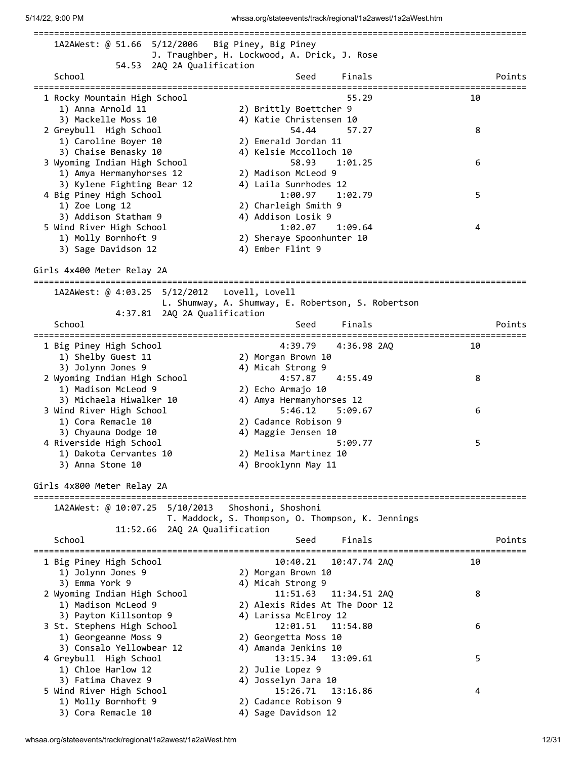| 1A2AWest: @ 51.66 5/12/2006                        | Big Piney, Big Piney<br>J. Traughber, H. Lockwood, A. Drick, J. Rose |        |
|----------------------------------------------------|----------------------------------------------------------------------|--------|
| 54.53 2AQ 2A Qualification                         |                                                                      |        |
| School                                             | Finals<br>Seed                                                       | Points |
| 1 Rocky Mountain High School                       | 55.29                                                                | 10     |
| 1) Anna Arnold 11                                  | 2) Brittly Boettcher 9                                               |        |
| 3) Mackelle Moss 10                                | 4) Katie Christensen 10                                              |        |
| 2 Greybull High School                             | 54.44<br>57.27                                                       | 8      |
| 1) Caroline Boyer 10                               | 2) Emerald Jordan 11                                                 |        |
| 3) Chaise Benasky 10                               | 4) Kelsie Mccolloch 10                                               |        |
| 3 Wyoming Indian High School                       | 58.93<br>1:01.25                                                     | 6      |
| 1) Amya Hermanyhorses 12                           | 2) Madison McLeod 9                                                  |        |
| 3) Kylene Fighting Bear 12                         | 4) Laila Sunrhodes 12<br>1:00.97<br>1:02.79                          | 5      |
| 4 Big Piney High School<br>1) Zoe Long 12          | 2) Charleigh Smith 9                                                 |        |
| 3) Addison Statham 9                               | 4) Addison Losik 9                                                   |        |
| 5 Wind River High School                           | 1:02.07<br>1:09.64                                                   | 4      |
| 1) Molly Bornhoft 9                                | 2) Sheraye Spoonhunter 10                                            |        |
| 3) Sage Davidson 12                                | 4) Ember Flint 9                                                     |        |
|                                                    |                                                                      |        |
| Girls 4x400 Meter Relay 2A<br>-------------------- |                                                                      |        |
| 1A2AWest: @ 4:03.25  5/12/2012  Lovell, Lovell     |                                                                      |        |
|                                                    | L. Shumway, A. Shumway, E. Robertson, S. Robertson                   |        |
| 4:37.81 2AQ 2A Qualification                       |                                                                      |        |
| School                                             | Finals<br>Seed                                                       | Points |
| 1 Big Piney High School                            | 4:39.79<br>4:36.98 2AQ                                               | 10     |
| 1) Shelby Guest 11                                 | 2) Morgan Brown 10                                                   |        |
| 3) Jolynn Jones 9                                  | 4) Micah Strong 9                                                    |        |
| 2 Wyoming Indian High School                       | 4:57.87<br>4:55.49                                                   | 8      |
| 1) Madison McLeod 9                                | 2) Echo Armajo 10                                                    |        |
| 3) Michaela Hiwalker 10                            | 4) Amya Hermanyhorses 12                                             |        |
| 3 Wind River High School                           | 5:46.12<br>5:09.67                                                   | 6      |
| 1) Cora Remacle 10                                 | 2) Cadance Robison 9                                                 |        |
| 3) Chyauna Dodge 10                                | 4) Maggie Jensen 10                                                  |        |
| 4 Riverside High School                            | 5:09.77                                                              | 5      |
| 1) Dakota Cervantes 10                             | 2) Melisa Martinez 10                                                |        |
| 3) Anna Stone 10                                   | 4) Brooklynn May 11                                                  |        |
|                                                    |                                                                      |        |
| Girls 4x800 Meter Relay 2A                         |                                                                      |        |
| 1A2AWest: @ 10:07.25 5/10/2013                     | Shoshoni, Shoshoni                                                   |        |
|                                                    | T. Maddock, S. Thompson, O. Thompson, K. Jennings                    |        |
| 11:52.66 2AQ 2A Qualification                      |                                                                      |        |
| School                                             | Finals<br>Seed                                                       | Points |
| 1 Big Piney High School                            | 10:40.21<br>10:47.74 2AO                                             | 10     |
| 1) Jolynn Jones 9                                  | 2) Morgan Brown 10                                                   |        |
| 3) Emma York 9                                     | 4) Micah Strong 9                                                    |        |
| 2 Wyoming Indian High School                       | 11:51.63<br>11:34.51 2AQ                                             | 8      |
| 1) Madison McLeod 9                                | 2) Alexis Rides At The Door 12                                       |        |
| 3) Payton Killsontop 9                             | 4) Larissa McElroy 12                                                |        |
| 3 St. Stephens High School                         | 12:01.51<br>11:54.80                                                 | 6      |
| 1) Georgeanne Moss 9                               | 2) Georgetta Moss 10                                                 |        |
| 3) Consalo Yellowbear 12                           | 4) Amanda Jenkins 10                                                 |        |
| 4 Greybull High School                             | 13:15.34<br>13:09.61                                                 | 5      |
| 1) Chloe Harlow 12                                 | 2) Julie Lopez 9                                                     |        |
| 3) Fatima Chavez 9                                 | 4) Josselyn Jara 10                                                  |        |
| 5 Wind River High School                           | 15:26.71<br>13:16.86                                                 | 4      |
| 1) Molly Bornhoft 9                                | 2) Cadance Robison 9                                                 |        |
| 3) Cora Remacle 10                                 | 4) Sage Davidson 12                                                  |        |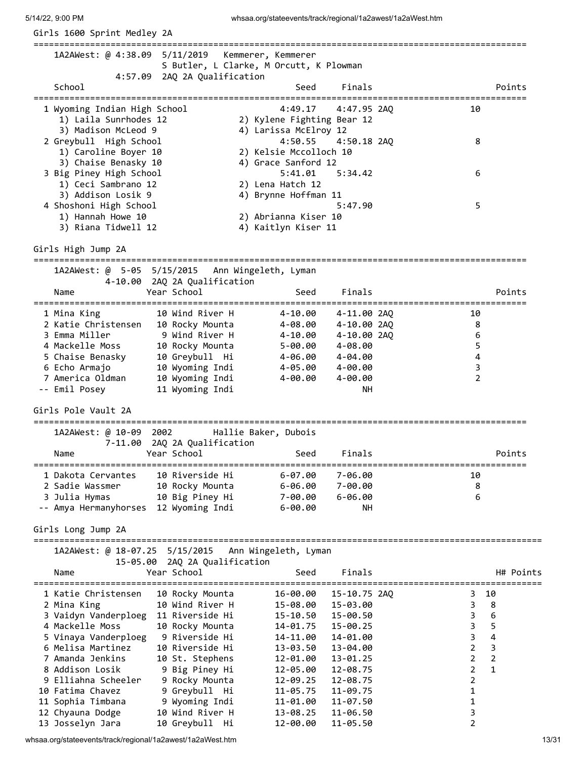| Girls 1600 Sprint Medley 2A                                            |                                                                         |                                                            |                      |                |                |
|------------------------------------------------------------------------|-------------------------------------------------------------------------|------------------------------------------------------------|----------------------|----------------|----------------|
| ==========================<br>1A2AWest: @ 4:38.09 5/11/2019            | S Butler, L Clarke, M Orcutt, K Plowman<br>4:57.09 2AQ 2A Qualification | Kemmerer, Kemmerer                                         |                      |                |                |
| School                                                                 |                                                                         | Seed                                                       | Finals               |                | Points         |
| 1 Wyoming Indian High School<br>1) Laila Sunrhodes 12                  |                                                                         | 4:49.17<br>2) Kylene Fighting Bear 12                      | 4:47.95 2AQ          | 10             |                |
| 3) Madison McLeod 9<br>2 Greybull High School<br>1) Caroline Boyer 10  |                                                                         | 4) Larissa McElroy 12<br>4:50.55<br>2) Kelsie Mccolloch 10 | 4:50.18 2AQ          | 8              |                |
| 3) Chaise Benasky 10<br>3 Big Piney High School<br>1) Ceci Sambrano 12 |                                                                         | 4) Grace Sanford 12<br>5:41.01<br>2) Lena Hatch 12         | 5:34.42              | 6              |                |
| 3) Addison Losik 9<br>4 Shoshoni High School                           |                                                                         | 4) Brynne Hoffman 11                                       | 5:47.90              | 5              |                |
| 1) Hannah Howe 10<br>3) Riana Tidwell 12                               |                                                                         | 2) Abrianna Kiser 10<br>4) Kaitlyn Kiser 11                |                      |                |                |
| Girls High Jump 2A                                                     |                                                                         |                                                            |                      |                |                |
| ==============<br>1A2AWest: @ 5-05 5/15/2015                           | 4-10.00 2AQ 2A Qualification                                            | Ann Wingeleth, Lyman                                       |                      |                |                |
| Name                                                                   | Year School                                                             | Seed                                                       | Finals               |                | Points         |
| ===============<br>1 Mina King                                         | 10 Wind River H                                                         | 4-10.00                                                    | 4-11.00 2AQ          | 10             |                |
| 2 Katie Christensen                                                    | 10 Rocky Mounta                                                         | 4-08.00                                                    | 4-10.00 2AQ          | 8              |                |
| 3 Emma Miller                                                          | 9 Wind River H                                                          | 4-10.00                                                    | 4-10.00 2AQ          | 6              |                |
| 4 Mackelle Moss<br>5 Chaise Benasky                                    | 10 Rocky Mounta<br>10 Greybull Hi                                       | 5-00.00<br>4-06.00                                         | 4-08.00<br>4-04.00   | 5<br>4         |                |
| 6 Echo Armajo                                                          | 10 Wyoming Indi                                                         | 4-05.00                                                    | 4-00.00              | 3              |                |
| 7 America Oldman                                                       | 10 Wyoming Indi                                                         | 4-00.00                                                    | $4 - 00.00$          | $\overline{2}$ |                |
| -- Emil Posey                                                          | 11 Wyoming Indi                                                         |                                                            | NН                   |                |                |
| Girls Pole Vault 2A                                                    |                                                                         |                                                            |                      |                |                |
| 1A2AWest: @ 10-09 2002                                                 |                                                                         | Hallie Baker, Dubois                                       |                      |                |                |
| $7 - 11.00$                                                            | 2AQ 2A Qualification                                                    |                                                            |                      |                |                |
| Name                                                                   | Year School                                                             | Seed                                                       | Finals               |                | Points         |
| 1 Dakota Cervantes                                                     | 10 Riverside Hi                                                         | $6 - 07.00$                                                | 7-06.00              | 10             |                |
| 2 Sadie Wassmer                                                        | 10 Rocky Mounta                                                         | 6-06.00                                                    | 7-00.00              | 8              |                |
| 3 Julia Hymas                                                          | 10 Big Piney Hi                                                         | 7-00.00                                                    | $6 - 06.00$          | 6              |                |
| -- Amya Hermanyhorses 12 Wyoming Indi                                  |                                                                         | $6 - 00.00$                                                | NН                   |                |                |
| Girls Long Jump 2A                                                     |                                                                         |                                                            |                      |                |                |
| 1A2AWest: @ 18-07.25 5/15/2015                                         | 15-05.00 2AQ 2A Qualification                                           | Ann Wingeleth, Lyman                                       |                      |                |                |
| Name                                                                   | Year School                                                             | Seed                                                       | Finals               |                | H# Points      |
| 1 Katie Christensen                                                    | 10 Rocky Mounta                                                         | 16-00.00                                                   | 15-10.75 2AQ         | $3 10$         |                |
| 2 Mina King                                                            | 10 Wind River H                                                         | 15-08.00                                                   | 15-03.00             | 3              | 8              |
| 3 Vaidyn Vanderploeg 11 Riverside Hi                                   |                                                                         | 15-10.50                                                   | 15-00.50             | 3              | 6              |
| 4 Mackelle Moss<br>5 Vinaya Vanderploeg                                | 10 Rocky Mounta<br>9 Riverside Hi                                       | 14-01.75<br>14-11.00                                       | 15-00.25<br>14-01.00 | 3<br>3         | 5<br>4         |
| 6 Melisa Martinez                                                      | 10 Riverside Hi                                                         | 13-03.50                                                   | 13-04.00             | $\overline{2}$ | $\mathsf 3$    |
| 7 Amanda Jenkins                                                       | 10 St. Stephens                                                         | 12-01.00                                                   | 13-01.25             | $\overline{2}$ | $\overline{2}$ |
| 8 Addison Losik                                                        | 9 Big Piney Hi                                                          | 12-05.00                                                   | 12-08.75             | $\overline{2}$ | $\mathbf{1}$   |
| 9 Elliahna Scheeler                                                    | 9 Rocky Mounta                                                          | 12-09.25                                                   | 12-08.75             | $\overline{2}$ |                |
| 10 Fatima Chavez                                                       | 9 Greybull Hi                                                           | 11-05.75                                                   | 11-09.75             | 1              |                |
| 11 Sophia Timbana                                                      | 9 Wyoming Indi                                                          | 11-01.00                                                   | 11-07.50             | 1              |                |
| 12 Chyauna Dodge                                                       | 10 Wind River H                                                         | 13-08.25                                                   | 11-06.50             | 3              |                |
| 13 Josselyn Jara                                                       | 10 Greybull Hi                                                          | 12-00.00                                                   | 11-05.50             | $\overline{2}$ |                |

whsaa.org/stateevents/track/regional/1a2awest/1a2aWest.htm 13/31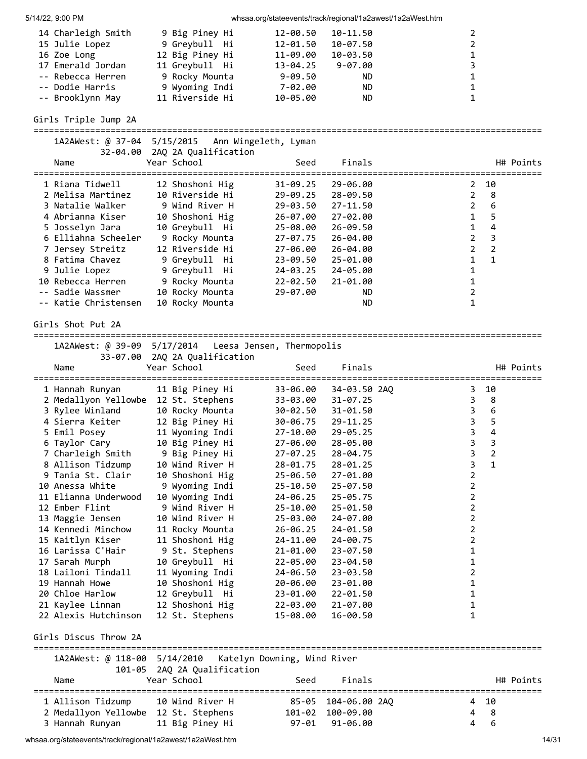| 14 Charleigh Smith | 9 Big Piney Hi  | 12-00.50<br>10-11.50 |              |
|--------------------|-----------------|----------------------|--------------|
| 15 Julie Lopez     | 9 Greybull Hi   | 10-07.50<br>12-01.50 | $\mathbf{2}$ |
| 16 Zoe Long        | 12 Big Piney Hi | 11-09.00<br>10-03.50 | $\mathbf{1}$ |
| 17 Emerald Jordan  | 11 Greybull Hi  | 9-07.00<br>13-04.25  | 3            |
| -- Rebecca Herren  | 9 Rocky Mounta  | 9-09.50<br>ND.       | $\mathbf{1}$ |
| -- Dodie Harris    | 9 Wyoming Indi  | 7-02.00<br>ND.       | $\mathbf{1}$ |
| -- Brooklynn May   | 11 Riverside Hi | 10-05.00<br>ND.      |              |

Girls Triple Jump 2A

===================================================================================================

|  | 1A2AWest: @ 37-04 5/15/2015 | Ann Wingeleth, Lyman |  |
|--|-----------------------------|----------------------|--|
|  |                             |                      |  |

|                      | 32-04.00 2AQ 2A Qualification |              |          |                |                |           |
|----------------------|-------------------------------|--------------|----------|----------------|----------------|-----------|
| Name                 | Year School                   | Seed         | Finals   |                |                | H# Points |
| 1 Riana Tidwell      | 12 Shoshoni Hig               | $31 - 09.25$ | 29-06.00 |                | $2 \t10$       |           |
| 2 Melisa Martinez    | 10 Riverside Hi               | 29-09.25     | 28-09.50 |                | $2 \quad 8$    |           |
| 3 Natalie Walker     | 9 Wind River H                | 29-03.50     | 27-11.50 | $\overline{2}$ | 6              |           |
| 4 Abrianna Kiser     | 10 Shoshoni Hig               | 26-07.00     | 27-02.00 | $1 \quad$      | -5             |           |
| 5 Josselyn Jara      | 10 Greybull Hi                | 25-08.00     | 26-09.50 |                | 4              |           |
| 6 Elliahna Scheeler  | 9 Rocky Mounta                | 27-07.75     | 26-04.00 | $2^{\circ}$    | 3              |           |
| 7 Jersey Streitz     | 12 Riverside Hi               | 27-06.00     | 26-04.00 | $\mathbf{2}$   | $\overline{2}$ |           |
| 8 Fatima Chavez      | 9 Greybull Hi                 | 23-09.50     | 25-01.00 | $1 \quad$      | $\mathbf{1}$   |           |
| 9 Julie Lopez        | 9 Greybull Hi                 | 24-03.25     | 24-05.00 |                |                |           |
| 10 Rebecca Herren    | 9 Rocky Mounta                | 22-02.50     | 21-01.00 |                |                |           |
| -- Sadie Wassmer     | 10 Rocky Mounta               | 29-07.00     | ND.      |                |                |           |
| -- Katie Christensen | 10 Rocky Mounta               |              | ND.      |                |                |           |
|                      |                               |              |          |                |                |           |

Girls Shot Put 2A

===================================================================================================

1A2AWest: @ 39-09 5/17/2014 Leesa Jensen, Thermopolis

| Name                             | 33-07.00 2AQ 2A Qualification<br>Year School | Seed     | Finals       |                |                | H# Points |
|----------------------------------|----------------------------------------------|----------|--------------|----------------|----------------|-----------|
| 1 Hannah Runyan                  | 11 Big Piney Hi                              | 33-06.00 | 34-03.50 2AO |                | 3 10           |           |
| 2 Medallyon Yellowbe             | 12 St. Stephens                              | 33-03.00 | $31 - 07.25$ | 3              | 8              |           |
| 3 Rylee Winland                  | 10 Rocky Mounta                              | 30-02.50 | 31-01.50     | $\overline{3}$ | 6              |           |
| 4 Sierra Keiter                  | 12 Big Piney Hi                              | 30-06.75 | 29-11.25     | $\overline{3}$ | 5              |           |
| 5 Emil Posey                     | 11 Wyoming Indi                              | 27-10.00 | 29-05.25     | $\mathsf{3}$   | $\overline{4}$ |           |
| 6 Taylor Cary                    | 10 Big Piney Hi                              | 27-06.00 | 28-05.00     | 3              | 3              |           |
| 7 Charleigh Smith 9 Big Piney Hi |                                              | 27-07.25 | $28 - 04.75$ | $\overline{3}$ | $\overline{2}$ |           |
| 8 Allison Tidzump                | 10 Wind River H                              | 28-01.75 | 28-01.25     | 3              | $\mathbf{1}$   |           |
| 9 Tania St. Clair                | 10 Shoshoni Hig                              | 25-06.50 | 27-01.00     | $\overline{2}$ |                |           |
| 10 Anessa White                  | 9 Wyoming Indi                               | 25-10.50 | $25 - 07.50$ | $\overline{2}$ |                |           |
| 11 Elianna Underwood             | 10 Wyoming Indi                              | 24-06.25 | 25-05.75     | $\overline{2}$ |                |           |
| 12 Ember Flint                   | 9 Wind River H                               | 25-10.00 | 25-01.50     | $\overline{2}$ |                |           |
| 13 Maggie Jensen                 | 10 Wind River H                              | 25-03.00 | 24-07.00     | $\overline{2}$ |                |           |
| 14 Kennedi Minchow               | 11 Rocky Mounta                              | 26-06.25 | 24-01.50     | $\overline{2}$ |                |           |
| 15 Kaitlyn Kiser                 | 11 Shoshoni Hig                              | 24-11.00 | 24-00.75     | $\overline{2}$ |                |           |
| 16 Larissa C'Hair                | 9 St. Stephens                               | 21-01.00 | 23-07.50     | $\mathbf{1}$   |                |           |
| 17 Sarah Murph                   | 10 Greybull Hi                               | 22-05.00 | 23-04.50     | 1              |                |           |
| 18 Lailoni Tindall               | 11 Wyoming Indi                              | 24-06.50 | 23-03.50     | $\overline{2}$ |                |           |
| 19 Hannah Howe                   | 10 Shoshoni Hig                              | 20-06.00 | 23-01.00     | 1              |                |           |
| 20 Chloe Harlow                  | 12 Greybull Hi                               | 23-01.00 | 22-01.50     | 1              |                |           |
| 21 Kaylee Linnan                 | 12 Shoshoni Hig                              | 22-03.00 | 21-07.00     | 1              |                |           |
| 22 Alexis Hutchinson             | 12 St. Stephens                              | 15-08.00 | 16-00.50     | $\mathbf{1}$   |                |           |
| Girls Discus Throw 2A            |                                              |          |              |                |                |           |

|                   | 1A2AWest: @ 118-00 5/14/2010 Katelyn Downing, Wind River |      |                     |   |           |
|-------------------|----------------------------------------------------------|------|---------------------|---|-----------|
|                   | 101-05 2AQ 2A Qualification                              |      |                     |   |           |
| Name              | Year School                                              | Seed | Finals              |   | H# Points |
|                   |                                                          |      |                     |   |           |
| 1 Allison Tidzump | 10 Wind River H                                          |      | 85-05 104-06.00 2AO |   | 4 10      |
|                   | 2 Medallyon Yellowbe 12 St. Stephens                     |      | 101-02 100-09.00    | 4 | - 8       |
| 3 Hannah Runyan   | 11 Big Piney Hi                                          |      | 97-01 91-06.00      | 4 | -6        |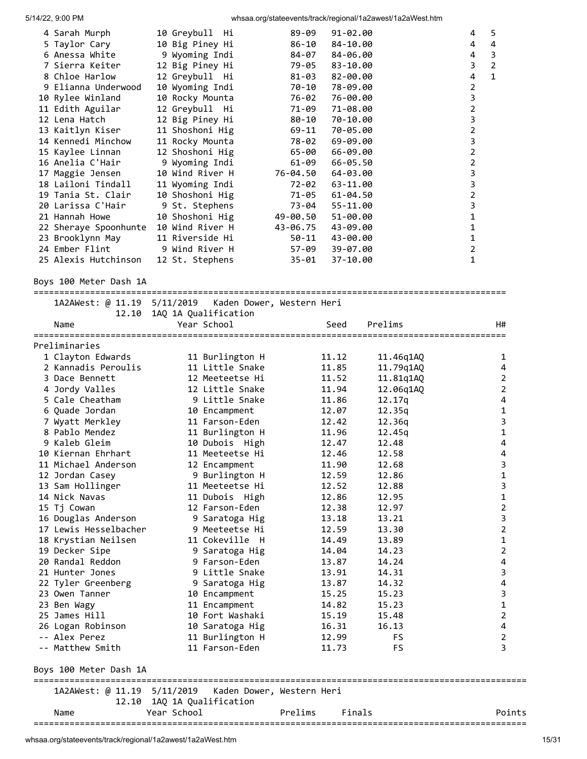| 4 Sarah Murph                 | 10 Greybull Hi  | 89-09     | $91 - 02.00$ | 4              | 5              |
|-------------------------------|-----------------|-----------|--------------|----------------|----------------|
| 5 Taylor Cary                 | 10 Big Piney Hi | 86-10     | 84-10.00     | 4              | 4              |
| 6 Anessa White                | 9 Wyoming Indi  | 84-07     | 84-06.00     | 4              | 3              |
| 7 Sierra Keiter               | 12 Big Piney Hi | 79-05     | 83-10.00     | 3              | $\overline{2}$ |
| 8 Chloe Harlow                | 12 Greybull Hi  | 81-03     | 82-00.00     | 4              | $\mathbf{1}$   |
| 9 Elianna Underwood           | 10 Wyoming Indi | 70-10     | 78-09.00     | $\overline{2}$ |                |
| 10 Rylee Winland              | 10 Rocky Mounta | 76-02     | 76-00.00     | 3              |                |
| 11 Edith Aguilar              | 12 Greybull Hi  | 71-09     | 71-08.00     | $\overline{2}$ |                |
| 12 Lena Hatch                 | 12 Big Piney Hi | 80-10     | 70-10.00     | 3              |                |
| 13 Kaitlyn Kiser              | 11 Shoshoni Hig | 69-11     | 70-05.00     | 2              |                |
| 14 Kennedi Minchow            | 11 Rocky Mounta | 78-02     | 69-09.00     | 3              |                |
| 15 Kaylee Linnan              | 12 Shoshoni Hig | 65-00     | 66-09.00     | $\overline{2}$ |                |
| 16 Anelia C'Hair              | 9 Wyoming Indi  | 61-09     | 66-05.50     | $\overline{2}$ |                |
| 17 Maggie Jensen              | 10 Wind River H | 76-04.50  | 64-03.00     | 3              |                |
| 18 Lailoni Tindall            | 11 Wyoming Indi | 72-02     | 63-11.00     | 3              |                |
| 19 Tania St. Clair            | 10 Shoshoni Hig | 71-05     | 61-04.50     | $\overline{2}$ |                |
| 20 Larissa C'Hair             | 9 St. Stephens  | 73-04     | 55-11.00     | 3              |                |
| 21 Hannah Howe                | 10 Shoshoni Hig | 49-00.50  | 51-00.00     | 1              |                |
| 22 Sheraye Spoonhunte         | 10 Wind River H | 43-06.75  | 43-09.00     | 1              |                |
| 23 Brooklynn May              | 11 Riverside Hi | $50 - 11$ | 43-00.00     |                |                |
| 24 Ember Flint 9 Wind River H |                 | 57-09     | 39-07.00     | 2              |                |
| 25 Alexis Hutchinson          | 12 St. Stephens | 35-01     | 37-10.00     |                |                |

Boys 100 Meter Dash 1A

|                | ===========            |                            | 1A2AWest: @ 11.19 5/11/2019 Kaden Dower, Western Heri |         |       |           |                         |
|----------------|------------------------|----------------------------|-------------------------------------------------------|---------|-------|-----------|-------------------------|
| Name           | 12.10                  |                            | 1AQ 1A Qualification<br>Year School                   |         | Seed  | Prelims   | H#                      |
| Preliminaries  |                        |                            |                                                       |         |       |           |                         |
|                | 1 Clayton Edwards      |                            | 11 Burlington H                                       |         | 11.12 | 11.46q1AQ | 1                       |
|                | 2 Kannadis Peroulis    |                            | 11 Little Snake                                       |         | 11.85 | 11.79q1AQ | 4                       |
|                | 3 Dace Bennett         |                            | 12 Meeteetse Hi                                       |         | 11.52 | 11.81q1AQ | $\overline{2}$          |
|                | 4 Jordy Valles         |                            | 12 Little Snake                                       |         | 11.94 | 12.06q1AQ | $\overline{2}$          |
|                | 5 Cale Cheatham        |                            | 9 Little Snake                                        |         | 11.86 | 12.17q    | $\overline{\mathbf{4}}$ |
|                | 6 Quade Jordan         |                            | 10 Encampment                                         |         | 12.07 | 12.35q    | $\mathbf 1$             |
|                | 7 Wyatt Merkley        |                            | 11 Farson-Eden                                        |         | 12.42 | 12.36q    | 3                       |
|                | 8 Pablo Mendez         |                            | 11 Burlington H                                       |         | 11.96 | 12.45q    | 1                       |
|                | 9 Kaleb Gleim          |                            | 10 Dubois High                                        |         | 12.47 | 12.48     | 4                       |
|                | 10 Kiernan Ehrhart     |                            | 11 Meeteetse Hi                                       |         | 12.46 | 12.58     | 4                       |
|                | 11 Michael Anderson    |                            | 12 Encampment                                         |         | 11.90 | 12.68     | 3                       |
|                | 12 Jordan Casey        |                            | 9 Burlington H                                        |         | 12.59 | 12.86     | $\mathbf 1$             |
|                | 13 Sam Hollinger       |                            | 11 Meeteetse Hi                                       |         | 12.52 | 12.88     | 3                       |
| 14 Nick Navas  |                        |                            | 11 Dubois High                                        |         | 12.86 | 12.95     | $\mathbf 1$             |
| 15 Tj Cowan    |                        |                            | 12 Farson-Eden                                        |         | 12.38 | 12.97     | $\overline{2}$          |
|                | 16 Douglas Anderson    |                            | 9 Saratoga Hig                                        |         | 13.18 | 13.21     | $\overline{\mathbf{3}}$ |
|                | 17 Lewis Hesselbacher  |                            | 9 Meeteetse Hi                                        |         | 12.59 | 13.30     | $\overline{2}$          |
|                | 18 Krystian Neilsen    |                            | 11 Cokeville H                                        |         | 14.49 | 13.89     | $\mathbf{1}$            |
| 19 Decker Sipe |                        |                            | 9 Saratoga Hig                                        |         | 14.04 | 14.23     | $\overline{2}$          |
|                | 20 Randal Reddon       |                            | 9 Farson-Eden                                         |         | 13.87 | 14.24     | 4                       |
|                | 21 Hunter Jones        |                            | 9 Little Snake                                        |         | 13.91 | 14.31     | 3                       |
|                | 22 Tyler Greenberg     |                            | 9 Saratoga Hig                                        |         | 13.87 | 14.32     | 4                       |
| 23 Owen Tanner |                        |                            | 10 Encampment                                         |         | 15.25 | 15.23     | 3                       |
| 23 Ben Wagy    |                        |                            | 11 Encampment                                         |         | 14.82 | 15.23     | $\mathbf{1}$            |
| 25 James Hill  |                        |                            | 10 Fort Washaki                                       |         | 15.19 | 15.48     | $\overline{2}$          |
|                | 26 Logan Robinson      |                            | 10 Saratoga Hig                                       |         | 16.31 | 16.13     | $\overline{4}$          |
| -- Alex Perez  |                        |                            | 11 Burlington H                                       |         | 12.99 | FS.       | $\overline{2}$          |
|                | -- Matthew Smith       |                            | 11 Farson-Eden                                        |         | 11.73 | FS.       | 3                       |
|                | Boys 100 Meter Dash 1A |                            |                                                       |         |       |           |                         |
|                |                        | 12.10 1AQ 1A Qualification | 1A2AWest: @ 11.19 5/11/2019 Kaden Dower, Western Heri |         |       |           |                         |
| Name           |                        | Year School                |                                                       | Prelims |       | Finals    | Points                  |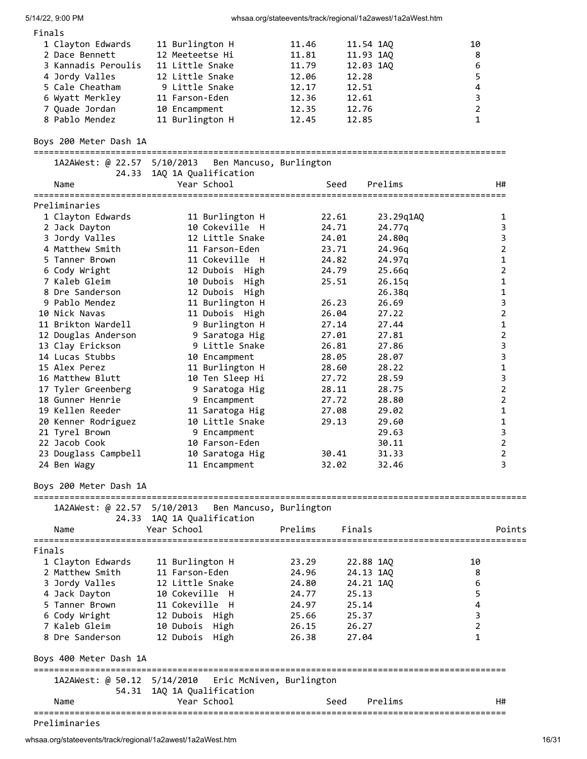| Finals                       |                                                      |                         |           |                         |
|------------------------------|------------------------------------------------------|-------------------------|-----------|-------------------------|
| 1 Clayton Edwards            | 11 Burlington H                                      | 11.46                   | 11.54 1AQ | 10                      |
| 2 Dace Bennett               | 12 Meeteetse Hi                                      | 11.81                   | 11.93 1AQ | 8                       |
| 3 Kannadis Peroulis          | 11 Little Snake                                      | 11.79                   | 12.03 1AQ | 6                       |
| 4 Jordy Valles               | 12 Little Snake                                      | 12.06<br>12.28          |           | 5                       |
| 5 Cale Cheatham              | 9 Little Snake                                       | 12.17<br>12.51          |           | 4                       |
| 6 Wyatt Merkley              | 11 Farson-Eden                                       | 12.36<br>12.61          |           | 3                       |
| 7 Quade Jordan               | 10 Encampment                                        | 12.35<br>12.76          |           | 2                       |
| 8 Pablo Mendez               | 11 Burlington H                                      | 12.45<br>12.85          |           | $\mathbf 1$             |
| Boys 200 Meter Dash 1A       |                                                      |                         |           |                         |
| 1A2AWest: @ 22.57 5/10/2013  |                                                      | Ben Mancuso, Burlington |           |                         |
| Name                         | 24.33 1AQ 1A Qualification<br>Year School            | Seed                    | Prelims   | H#                      |
|                              |                                                      |                         |           |                         |
| Preliminaries                |                                                      |                         |           |                         |
| 1 Clayton Edwards            | 11 Burlington H                                      | 22.61                   | 23.29q1AQ | 1                       |
| 2 Jack Dayton                | 10 Cokeville H                                       | 24.71                   | 24.77g    | 3                       |
| 3 Jordy Valles               | 12 Little Snake                                      | 24.01                   | 24.80q    | 3                       |
| 4 Matthew Smith              | 11 Farson-Eden                                       | 23.71                   | 24.96q    | $\overline{2}$          |
| 5 Tanner Brown               | 11 Cokeville H                                       | 24.82                   | 24.97q    | $\mathbf{1}$            |
| 6 Cody Wright                | 12 Dubois High                                       | 24.79                   | 25.66q    | $\overline{2}$          |
| 7 Kaleb Gleim                | 10 Dubois High                                       | 25.51                   | 26.15q    | 1                       |
| 8 Dre Sanderson              | 12 Dubois High                                       |                         | 26.38q    | 1                       |
| 9 Pablo Mendez               | 11 Burlington H                                      | 26.23                   | 26.69     | 3                       |
| 10 Nick Navas                | 11 Dubois High                                       | 26.04                   | 27.22     | $\overline{2}$          |
| 11 Brikton Wardell           | 9 Burlington H                                       | 27.14                   | 27.44     | $\mathbf{1}$            |
| 12 Douglas Anderson          | 9 Saratoga Hig                                       | 27.01                   | 27.81     | $\overline{2}$          |
| 13 Clay Erickson             | 9 Little Snake                                       | 26.81                   | 27.86     | 3                       |
| 14 Lucas Stubbs              | 10 Encampment                                        | 28.05                   | 28.07     | 3                       |
| 15 Alex Perez                | 11 Burlington H                                      | 28.60                   | 28.22     | $\mathbf 1$             |
| 16 Matthew Blutt             | 10 Ten Sleep Hi                                      | 27.72                   | 28.59     | 3                       |
| 17 Tyler Greenberg           | 9 Saratoga Hig                                       | 28.11                   | 28.75     | $\overline{2}$          |
| 18 Gunner Henrie             | 9 Encampment                                         | 27.72                   | 28.80     | $\overline{2}$          |
| 19 Kellen Reeder             | 11 Saratoga Hig                                      | 27.08                   | 29.02     | 1                       |
| 20 Kenner Rodriguez          | 10 Little Snake                                      | 29.13                   | 29.60     | $\mathbf{1}$            |
| 21 Tyrel Brown               | 9 Encampment                                         |                         | 29.63     | 3                       |
| 22 Jacob Cook                | 10 Farson-Eden                                       |                         | 30.11     | $\overline{2}$          |
| 23 Douglass Campbell         | 10 Saratoga Hig                                      | 30.41                   | 31.33     | $\overline{2}$          |
| 24 Ben Wagy                  | 11 Encampment                                        | 32.02                   | 32.46     | 3                       |
| Boys 200 Meter Dash 1A       |                                                      |                         |           |                         |
| ------------                 |                                                      |                         |           |                         |
| 1A2AWest: @ 22.57 5/10/2013  | 24.33 1AQ 1A Qualification                           | Ben Mancuso, Burlington |           |                         |
| Name                         | Year School                                          | Prelims<br>Finals       |           | Points                  |
|                              |                                                      |                         |           |                         |
| Finals                       |                                                      |                         |           |                         |
| 1 Clayton Edwards            | 11 Burlington H                                      | 23.29                   | 22.88 1AQ | 10                      |
| 2 Matthew Smith              | 11 Farson-Eden                                       | 24.96                   | 24.13 1AQ | 8                       |
| 3 Jordy Valles               | 12 Little Snake                                      | 24.80                   | 24.21 1AQ | 6                       |
| 4 Jack Dayton                | 10 Cokeville H                                       | 24.77<br>25.13          |           | 5                       |
| 5 Tanner Brown               | 11 Cokeville H                                       | 24.97<br>25.14          |           | $\overline{\mathbf{4}}$ |
| 6 Cody Wright                | 12 Dubois High                                       | 25.66<br>25.37          |           | 3                       |
| 7 Kaleb Gleim                | 10 Dubois High                                       | 26.27<br>26.15          |           | 2                       |
| 8 Dre Sanderson              | 12 Dubois High                                       | 27.04<br>26.38          |           | $\mathbf 1$             |
| Boys 400 Meter Dash 1A       |                                                      |                         |           |                         |
|                              | 1A2AWest: @ 50.12 5/14/2010 Eric McNiven, Burlington |                         |           |                         |
|                              | 54.31 1AQ 1A Qualification                           |                         |           |                         |
| Name<br>==================== | Year School<br>================================      | Seed                    | Prelims   | H#                      |
| Preliminaries                |                                                      |                         |           |                         |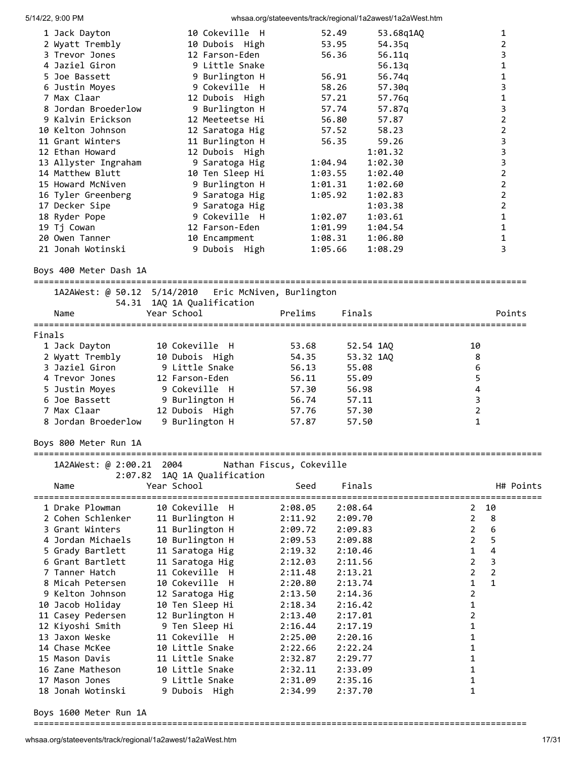| 1 Jack Dayton<br>2 Wyatt Trembly<br>3 Trevor Jones<br>4 Jaziel Giron<br>5 Joe Bassett<br>6 Justin Moyes<br>7 Max Claar<br>8 Jordan Broederlow<br>9 Kalvin Erickson<br>10 Kelton Johnson<br>11 Grant Winters<br>12 Ethan Howard<br>13 Allyster Ingraham<br>14 Matthew Blutt<br>15 Howard McNiven<br>16 Tyler Greenberg<br>17 Decker Sipe<br>18 Ryder Pope<br>19 Tj Cowan<br>20 Owen Tanner<br>21 Jonah Wotinski | 10 Cokeville H<br>10 Dubois High<br>12 Farson-Eden<br>9 Little Snake<br>9 Burlington H<br>9 Cokeville H<br>12 Dubois High<br>9 Burlington H<br>12 Meeteetse Hi<br>12 Saratoga Hig<br>11 Burlington H<br>12 Dubois High<br>9 Saratoga Hig<br>10 Ten Sleep Hi<br>9 Burlington H<br>9 Saratoga Hig<br>9 Saratoga Hig<br>9 Cokeville H<br>12 Farson-Eden<br>10 Encampment<br>9 Dubois High | 52.49<br>53.68q1AQ<br>53.95<br>54.35q<br>56.36<br>56.11q<br>56.13q<br>56.91<br>56.74q<br>58.26<br>57.30q<br>57.21<br>57.76q<br>57.74<br>57.87q<br>56.80<br>57.87<br>57.52<br>58.23<br>56.35<br>59.26<br>1:01.32<br>1:02.30<br>1:04.94<br>1:02.40<br>1:03.55<br>1:01.31<br>1:02.60<br>1:05.92<br>1:02.83<br>1:03.38<br>1:03.61<br>1:02.07<br>1:01.99<br>1:04.54<br>1:08.31<br>1:06.80<br>1:08.29<br>1:05.66 | 1<br>$\overline{2}$<br>3<br>$\mathbf 1$<br>1<br>3<br>1<br>3<br>$\overline{2}$<br>$\overline{2}$<br>3<br>3<br>3<br>$\overline{2}$<br>$\overline{2}$<br>$\overline{2}$<br>$\overline{2}$<br>$\mathbf{1}$<br>$\mathbf{1}$<br>1<br>3 |
|----------------------------------------------------------------------------------------------------------------------------------------------------------------------------------------------------------------------------------------------------------------------------------------------------------------------------------------------------------------------------------------------------------------|----------------------------------------------------------------------------------------------------------------------------------------------------------------------------------------------------------------------------------------------------------------------------------------------------------------------------------------------------------------------------------------|------------------------------------------------------------------------------------------------------------------------------------------------------------------------------------------------------------------------------------------------------------------------------------------------------------------------------------------------------------------------------------------------------------|----------------------------------------------------------------------------------------------------------------------------------------------------------------------------------------------------------------------------------|
| Boys 400 Meter Dash 1A                                                                                                                                                                                                                                                                                                                                                                                         |                                                                                                                                                                                                                                                                                                                                                                                        |                                                                                                                                                                                                                                                                                                                                                                                                            |                                                                                                                                                                                                                                  |
| Name                                                                                                                                                                                                                                                                                                                                                                                                           | 1A2AWest: @ 50.12 5/14/2010 Eric McNiven, Burlington<br>54.31 1AQ 1A Qualification<br>Year School                                                                                                                                                                                                                                                                                      | Prelims<br>Finals                                                                                                                                                                                                                                                                                                                                                                                          | Points                                                                                                                                                                                                                           |
|                                                                                                                                                                                                                                                                                                                                                                                                                |                                                                                                                                                                                                                                                                                                                                                                                        |                                                                                                                                                                                                                                                                                                                                                                                                            |                                                                                                                                                                                                                                  |
| Finals<br>1 Jack Dayton<br>2 Wyatt Trembly<br>3 Jaziel Giron<br>4 Trevor Jones<br>5 Justin Moyes<br>6 Joe Bassett<br>7 Max Claar<br>8 Jordan Broederlow<br>Boys 800 Meter Run 1A                                                                                                                                                                                                                               | 10 Cokeville H<br>10 Dubois High<br>9 Little Snake<br>12 Farson-Eden<br>9 Cokeville H<br>9 Burlington H<br>12 Dubois High<br>9 Burlington H                                                                                                                                                                                                                                            | 53.68<br>52.54 1AQ<br>54.35<br>53.32 1AQ<br>56.13<br>55.08<br>56.11<br>55.09<br>57.30<br>56.98<br>57.11<br>56.74<br>57.76<br>57.30<br>57.50<br>57.87                                                                                                                                                                                                                                                       | 10<br>8<br>6<br>5<br>$\overline{\mathbf{4}}$<br>3<br>$\mathbf 2$<br>$\mathbf 1$                                                                                                                                                  |
|                                                                                                                                                                                                                                                                                                                                                                                                                | 2004                                                                                                                                                                                                                                                                                                                                                                                   | Nathan Fiscus, Cokeville                                                                                                                                                                                                                                                                                                                                                                                   |                                                                                                                                                                                                                                  |
| 1A2AWest: @ 2:00.21<br>2:07.82                                                                                                                                                                                                                                                                                                                                                                                 | 1AQ 1A Qualification                                                                                                                                                                                                                                                                                                                                                                   |                                                                                                                                                                                                                                                                                                                                                                                                            |                                                                                                                                                                                                                                  |
| Name                                                                                                                                                                                                                                                                                                                                                                                                           | Year School                                                                                                                                                                                                                                                                                                                                                                            | Seed<br>Finals                                                                                                                                                                                                                                                                                                                                                                                             | H# Points                                                                                                                                                                                                                        |
| ==================================<br>1 Drake Plowman<br>2 Cohen Schlenker<br>3 Grant Winters<br>4 Jordan Michaels<br>5 Grady Bartlett<br>6 Grant Bartlett<br>7 Tanner Hatch<br>8 Micah Petersen<br>9 Kelton Johnson<br>10 Jacob Holiday<br>11 Casey Pedersen<br>12 Kiyoshi Smith<br>13 Jaxon Weske<br>14 Chase McKee<br>15 Mason Davis<br>16 Zane Matheson<br>17 Mason Jones<br>18 Jonah Wotinski             | 10 Cokeville H<br>11 Burlington H<br>11 Burlington H<br>10 Burlington H<br>11 Saratoga Hig<br>11 Saratoga Hig<br>11 Cokeville H<br>10 Cokeville<br>- H<br>12 Saratoga Hig<br>10 Ten Sleep Hi<br>12 Burlington H<br>9 Ten Sleep Hi<br>11 Cokeville H<br>10 Little Snake<br>11 Little Snake<br>10 Little Snake<br>9 Little Snake<br>9 Dubois High                                        | 2:08.05<br>2:08.64<br>2:11.92<br>2:09.70<br>2:09.83<br>2:09.72<br>2:09.88<br>2:09.53<br>2:19.32<br>2:10.46<br>2:12.03<br>2:11.56<br>2:11.48<br>2:13.21<br>2:20.80<br>2:13.74<br>2:13.50<br>2:14.36<br>2:18.34<br>2:16.42<br>2:13.40<br>2:17.01<br>2:17.19<br>2:16.44<br>2:25.00<br>2:20.16<br>2:22.66<br>2:22.24<br>2:32.87<br>2:29.77<br>2:32.11<br>2:33.09<br>2:31.09<br>2:35.16<br>2:37.70<br>2:34.99   | 2<br>10<br>$\overline{2}$<br>8<br>$\overline{2}$<br>6<br>5<br>2<br>4<br>1<br>3<br>2<br>$\overline{2}$<br>2<br>$\mathbf{1}$<br>1<br>2<br>1<br>2<br>1<br>1<br>1<br>1<br>1<br>1<br>1                                                |

Boys 1600 Meter Run 1A

================================================================================================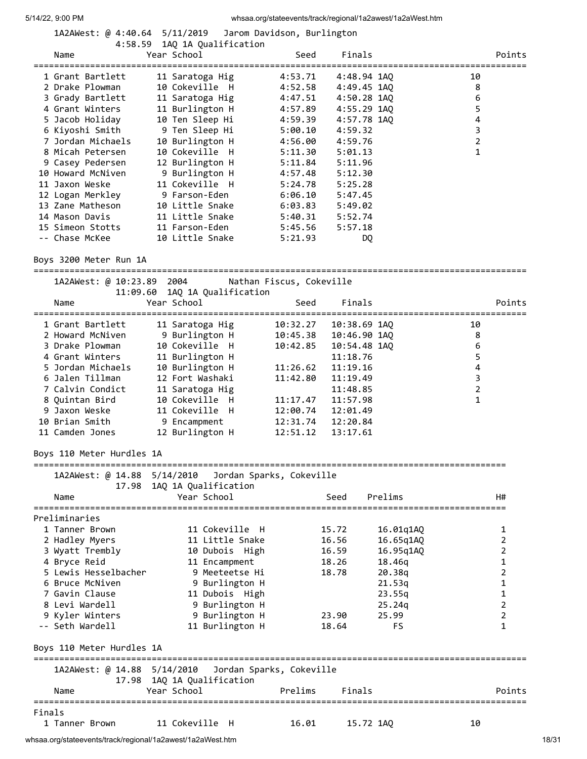|        | 14/22. 9.UU F IVI                     |                                   |                            |               | wiisaa.org/stateeverits/track/regional/ razawesi/ razavvest.min |                |        |
|--------|---------------------------------------|-----------------------------------|----------------------------|---------------|-----------------------------------------------------------------|----------------|--------|
|        | 1A2AWest: @ 4:40.64 5/11/2019         |                                   | Jarom Davidson, Burlington |               |                                                                 |                |        |
|        |                                       | 4:58.59 1AQ 1A Qualification      |                            |               |                                                                 |                |        |
|        | Name                                  | Year School                       | Seed                       | Finals        |                                                                 |                | Points |
|        | 1 Grant Bartlett                      | 11 Saratoga Hig                   | 4:53.71                    | 4:48.94 1AQ   |                                                                 | 10             |        |
|        | 2 Drake Plowman                       | 10 Cokeville H                    | 4:52.58                    | 4:49.45 1AQ   |                                                                 | 8              |        |
|        | 3 Grady Bartlett                      | 11 Saratoga Hig                   | 4:47.51                    | $4:50.28$ 1AQ |                                                                 | 6              |        |
|        | 4 Grant Winters                       |                                   |                            |               |                                                                 |                |        |
|        |                                       | 11 Burlington H                   | 4:57.89                    | $4:55.29$ 1AQ |                                                                 | 5<br>4         |        |
|        | 5 Jacob Holiday                       | 10 Ten Sleep Hi<br>9 Ten Sleep Hi | 4:59.39                    | 4:57.78 1AQ   |                                                                 | 3              |        |
|        | 6 Kiyoshi Smith<br>7 Jordan Michaels  |                                   | 5:00.10                    | 4:59.32       |                                                                 | $\overline{2}$ |        |
|        | 8 Micah Petersen                      | 10 Burlington H<br>10 Cokeville H | 4:56.00                    | 4:59.76       |                                                                 | $\mathbf{1}$   |        |
|        |                                       |                                   | 5:11.30                    | 5:01.13       |                                                                 |                |        |
|        | 9 Casey Pedersen<br>10 Howard McNiven | 12 Burlington H                   | 5:11.84                    | 5:11.96       |                                                                 |                |        |
|        | 11 Jaxon Weske                        | 9 Burlington H                    | 4:57.48                    | 5:12.30       |                                                                 |                |        |
|        |                                       | 11 Cokeville H<br>9 Farson-Eden   | 5:24.78                    | 5:25.28       |                                                                 |                |        |
|        | 12 Logan Merkley                      |                                   | 6:06.10                    | 5:47.45       |                                                                 |                |        |
|        | 13 Zane Matheson                      | 10 Little Snake                   | 6:03.83                    | 5:49.02       |                                                                 |                |        |
|        | 14 Mason Davis                        | 11 Little Snake                   | 5:40.31                    | 5:52.74       |                                                                 |                |        |
|        | 15 Simeon Stotts                      | 11 Farson-Eden                    | 5:45.56                    | 5:57.18       |                                                                 |                |        |
|        | -- Chase McKee                        | 10 Little Snake                   | 5:21.93                    | DQ            |                                                                 |                |        |
|        | Boys 3200 Meter Run 1A                |                                   |                            |               |                                                                 |                |        |
|        |                                       |                                   |                            |               |                                                                 |                |        |
|        | 1A2AWest: @ 10:23.89 2004             | 11:09.60 1AQ 1A Qualification     | Nathan Fiscus, Cokeville   |               |                                                                 |                |        |
|        | Name                                  | Year School                       | Seed                       | Finals        |                                                                 |                | Points |
|        |                                       |                                   |                            |               |                                                                 |                |        |
|        | 1 Grant Bartlett                      | 11 Saratoga Hig                   | 10:32.27                   | 10:38.69 1AQ  |                                                                 | 10             |        |
|        | 2 Howard McNiven                      | 9 Burlington H                    | 10:45.38                   | 10:46.90 1AQ  |                                                                 | 8              |        |
|        | 3 Drake Plowman                       | 10 Cokeville H                    | 10:42.85                   | 10:54.48 1AQ  |                                                                 | 6              |        |
|        | 4 Grant Winters                       | 11 Burlington H                   |                            | 11:18.76      |                                                                 | 5              |        |
|        | 5 Jordan Michaels                     | 10 Burlington H                   | 11:26.62                   | 11:19.16      |                                                                 | 4              |        |
|        | 6 Jalen Tillman                       | 12 Fort Washaki                   | 11:42.80                   | 11:19.49      |                                                                 | 3              |        |
|        | 7 Calvin Condict                      | 11 Saratoga Hig                   |                            | 11:48.85      |                                                                 | $\overline{2}$ |        |
|        | 8 Quintan Bird                        | 10 Cokeville H                    | 11:17.47                   | 11:57.98      |                                                                 | $\mathbf{1}$   |        |
|        | 9 Jaxon Weske                         | 11 Cokeville H                    | 12:00.74                   | 12:01.49      |                                                                 |                |        |
|        | 10 Brian Smith                        | 9 Encampment                      | 12:31.74                   | 12:20.84      |                                                                 |                |        |
|        | 11 Camden Jones                       | 12 Burlington H                   | 12:51.12                   | 13:17.61      |                                                                 |                |        |
|        |                                       |                                   |                            |               |                                                                 |                |        |
|        | Boys 110 Meter Hurdles 1A             |                                   |                            |               |                                                                 |                |        |
|        | 1A2AWest: @ 14.88 5/14/2010           |                                   | Jordan Sparks, Cokeville   |               |                                                                 |                |        |
|        |                                       | 17.98 1AQ 1A Qualification        |                            |               |                                                                 |                |        |
|        | Name                                  | Year School                       |                            | Seed          | Prelims                                                         |                | H#     |
|        | =======================               |                                   |                            |               |                                                                 |                |        |
|        | Preliminaries                         |                                   |                            |               |                                                                 |                |        |
|        | 1 Tanner Brown                        | 11 Cokeville H                    |                            | 15.72         | 16.01q1AQ                                                       |                | 1      |
|        | 2 Hadley Myers                        | 11 Little Snake                   |                            | 16.56         | 16.65q1AQ                                                       |                | 2      |
|        | 3 Wyatt Trembly                       | 10 Dubois High                    |                            | 16.59         | 16.95q1AQ                                                       |                | 2      |
|        | 4 Bryce Reid                          | 11 Encampment                     |                            | 18.26         | 18.46q                                                          |                | 1      |
|        | 5 Lewis Hesselbacher                  | 9 Meeteetse Hi                    |                            | 18.78         | 20.38q                                                          |                | 2      |
|        | 6 Bruce McNiven                       | 9 Burlington H                    |                            |               | 21.53q                                                          |                | 1      |
|        | 7 Gavin Clause                        | 11 Dubois High                    |                            |               | 23.55q                                                          |                | 1      |
|        | 8 Levi Wardell                        | 9 Burlington H                    |                            |               | 25.24q                                                          |                | 2      |
|        | 9 Kyler Winters                       | 9 Burlington H                    |                            | 23.90         | 25.99                                                           |                | 2      |
|        | -- Seth Wardell                       | 11 Burlington H                   |                            | 18.64         | FS                                                              |                | 1      |
|        | Boys 110 Meter Hurdles 1A             |                                   |                            |               |                                                                 |                |        |
|        | 1A2AWest: @ 14.88 5/14/2010           |                                   | Jordan Sparks, Cokeville   |               |                                                                 |                |        |
|        |                                       | 17.98 1AQ 1A Qualification        |                            |               |                                                                 |                |        |
|        | Name                                  | Year School                       | Prelims                    | Finals        |                                                                 |                | Points |
|        |                                       |                                   |                            |               |                                                                 |                |        |
| Finals |                                       |                                   |                            |               |                                                                 |                |        |
|        | 1 Tanner Brown                        | 11 Cokeville H                    | 16.01                      | 15.72 1AQ     |                                                                 | 10             |        |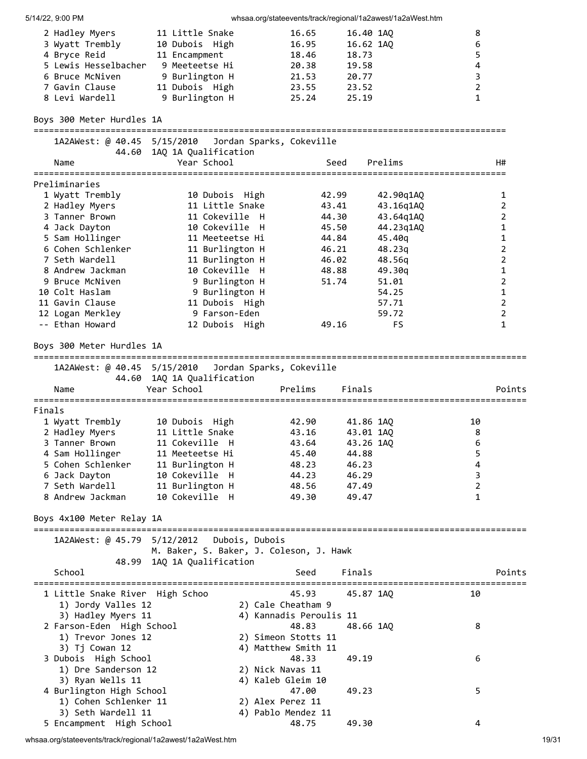| 5/14/22, 9:00 PM |                                                                                   |                            |                 | whsaa.org/stateevents/track/regional/1a2awest/1a2aWest.htm |           |                                  |                  |                |
|------------------|-----------------------------------------------------------------------------------|----------------------------|-----------------|------------------------------------------------------------|-----------|----------------------------------|------------------|----------------|
|                  | 2 Hadley Myers                                                                    | 11 Little Snake            |                 | 16.65                                                      | 16.40 1AQ |                                  | 8                |                |
|                  | 3 Wyatt Trembly                                                                   | 10 Dubois High             |                 | 16.95                                                      | 16.62 1AQ |                                  | 6                |                |
|                  | 4 Bryce Reid                                                                      | 11 Encampment              |                 | 18.46                                                      | 18.73     |                                  | 5                |                |
|                  | 5 Lewis Hesselbacher 9 Meeteetse Hi                                               |                            |                 | 20.38                                                      | 19.58     |                                  | 4                |                |
|                  | 6 Bruce McNiven                                                                   | 9 Burlington H             |                 | 21.53                                                      | 20.77     |                                  | 3                |                |
|                  | 7 Gavin Clause                                                                    | 11 Dubois High             |                 | 23.55                                                      | 23.52     |                                  | $\overline{2}$   |                |
|                  | 8 Levi Wardell                                                                    | 9 Burlington H             |                 | 25.24                                                      | 25.19     |                                  | $\mathbf{1}$     |                |
|                  |                                                                                   |                            |                 |                                                            |           |                                  |                  |                |
|                  | Boys 300 Meter Hurdles 1A                                                         |                            |                 |                                                            |           |                                  |                  |                |
|                  | 1A2AWest: @ 40.45 5/15/2010 Jordan Sparks, Cokeville                              |                            |                 |                                                            |           |                                  |                  |                |
|                  |                                                                                   | 44.60 1AQ 1A Qualification |                 |                                                            |           |                                  |                  |                |
|                  | Name                                                                              | Year School                |                 |                                                            | Seed      | Prelims                          |                  | H#             |
|                  | Preliminaries                                                                     |                            |                 |                                                            |           |                                  |                  |                |
|                  | 1 Wyatt Trembly                                                                   |                            | 10 Dubois High  |                                                            | 42.99     | 42.90q1AQ                        |                  | 1              |
|                  | 2 Hadley Myers                                                                    |                            | 11 Little Snake |                                                            | 43.41     | 43.16q1AQ                        |                  | $\overline{2}$ |
|                  | 3 Tanner Brown                                                                    |                            | 11 Cokeville H  |                                                            | 44.30     | 43.64q1AQ                        |                  | $\overline{2}$ |
|                  | 4 Jack Dayton                                                                     |                            | 10 Cokeville H  |                                                            | 45.50     | 44.23q1AQ                        |                  | 1              |
|                  | 5 Sam Hollinger                                                                   |                            | 11 Meeteetse Hi |                                                            | 44.84     | 45.40a                           |                  | $\mathbf{1}$   |
|                  | 6 Cohen Schlenker                                                                 |                            | 11 Burlington H |                                                            | 46.21     | 48.23q                           |                  | $\overline{2}$ |
|                  | 7 Seth Wardell                                                                    |                            | 11 Burlington H |                                                            | 46.02     | 48.56q                           |                  | $\overline{2}$ |
|                  | 8 Andrew Jackman                                                                  |                            | 10 Cokeville H  |                                                            | 48.88     | 49.30q                           |                  | $\mathbf{1}$   |
|                  | 9 Bruce McNiven                                                                   |                            | 9 Burlington H  |                                                            | 51.74     | 51.01                            |                  | $\overline{2}$ |
|                  | 10 Colt Haslam                                                                    |                            | 9 Burlington H  |                                                            |           | 54.25                            |                  | $\mathbf{1}$   |
|                  | 11 Gavin Clause                                                                   |                            | 11 Dubois High  |                                                            |           | 57.71                            |                  | $\overline{2}$ |
|                  | 12 Logan Merkley                                                                  |                            | 9 Farson-Eden   |                                                            |           | 59.72                            |                  | $\overline{2}$ |
|                  | -- Ethan Howard                                                                   |                            | 12 Dubois High  |                                                            | 49.16     | FS                               |                  | $\mathbf{1}$   |
|                  | Boys 300 Meter Hurdles 1A<br>1A2AWest: @ 40.45 5/15/2010 Jordan Sparks, Cokeville |                            |                 |                                                            |           |                                  |                  |                |
|                  |                                                                                   | 44.60 1AQ 1A Qualification |                 |                                                            |           |                                  |                  |                |
|                  | Name                                                                              | Year School                |                 | Prelims                                                    | Finals    |                                  |                  | Points         |
|                  |                                                                                   |                            |                 |                                                            |           |                                  |                  |                |
| Finals           |                                                                                   |                            |                 |                                                            |           |                                  |                  |                |
|                  | 1 Wyatt Trembly                                                                   | 10 Dubois High             |                 | 42.90                                                      | 41.86 1AQ |                                  | 10               |                |
|                  | 2 Hadley Myers                                                                    | 11 Little Snake            |                 | 43.16                                                      | 43.01 1AQ |                                  | 8                |                |
|                  | 3 Tanner Brown                                                                    | 11 Cokeville H             |                 | 43.64                                                      | 43.26 1AQ |                                  | $\boldsymbol{6}$ |                |
|                  | 4 Sam Hollinger                                                                   | 11 Meeteetse Hi            |                 | 45.40                                                      | 44.88     |                                  | 5                |                |
|                  | 5 Cohen Schlenker                                                                 | 11 Burlington H            |                 | 48.23                                                      | 46.23     |                                  | 4                |                |
|                  | 6 Jack Dayton                                                                     | 10 Cokeville H             |                 | 44.23                                                      | 46.29     |                                  | 3                |                |
|                  | 7 Seth Wardell                                                                    | 11 Burlington H            |                 | 48.56                                                      | 47.49     |                                  | $\overline{2}$   |                |
|                  | 8 Andrew Jackman                                                                  | 10 Cokeville H             |                 | 49.30                                                      | 49.47     |                                  | 1                |                |
|                  | Boys 4x100 Meter Relay 1A                                                         |                            |                 |                                                            |           |                                  |                  |                |
|                  | ===========================<br>1A2AWest: @ 45.79 5/12/2012                        |                            | Dubois, Dubois  |                                                            |           |                                  |                  |                |
|                  |                                                                                   |                            |                 | M. Baker, S. Baker, J. Coleson, J. Hawk                    |           |                                  |                  |                |
|                  |                                                                                   | 48.99 1AQ 1A Qualification |                 |                                                            |           |                                  |                  |                |
|                  | School                                                                            |                            |                 | Seed                                                       | Finals    |                                  |                  | Points         |
|                  | 1 Little Snake River High Schoo                                                   |                            |                 | 45.93                                                      | 45.87 1AQ | ================================ | 10               |                |
|                  | 1) Jordy Valles 12                                                                |                            |                 | 2) Cale Cheatham 9                                         |           |                                  |                  |                |
|                  | 3) Hadley Myers 11                                                                |                            |                 | 4) Kannadis Peroulis 11                                    |           |                                  |                  |                |
|                  | 2 Farson-Eden High School                                                         |                            |                 | 48.83                                                      | 48.66 1AQ |                                  | 8                |                |
|                  | 1) Trevor Jones 12                                                                |                            |                 | 2) Simeon Stotts 11                                        |           |                                  |                  |                |
|                  | 3) Tj Cowan 12                                                                    |                            |                 | 4) Matthew Smith 11                                        |           |                                  |                  |                |
|                  | 3 Dubois High School                                                              |                            |                 | 48.33                                                      | 49.19     |                                  | 6                |                |
|                  | 1) Dre Sanderson 12                                                               |                            |                 | 2) Nick Navas 11                                           |           |                                  |                  |                |
|                  | 3) Ryan Wells 11                                                                  |                            |                 | 4) Kaleb Gleim 10                                          |           |                                  |                  |                |
|                  | 4 Burlington High School                                                          |                            |                 | 47.00                                                      | 49.23     |                                  | 5                |                |
|                  | 1) Cohen Schlenker 11                                                             |                            |                 | 2) Alex Perez 11                                           |           |                                  |                  |                |
|                  | 3) Seth Wardell 11                                                                |                            |                 | 4) Pablo Mendez 11                                         |           |                                  |                  |                |
|                  | 5 Encampment High School                                                          |                            |                 | 48.75                                                      | 49.30     |                                  | 4                |                |

whsaa.org/stateevents/track/regional/1a2awest/1a2aWest.htm 19/31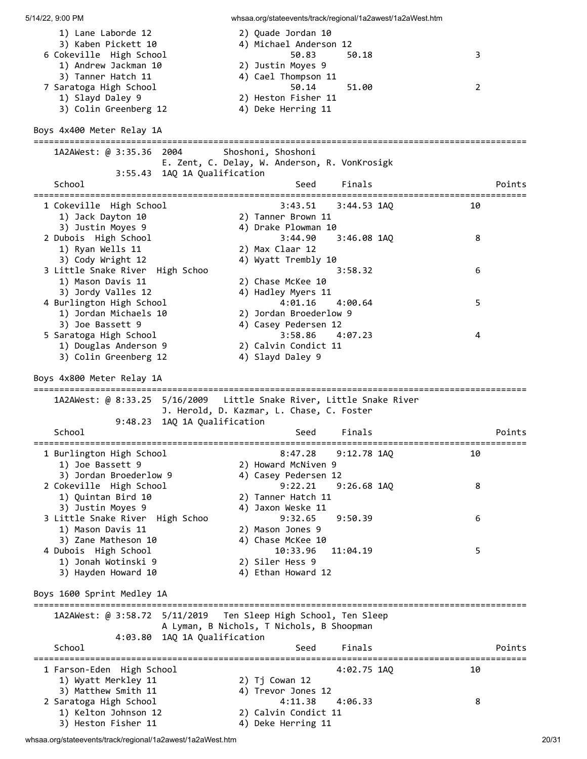5/14/22, 9:00 PM whsaa.org/stateevents/track/regional/1a2awest/1a2aWest.htm 1) Lane Laborde 12 2) Quade Jordan 10 3) Kaben Pickett 10 4) Michael Anderson 12 6 Cokeville High School 50.83 50.18 3 1) Andrew Jackman 10 2) Justin Moyes 9 3) Tanner Hatch 11 4) Cael Thompson 11 7 Saratoga High School 50.14 51.00 2 1) Slayd Daley 9 2) Heston Fisher 11 3) Colin Greenberg 12 4) Deke Herring 11 Boys 4x400 Meter Relay 1A ================================================================================================ 1A2AWest: @ 3:35.36 2004 Shoshoni, Shoshoni E. Zent, C. Delay, W. Anderson, R. VonKrosigk 3:55.43 1AQ 1A Qualification School Seed Finals Points Points ================================================================================================ 1 Cokeville High School 3:43.51 3:44.53 1AQ 10 1) Jack Dayton 10 2) Tanner Brown 11 3) Justin Moyes 9 4) Drake Plowman 10 2 Dubois High School 3:44.90 3:46.08 1AQ 8 1) Ryan Wells 11 2) Max Claar 12 3) Cody Wright 12 4) Wyatt Trembly 10 3 Little Snake River High Schoo 3:58.32 6 1) Mason Davis 11 2) Chase McKee 10 3) Jordy Valles 12 4) Hadley Myers 11 4 Burlington High School 4:01.16 4:00.64 5 1) Jordan Michaels 10 2) Jordan Broederlow 9 3) Joe Bassett 9  $(4)$  Casey Pedersen 12 5 Saratoga High School 3:58.86 4:07.23 4 1) Douglas Anderson 9 2) Calvin Condict 11 3) Colin Greenberg 12 4) Slayd Daley 9 Boys 4x800 Meter Relay 1A ================================================================================================ 1A2AWest: @ 8:33.25 5/16/2009 Little Snake River, Little Snake River J. Herold, D. Kazmar, L. Chase, C. Foster 9:48.23 1AQ 1A Qualification School School Seed Finals Points ================================================================================================ 1 Burlington High School 8:47.28 9:12.78 1AQ 10 1) Joe Bassett 9 2) Howard McNiven 9 3) Jordan Broederlow 9 4) Casey Pedersen 12 2 Cokeville High School 9:22.21 9:26.68 1AQ 8 1) Quintan Bird 10 2) Tanner Hatch 11 3) Justin Moyes 9 4) Jaxon Weske 11 3 Little Snake River High Schoo 9:32.65 9:50.39 6 1) Mason Davis 11 2) Mason Jones 9 3) Zane Matheson 10 4) Chase McKee 10 4 Dubois High School 10:33.96 11:04.19 5 1) Jonah Wotinski 9 2) Siler Hess 9 3) Hayden Howard 10 4) Ethan Howard 12 Boys 1600 Sprint Medley 1A ================================================================================================ 1A2AWest: @ 3:58.72 5/11/2019 Ten Sleep High School, Ten Sleep A Lyman, B Nichols, T Nichols, B Shoopman 4:03.80 1AQ 1A Qualification School School Seed Finals Points ================================================================================================ 1 Farson-Eden High School 4:02.75 1AQ 10 1) Wyatt Merkley 11 2) Tj Cowan 12 3) Matthew Smith 11 4) Trevor Jones 12 2 Saratoga High School 4:11.38 4:06.33 8 1) Kelton Johnson 12 2) Calvin Condict 11 3) Heston Fisher 11 4) Deke Herring 11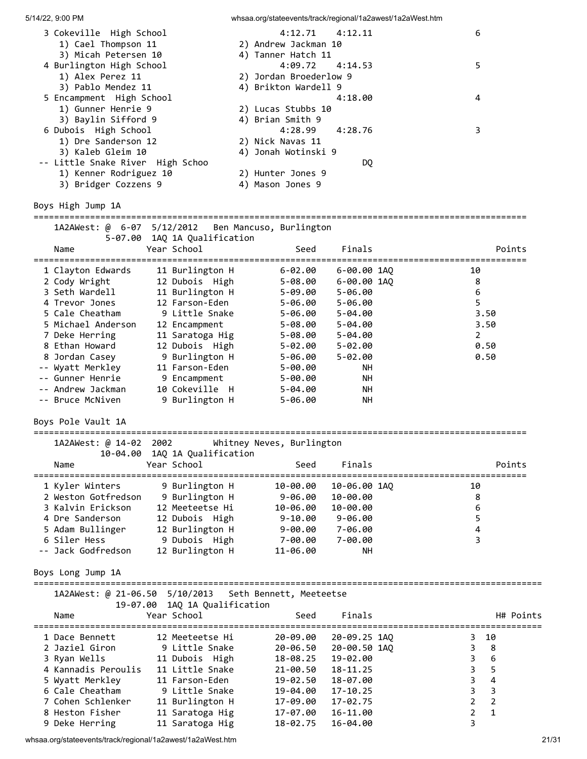| 5/14/22, 9:00 PM                                                                           |                                                                                          | whsaa.org/stateevents/track/regional/1a2awest/1a2aWest.htm                                                                       |                                                                                   |
|--------------------------------------------------------------------------------------------|------------------------------------------------------------------------------------------|----------------------------------------------------------------------------------------------------------------------------------|-----------------------------------------------------------------------------------|
| 3 Cokeville High School<br>1) Cael Thompson 11                                             |                                                                                          | 4:12.11<br>4:12.71<br>2) Andrew Jackman 10                                                                                       | 6                                                                                 |
| 3) Micah Petersen 10<br>4 Burlington High School<br>1) Alex Perez 11<br>3) Pablo Mendez 11 |                                                                                          | 4) Tanner Hatch 11<br>4:09.72<br>4:14.53<br>2) Jordan Broederlow 9<br>4) Brikton Wardell 9                                       | 5                                                                                 |
| 5 Encampment High School<br>1) Gunner Henrie 9                                             |                                                                                          | 4:18.00<br>2) Lucas Stubbs 10                                                                                                    | 4                                                                                 |
| 3) Baylin Sifford 9<br>6 Dubois High School<br>1) Dre Sanderson 12                         |                                                                                          | 4) Brian Smith 9<br>4:28.76<br>4:28.99<br>2) Nick Navas 11                                                                       | 3                                                                                 |
| 3) Kaleb Gleim 10<br>-- Little Snake River High Schoo<br>1) Kenner Rodriguez 10            |                                                                                          | 4) Jonah Wotinski 9<br>2) Hunter Jones 9                                                                                         | DQ                                                                                |
| 3) Bridger Cozzens 9<br>Boys High Jump 1A                                                  |                                                                                          | 4) Mason Jones 9                                                                                                                 |                                                                                   |
|                                                                                            |                                                                                          | 1A2AWest: @ 6-07 5/12/2012 Ben Mancuso, Burlington                                                                               |                                                                                   |
| Name                                                                                       | 5-07.00 1AQ 1A Qualification<br>Year School                                              | Finals<br>Seed                                                                                                                   | Points                                                                            |
| 1 Clayton Edwards<br>2 Cody Wright                                                         | 11 Burlington H<br>12 Dubois High                                                        | 6-02.00<br>5-08.00                                                                                                               | 6-00.00 1AQ<br>10<br>6-00.00 1AQ<br>8                                             |
| 3 Seth Wardell<br>4 Trevor Jones<br>5 Cale Cheatham                                        | 11 Burlington H<br>12 Farson-Eden<br>9 Little Snake                                      | 5-09.00<br>$5 - 06.00$<br>5-06.00<br>$5 - 06.00$<br>5-06.00                                                                      | 6<br>5<br>3.50                                                                    |
| 5 Michael Anderson<br>7 Deke Herring                                                       | 12 Encampment<br>11 Saratoga Hig                                                         | 5-04.00<br>5-08.00<br>$5 - 04.00$<br>5-08.00<br>$5 - 04.00$                                                                      | 3.50<br>2                                                                         |
| 8 Ethan Howard<br>8 Jordan Casey<br>-- Wyatt Merkley                                       | 12 Dubois High<br>9 Burlington H<br>11 Farson-Eden                                       | $5 - 02.00$ $5 - 02.00$<br>$5 - 02.00$<br>5-06.00<br>5-00.00                                                                     | 0.50<br>0.50<br>NН                                                                |
| -- Gunner Henrie<br>-- Andrew Jackman<br>-- Bruce McNiven                                  | 9 Encampment<br>10 Cokeville H<br>9 Burlington H                                         | 5-00.00<br>$5 - 04.00$<br>$5 - 06.00$                                                                                            | NH<br>NН<br>NН                                                                    |
| Boys Pole Vault 1A                                                                         |                                                                                          |                                                                                                                                  |                                                                                   |
|                                                                                            |                                                                                          | 1A2AWest: @ 14-02 2002 Whitney Neves, Burlington                                                                                 |                                                                                   |
| Name                                                                                       | 10-04.00 1AQ 1A Qualification<br>Year School                                             | Finals<br>Seed                                                                                                                   | Points                                                                            |
| 1 Kyler Winters<br>2 Weston Gotfredson<br>3 Kalvin Erickson                                | 9 Burlington H<br>9 Burlington H<br>12 Meeteetse Hi                                      | 10-00.00<br>10-06.00 1AQ<br>$9 - 06.00$<br>10-00.00<br>10-06.00<br>10-00.00                                                      | 10<br>8<br>6                                                                      |
| 4 Dre Sanderson<br>5 Adam Bullinger<br>6 Siler Hess<br>-- Jack Godfredson                  | 12 Dubois High<br>12 Burlington H<br>9 Dubois High<br>12 Burlington H                    | $9 - 10.00$<br>9-06.00<br>$9 - 00.00$<br>7-06.00<br>7-00.00<br>7-00.00<br>11-06.00                                               | 5<br>$\overline{\mathbf{4}}$<br>3<br>NН                                           |
| Boys Long Jump 1A                                                                          |                                                                                          |                                                                                                                                  |                                                                                   |
| =======================                                                                    | 19-07.00 1AQ 1A Qualification                                                            | 1A2AWest: @ 21-06.50 5/10/2013 Seth Bennett, Meeteetse                                                                           |                                                                                   |
| Name                                                                                       | Year School                                                                              | Finals<br>Seed                                                                                                                   | H# Points                                                                         |
| 1 Dace Bennett<br>2 Jaziel Giron<br>3 Ryan Wells<br>4 Kannadis Peroulis<br>5 Wyatt Merkley | 12 Meeteetse Hi<br>9 Little Snake<br>11 Dubois High<br>11 Little Snake<br>11 Farson-Eden | 20-09.25 1AQ<br>20-09.00<br>20-06.50<br>20-00.50 1AQ<br>18-08.25<br>19-02.00<br>$21 - 00.50$<br>18-11.25<br>19-02.50<br>18-07.00 | 10<br>3<br>3<br>8<br>6<br>3<br>5<br>3<br>4<br>3                                   |
| 6 Cale Cheatham<br>7 Cohen Schlenker<br>8 Heston Fisher<br>9 Deke Herring                  | 9 Little Snake<br>11 Burlington H<br>11 Saratoga Hig<br>11 Saratoga Hig                  | 19-04.00<br>$17 - 10.25$<br>17-09.00<br>17-02.75<br>17-07.00<br>16-11.00<br>18-02.75<br>16-04.00                                 | 3<br>3<br>$\overline{2}$<br>$\overline{2}$<br>$\overline{2}$<br>$\mathbf{1}$<br>3 |

whsaa.org/stateevents/track/regional/1a2awest/1a2aWest.htm 21/31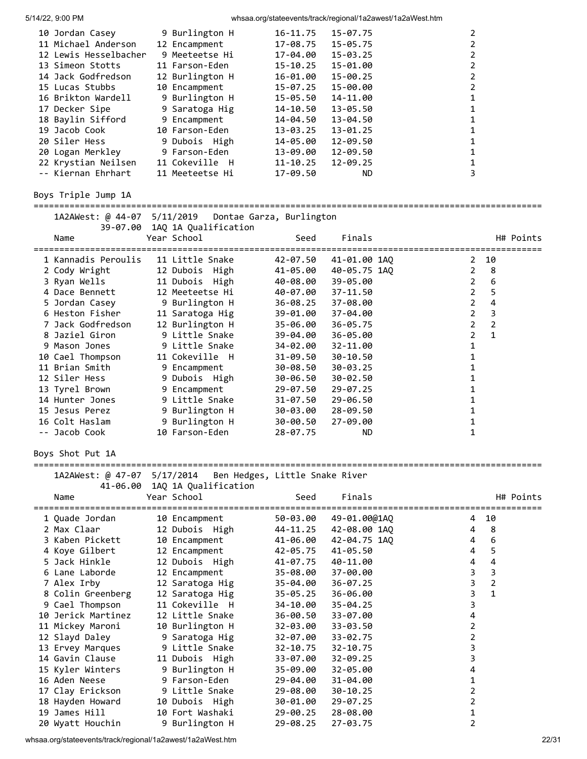| 10 Jordan Casey<br>11 Michael Anderson | 9 Burlington H<br>12 Encampment | $16 - 11.75$<br>17-08.75 | $15 - 07.75$<br>$15 - 05.75$ |   |
|----------------------------------------|---------------------------------|--------------------------|------------------------------|---|
| 12 Lewis Hesselbacher                  | 9 Meeteetse Hi                  | 17-04.00                 | $15 - 03.25$                 |   |
| 13 Simeon Stotts                       | 11 Farson-Eden                  | 15-10.25                 | 15-01.00                     | 2 |
| 14 Jack Godfredson                     | 12 Burlington H                 | 16-01.00                 | 15-00.25                     | 2 |
| 15 Lucas Stubbs                        | 10 Encampment                   | 15-07.25                 | 15-00.00                     | 2 |
| 16 Brikton Wardell                     | 9 Burlington H                  | 15-05.50                 | 14-11.00                     |   |
| 17 Decker Sipe                         | 9 Saratoga Hig                  | 14-10.50                 | 13-05.50                     |   |
| 18 Baylin Sifford                      | 9 Encampment                    | 14-04.50                 | 13-04.50                     |   |
| 19 Jacob Cook                          | 10 Farson-Eden                  | $13 - 03.25$             | $13 - 01.25$                 |   |
| 20 Siler Hess                          | 9 Dubois High                   | 14-05.00                 | 12-09.50                     |   |
| 20 Logan Merkley                       | 9 Farson-Eden                   | 13-09.00                 | 12-09.50                     |   |
| 22 Krystian Neilsen                    | 11 Cokeville H                  | $11 - 10.25$             | $12 - 09.25$                 |   |
| -- Kiernan Ehrhart                     | 11 Meeteetse Hi                 | 17-09.50                 | <b>ND</b>                    |   |

Boys Triple Jump 1A

# ===================================================================================================

1A2AWest: @ 44-07 5/11/2019 Dontae Garza, Burlington

|                   | 39-07.00 1AQ 1A Qualification                                                               |                       |             |                |                |           |
|-------------------|---------------------------------------------------------------------------------------------|-----------------------|-------------|----------------|----------------|-----------|
| Name              | Year School                                                                                 |                       | Seed Finals |                |                | H# Points |
|                   | 1 Kannadis Peroulis 11 Little Snake                                                         | 42-07.50 41-01.00 1AO |             |                | $2 \t10$       |           |
|                   | 2 Cody Wright 12 Dubois High 41-05.00 40-05.75 1AQ                                          |                       |             |                | $2 \quad 8$    |           |
|                   |                                                                                             |                       | 39-05.00    |                | 2 6            |           |
|                   | 4 Dace Bennett 12 Meeteetse Hi 40-07.00 37-11.50                                            |                       |             | $2^{\circ}$    | 5              |           |
|                   | 5 Jordan Casey 9 Burlington H 36-08.25 37-08.00                                             |                       |             | $\overline{2}$ | $\overline{4}$ |           |
|                   | 6 Heston Fisher 11 Saratoga Hig 39-01.00 37-04.00                                           |                       |             | $\overline{2}$ | $\overline{3}$ |           |
| 7 Jack Godfredson | 12 Burlington H 35-06.00                                                                    |                       | 36-05.75    | $\overline{2}$ | $\overline{2}$ |           |
|                   |                                                                                             |                       | 36-05.00    | $\overline{2}$ | $\mathbf{1}$   |           |
|                   | 9 Mason Jones 9 Little Snake 34-02.00                                                       |                       | 32-11.00    | 1              |                |           |
| 10 Cael Thompson  | 11 Cokeville H 31-09.50                                                                     |                       | 30-10.50    | 1              |                |           |
|                   | 11 Brian Smith 9 Encampment 30-08.50                                                        |                       | 30-03.25    |                |                |           |
|                   | 12 Siler Hess 9 Dubois High 30-06.50                                                        |                       | 30-02.50    |                |                |           |
|                   | 13 Tyrel Brown 9 Encampment 29-07.50                                                        |                       | 29-07.25    |                |                |           |
|                   | 14 Hunter Jones 9 Little Snake 31-07.50 29-06.50                                            |                       |             |                |                |           |
|                   | 15 Jesus Perez 9 Burlington H 30-03.00 28-09.50                                             |                       |             |                |                |           |
|                   | 16 Colt Haslam 9 Burlington H 30-00.50 27-09.00                                             |                       |             | 1              |                |           |
| -- Jacob Cook     | 10 Farson-Eden                                                                              | 28-07.75              | ND.         | 1              |                |           |
| Boys Shot Put 1A  |                                                                                             |                       |             |                |                |           |
|                   | 1A2AWest: @ 47-07 5/17/2014 Ben Hedges, Little Snake River<br>41-06.00 1AQ 1A Qualification |                       |             |                |                |           |

| Name               |                  | Year School                     | Seed                         | Finals       |                     | H# Points      |
|--------------------|------------------|---------------------------------|------------------------------|--------------|---------------------|----------------|
| 1 Quade Jordan     |                  | 10 Encampment                   | ================<br>50-03.00 | 49-01.00@1AQ | =================== | 4 10           |
| 2 Max Claar        |                  | 12 Dubois High                  | 44-11.25                     | 42-08.00 1AQ | $\overline{4}$      | - 8            |
| 3 Kaben Pickett    |                  | 10 Encampment                   | 41-06.00                     | 42-04.75 1AO | 4                   | 6              |
| 4 Koye Gilbert     |                  | 12 Encampment                   | 42-05.75                     | 41-05.50     | 4                   | 5              |
| 5 Jack Hinkle      |                  | 12 Dubois High                  | 41-07.75                     | 40-11.00     | 4                   | 4              |
| 6 Lane Laborde     |                  | 12 Encampment                   | 35-08.00                     | 37-00.00     | 3                   | 3              |
| 7 Alex Irby        |                  |                                 | 12 Saratoga Hig 35-04.00     | $36 - 07.25$ | 3                   | $\overline{2}$ |
| 8 Colin Greenberg  |                  | 12 Saratoga Hig                 | 35-05.25                     | 36-06.00     | 3                   | $\mathbf{1}$   |
| 9 Cael Thompson    |                  | 11 Cokeville H                  | 34-10.00                     | $35 - 04.25$ |                     |                |
| 10 Jerick Martinez |                  | 12 Little Snake                 | 36-00.50                     | 33-07.00     | 4                   |                |
| 11 Mickey Maroni   |                  | 10 Burlington H                 | 32-03.00                     | 33-03.50     |                     |                |
| 12 Slayd Daley     |                  | 9 Saratoga Hig                  | 32-07.00                     | 33-02.75     |                     |                |
|                    | 13 Ervey Marques | 9 Little Snake                  | $32 - 10.75$                 | $32 - 10.75$ |                     |                |
| 14 Gavin Clause    |                  | 11 Dubois High                  | 33-07.00                     | $32 - 09.25$ |                     |                |
| 15 Kyler Winters   |                  | 9 Burlington H                  | 35-09.00                     | 32-05.00     | 4                   |                |
| 16 Aden Neese      |                  | 9 Farson-Eden                   | 29-04.00                     | 31-04.00     |                     |                |
|                    |                  | 17 Clay Erickson 9 Little Snake | 29-08.00                     | 30-10.25     |                     |                |
| 18 Hayden Howard   |                  | 10 Dubois High                  | 30-01.00                     | 29-07.25     |                     |                |
| 19 James Hill      |                  | 10 Fort Washaki                 | 29-00.25                     | 28-08.00     |                     |                |
| 20 Wyatt Houchin   |                  | 9 Burlington H                  | 29-08.25                     | 27-03.75     |                     |                |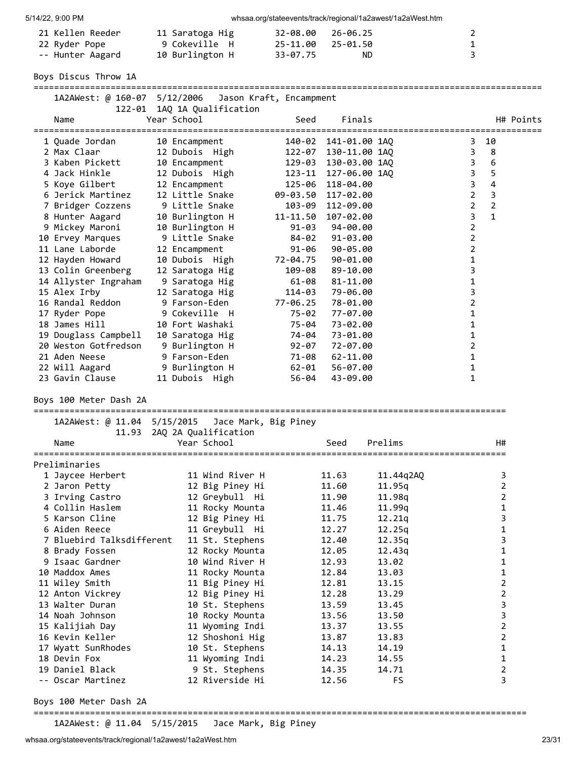| 21 Kellen Reeder | 11 Saratoga Hig | 32-08.00 26-06.25 |     | 2            |
|------------------|-----------------|-------------------|-----|--------------|
| 22 Ryder Pope    | 9 Cokeville H   | 25-11.00 25-01.50 |     | $\mathbf{1}$ |
| -- Hunter Aagard | 10 Burlington H | 33-07.75          | ND. | 3            |

Boys Discus Throw 1A

| 1A2AWest: @ 160-07 5/12/2006                                             |                                     | Jason Kraft, Encampment |                      |                                 |                                       |
|--------------------------------------------------------------------------|-------------------------------------|-------------------------|----------------------|---------------------------------|---------------------------------------|
| 122-01<br>Name                                                           | 1AQ 1A Qualification<br>Year School | Seed                    | Finals               |                                 | H# Points                             |
| ====================                                                     | =================                   |                         |                      | =============================== | ================                      |
| 1 Quade Jordan                                                           | 10 Encampment                       |                         | 140-02 141-01.00 1AQ |                                 | 10<br>3                               |
| 2 Max Claar                                                              | 12 Dubois High                      |                         | 122-07 130-11.00 1AQ |                                 | 8<br>3                                |
| 3 Kaben Pickett                                                          | 10 Encampment                       |                         | 129-03 130-03.00 1AQ |                                 | 6<br>3                                |
| 4 Jack Hinkle                                                            | 12 Dubois High                      |                         | 123-11 127-06.00 1AQ |                                 | 3<br>5                                |
| 5 Koye Gilbert                                                           | 12 Encampment                       |                         | 125-06 118-04.00     |                                 | $\overline{4}$<br>3                   |
| 6 Jerick Martinez                                                        | 12 Little Snake                     |                         | 09-03.50 117-02.00   |                                 | $\overline{2}$<br>3<br>$\overline{2}$ |
| 7 Bridger Cozzens                                                        | 9 Little Snake                      | 103-09                  | 112-09.00            |                                 | $\overline{2}$<br>$\mathbf{1}$        |
| 8 Hunter Aagard                                                          | 10 Burlington H                     | 11-11.50                | 107-02.00            |                                 | 3<br>$\overline{2}$                   |
| 9 Mickey Maroni                                                          | 10 Burlington H<br>9 Little Snake   | $91 - 03$<br>84-02      | 94-00.00             |                                 | $\overline{2}$                        |
| 10 Ervey Marques<br>11 Lane Laborde                                      |                                     | 91-06                   | 91-03.00             |                                 | $\overline{2}$                        |
|                                                                          | 12 Encampment                       |                         | 90-05.00             |                                 | $\mathbf 1$                           |
| 12 Hayden Howard<br>13 Colin Greenberg                                   | 10 Dubois High<br>12 Saratoga Hig   | 72-04.75<br>109-08      | 90-01.00<br>89-10.00 |                                 | 3                                     |
|                                                                          | 9 Saratoga Hig                      | $61 - 08$               | 81-11.00             |                                 | 1                                     |
| 14 Allyster Ingraham<br>15 Alex Irby                                     |                                     | 114-03                  | 79-06.00             |                                 | 3                                     |
| 16 Randal Reddon                                                         | 12 Saratoga Hig<br>9 Farson-Eden    | 77-06.25                | 78-01.00             |                                 | 2                                     |
| 17 Ryder Pope                                                            | 9 Cokeville<br>H                    | 75-02                   | 77-07.00             |                                 | 1                                     |
| 18 James Hill                                                            | 10 Fort Washaki                     | 75-04                   | 73-02.00             |                                 | 1                                     |
| 19 Douglass Campbell                                                     | 10 Saratoga Hig                     | 74-04                   | 73-01.00             |                                 | 1                                     |
| 20 Weston Gotfredson                                                     | 9 Burlington H                      | 92-07                   | 72-07.00             |                                 | 2                                     |
| 21 Aden Neese                                                            | 9 Farson-Eden                       | 71-08                   | 62-11.00             |                                 | 1                                     |
| 22 Will Aagard                                                           | 9 Burlington H                      | 62-01                   | 56-07.00             |                                 | 1                                     |
| 23 Gavin Clause                                                          | 11 Dubois High                      | 56-04                   | 43-09.00             |                                 | 1                                     |
| Boys 100 Meter Dash 2A<br>=============================<br>11.93<br>Name | 2AQ 2A Qualification<br>Year School | Jace Mark, Big Piney    | Seed                 | Prelims                         | H#                                    |
|                                                                          |                                     |                         |                      |                                 |                                       |
| Preliminaries                                                            |                                     |                         |                      |                                 |                                       |
| 1 Jaycee Herbert                                                         | 11 Wind River H                     |                         | 11.63                | 11.44q2AQ                       | 3                                     |
| 2 Jaron Petty                                                            | 12 Big Piney Hi                     |                         | 11.60                | 11.95q                          | $\overline{2}$                        |
| 3 Irving Castro                                                          | 12 Greybull Hi                      |                         | 11.90                | 11.98q                          | $\overline{2}$                        |
| 4 Collin Haslem                                                          | 11 Rocky Mounta                     |                         | 11.46                | 11.99q                          | $\mathbf{1}$                          |
| 5 Karson Cline                                                           | 12 Big Piney Hi                     |                         | 11.75                | 12.21q                          | 3                                     |
| 6 Aiden Reece                                                            | 11 Greybull Hi                      |                         | 12.27                | 12.25q                          | 1                                     |
| 7 Bluebird Talksdifferent                                                | 11 St. Stephens                     |                         | 12.40                | 12.35q                          | 3                                     |
| 8 Brady Fossen                                                           | 12 Rocky Mounta                     |                         | 12.05                | 12.43q                          | 1                                     |
| 9 Isaac Gardner                                                          | 10 Wind River H                     |                         | 12.93                | 13.02                           | 1                                     |
| 10 Maddox Ames                                                           | 11 Rocky Mounta                     |                         | 12.84                | 13.03                           | 1                                     |
| 11 Wiley Smith                                                           | 11 Big Piney Hi                     |                         | 12.81                | 13.15                           | $\overline{2}$                        |
| 12 Anton Vickrey                                                         | 12 Big Piney Hi                     |                         | 12.28                | 13.29                           | $\overline{2}$                        |
| 13 Walter Duran                                                          | 10 St. Stephens                     |                         | 13.59                | 13.45                           | 3                                     |
| 14 Noah Johnson                                                          | 10 Rocky Mounta                     |                         | 13.56                | 13.50                           | 3                                     |
| 15 Kalijiah Day                                                          | 11 Wyoming Indi                     |                         | 13.37                | 13.55                           | $\overline{2}$                        |
| 16 Kevin Keller                                                          | 12 Shoshoni Hig                     |                         | 13.87                | 13.83                           | $\overline{2}$                        |
| 17 Wyatt SunRhodes                                                       | 10 St. Stephens                     |                         | 14.13                | 14.19                           | $\mathbf{1}$                          |
| 18 Devin Fox                                                             | 11 Wyoming Indi                     |                         | 14.23                | 14.55                           | $\mathbf{1}$                          |
| 19 Daniel Black                                                          | 9 St. Stephens                      |                         | 14.35                | 14.71                           | $\overline{2}$                        |
| -- Oscar Martinez                                                        | 12 Riverside Hi                     |                         | 12.56                | FS                              | 3                                     |

Boys 100 Meter Dash 2A

================================================================================================

1A2AWest: @ 11.04 5/15/2015 Jace Mark, Big Piney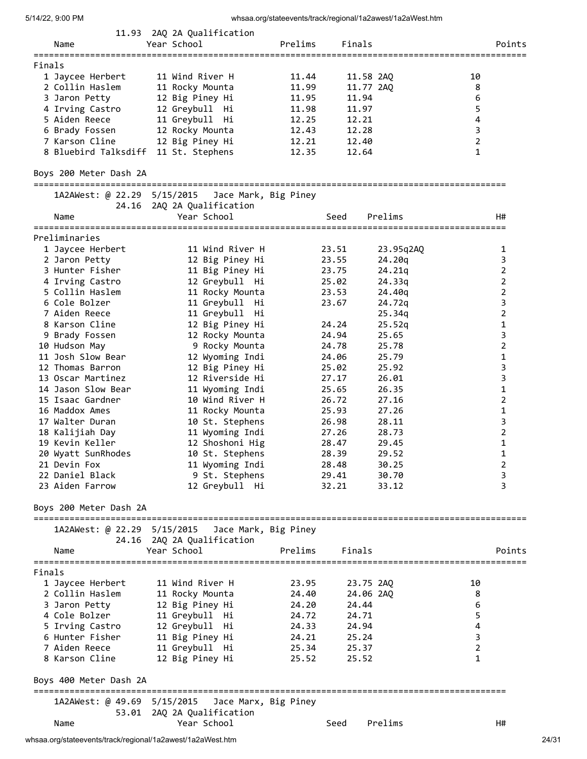|                                      | 11.93 2AQ 2A Qualification                       |                      |           |           |                                  |                |
|--------------------------------------|--------------------------------------------------|----------------------|-----------|-----------|----------------------------------|----------------|
| Name                                 | Year School                                      | Prelims              | Finals    |           |                                  | Points         |
|                                      |                                                  |                      |           |           |                                  |                |
| Finals                               |                                                  |                      |           |           |                                  |                |
| 1 Jaycee Herbert                     | 11 Wind River H                                  | 11.44                | 11.58 2AQ |           | 10                               |                |
| 2 Collin Haslem                      | 11 Rocky Mounta                                  | 11.99                | 11.77 2AQ |           | 8                                |                |
| 3 Jaron Petty                        | 12 Big Piney Hi                                  | 11.95                | 11.94     |           | 6                                |                |
| 4 Irving Castro                      | 12 Greybull Hi                                   | 11.98                | 11.97     |           | 5                                |                |
| 5 Aiden Reece                        | 11 Greybull Hi                                   | 12.25                | 12.21     |           | 4                                |                |
| 6 Brady Fossen                       | 12 Rocky Mounta                                  | 12.43                | 12.28     |           | 3                                |                |
| 7 Karson Cline                       | 12 Big Piney Hi                                  | 12.21                | 12.40     |           | $\overline{2}$                   |                |
| 8 Bluebird Talksdiff 11 St. Stephens |                                                  | 12.35                | 12.64     |           | $\mathbf{1}$                     |                |
|                                      |                                                  |                      |           |           |                                  |                |
| Boys 200 Meter Dash 2A               |                                                  |                      |           |           |                                  |                |
| 1A2AWest: @ 22.29 5/15/2015          |                                                  | Jace Mark, Big Piney |           |           |                                  |                |
|                                      | 24.16 2AQ 2A Qualification                       |                      |           |           |                                  |                |
| Name                                 | Year School                                      |                      | Seed      | Prelims   |                                  | H#             |
|                                      |                                                  |                      |           |           |                                  |                |
| Preliminaries                        |                                                  |                      |           |           |                                  |                |
| 1 Jaycee Herbert                     | 11 Wind River H                                  |                      | 23.51     | 23.95q2AQ |                                  | 1              |
|                                      |                                                  |                      |           |           |                                  | 3              |
| 2 Jaron Petty<br>3 Hunter Fisher     | 12 Big Piney Hi                                  |                      | 23.55     | 24.20q    |                                  |                |
|                                      | 11 Big Piney Hi                                  |                      | 23.75     | 24.21q    |                                  | $\overline{2}$ |
| 4 Irving Castro                      | 12 Greybull Hi                                   |                      | 25.02     | 24.33q    |                                  | $\overline{2}$ |
| 5 Collin Haslem                      | 11 Rocky Mounta                                  |                      | 23.53     | 24.40q    |                                  | $\overline{2}$ |
| 6 Cole Bolzer                        | 11 Greybull Hi                                   |                      | 23.67     | 24.72q    |                                  | 3              |
| 7 Aiden Reece                        | 11 Greybull Hi                                   |                      |           | 25.34q    |                                  | $\overline{2}$ |
| 8 Karson Cline                       | 12 Big Piney Hi                                  |                      | 24.24     | 25.52q    |                                  | 1              |
| 9 Brady Fossen                       | 12 Rocky Mounta                                  |                      | 24.94     | 25.65     |                                  | 3              |
| 10 Hudson May                        | 9 Rocky Mounta                                   |                      | 24.78     | 25.78     |                                  | $\overline{2}$ |
| 11 Josh Slow Bear                    | 12 Wyoming Indi                                  |                      | 24.06     | 25.79     |                                  | 1              |
| 12 Thomas Barron                     | 12 Big Piney Hi                                  |                      | 25.02     | 25.92     |                                  | 3              |
| 13 Oscar Martinez                    | 12 Riverside Hi                                  |                      | 27.17     | 26.01     |                                  | 3              |
| 14 Jason Slow Bear                   |                                                  |                      | 25.65     | 26.35     |                                  | 1              |
|                                      | 11 Wyoming Indi                                  |                      |           |           |                                  |                |
| 15 Isaac Gardner                     | 10 Wind River H                                  |                      | 26.72     | 27.16     |                                  | $\overline{2}$ |
| 16 Maddox Ames                       | 11 Rocky Mounta                                  |                      | 25.93     | 27.26     |                                  | 1              |
| 17 Walter Duran                      | 10 St. Stephens                                  |                      | 26.98     | 28.11     |                                  | 3              |
| 18 Kalijiah Day                      | 11 Wyoming Indi                                  |                      | 27.26     | 28.73     |                                  | $\overline{2}$ |
| 19 Kevin Keller                      | 12 Shoshoni Hig                                  |                      | 28.47     | 29.45     |                                  | 1              |
| 20 Wyatt SunRhodes                   | 10 St. Stephens                                  |                      | 28.39     | 29.52     |                                  | 1              |
| 21 Devin Fox                         | 11 Wyoming Indi                                  |                      | 28.48     | 30.25     |                                  | 2              |
| 22 Daniel Black                      | 9 St. Stephens                                   |                      | 29.41     | 30.70     |                                  | 3              |
| 23 Aiden Farrow                      | 12 Greybull Hi                                   |                      | 32.21     | 33.12     |                                  | 3              |
|                                      |                                                  |                      |           |           |                                  |                |
| Boys 200 Meter Dash 2A               |                                                  |                      |           |           |                                  |                |
| 1A2AWest: @ 22.29 5/15/2015          |                                                  | Jace Mark, Big Piney |           |           |                                  |                |
|                                      | 24.16 2AQ 2A Qualification                       |                      |           |           |                                  |                |
| Name                                 | Year School                                      | Prelims              | Finals    |           |                                  | Points         |
|                                      |                                                  |                      |           |           |                                  |                |
| Finals                               |                                                  |                      |           |           |                                  |                |
| 1 Jaycee Herbert                     | 11 Wind River H                                  | 23.95                | 23.75 2AQ |           | 10                               |                |
| 2 Collin Haslem                      | 11 Rocky Mounta                                  | 24.40                | 24.06 2AQ |           | 8                                |                |
| 3 Jaron Petty                        | 12 Big Piney Hi                                  | 24.20                | 24.44     |           | 6                                |                |
| 4 Cole Bolzer                        | 11 Greybull Hi                                   | 24.72                | 24.71     |           | 5                                |                |
|                                      |                                                  |                      |           |           |                                  |                |
| 5 Irving Castro                      | 12 Greybull Hi                                   | 24.33                | 24.94     |           | 4                                |                |
| 6 Hunter Fisher                      | 11 Big Piney Hi                                  | 24.21                | 25.24     |           | 3                                |                |
| 7 Aiden Reece                        | 11 Greybull Hi                                   | 25.34                | 25.37     |           | $\overline{2}$                   |                |
| 8 Karson Cline                       | 12 Big Piney Hi                                  | 25.52                | 25.52     |           | $\mathbf{1}$                     |                |
| Boys 400 Meter Dash 2A               |                                                  |                      |           |           |                                  |                |
|                                      |                                                  |                      |           |           | ================================ |                |
|                                      | 1A2AWest: @ 49.69 5/15/2015 Jace Marx, Big Piney |                      |           |           |                                  |                |
|                                      | 53.01 2AQ 2A Qualification                       |                      |           |           |                                  |                |
| Name                                 | Year School                                      |                      | Seed      | Prelims   |                                  | H#             |
|                                      |                                                  |                      |           |           |                                  |                |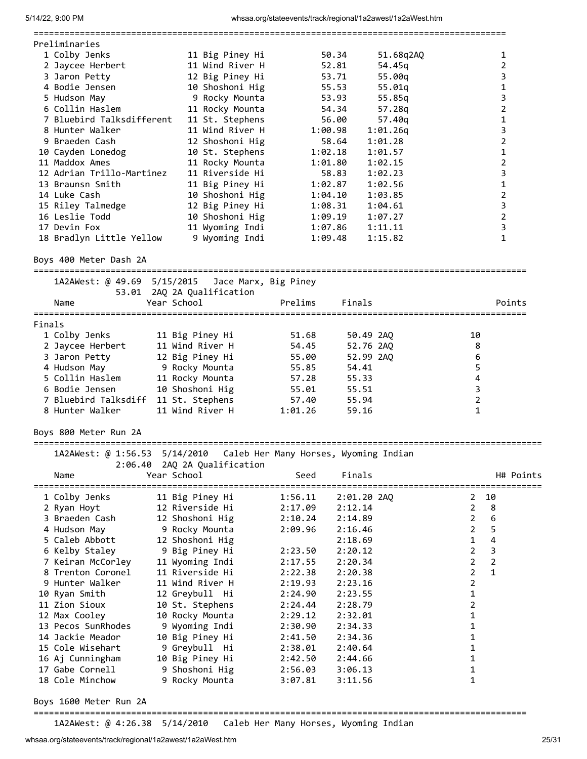|                                  |                                                                                |                                       |                                      | ================== |           |
|----------------------------------|--------------------------------------------------------------------------------|---------------------------------------|--------------------------------------|--------------------|-----------|
| Preliminaries                    |                                                                                |                                       |                                      |                    |           |
| 1 Colby Jenks                    | 11 Big Piney Hi                                                                | 50.34                                 | 51.68q2AQ                            | 1                  |           |
| 2 Jaycee Herbert                 | 11 Wind River H                                                                | 52.81                                 | 54.45q                               | $\overline{2}$     |           |
| 3 Jaron Petty                    | 12 Big Piney Hi                                                                | 53.71                                 | 55.00q                               | 3                  |           |
| 4 Bodie Jensen                   | 10 Shoshoni Hig                                                                | 55.53                                 | 55.01q                               | $\mathbf{1}$       |           |
| 5 Hudson May                     | 9 Rocky Mounta                                                                 | 53.93                                 | 55.85q                               | 3                  |           |
| 6 Collin Haslem                  | 11 Rocky Mounta                                                                | 54.34                                 | 57.28q                               | 2                  |           |
| 7 Bluebird Talksdifferent        | 11 St. Stephens                                                                | 56.00                                 | 57.40q                               | 1                  |           |
| 8 Hunter Walker                  | 11 Wind River H                                                                | 1:00.98                               | 1:01.26q                             | 3                  |           |
| 9 Braeden Cash                   | 12 Shoshoni Hig                                                                | 58.64                                 | 1:01.28                              | 2                  |           |
| 10 Cayden Lonedog                | 10 St. Stephens                                                                | 1:02.18                               | 1:01.57                              | 1                  |           |
| 11 Maddox Ames                   | 11 Rocky Mounta                                                                | 1:01.80                               | 1:02.15                              | $\overline{2}$     |           |
| 12 Adrian Trillo-Martinez        | 11 Riverside Hi                                                                | 58.83                                 | 1:02.23                              | 3                  |           |
| 13 Braunsn Smith                 | 11 Big Piney Hi                                                                | 1:02.87                               | 1:02.56                              | 1                  |           |
| 14 Luke Cash                     | 10 Shoshoni Hig                                                                | 1:04.10                               | 1:03.85                              | 2                  |           |
| 15 Riley Talmedge                | 12 Big Piney Hi                                                                | 1:08.31                               | 1:04.61                              | 3                  |           |
| 16 Leslie Todd                   | 10 Shoshoni Hig                                                                | 1:09.19                               | 1:07.27                              | $\overline{2}$     |           |
| 17 Devin Fox                     | 11 Wyoming Indi                                                                | 1:07.86                               | 1:11.11                              | 3                  |           |
| 18 Bradlyn Little Yellow         | 9 Wyoming Indi                                                                 | 1:09.48                               | 1:15.82                              | 1                  |           |
|                                  | 1A2AWest: @ 49.69 5/15/2015 Jace Marx, Big Piney<br>53.01 2AQ 2A Qualification |                                       |                                      |                    |           |
| Name                             | Year School                                                                    | Prelims<br>Finals                     |                                      |                    | Points    |
|                                  |                                                                                |                                       |                                      |                    |           |
| Finals<br>1 Colby Jenks          | 11 Big Piney Hi                                                                | 51.68                                 | 50.49 2AQ                            | 10                 |           |
| 2 Jaycee Herbert                 | 11 Wind River H                                                                | 54.45                                 | 52.76 2AQ                            | 8                  |           |
| 3 Jaron Petty                    | 12 Big Piney Hi                                                                | 55.00                                 | 52.99 2AQ                            | 6                  |           |
| 4 Hudson May                     | 9 Rocky Mounta                                                                 | 55.85                                 | 54.41                                | 5                  |           |
| 5 Collin Haslem                  | 11 Rocky Mounta                                                                | 57.28                                 | 55.33                                | 4                  |           |
| 6 Bodie Jensen                   | 10 Shoshoni Hig                                                                | 55.01                                 | 55.51                                | 3                  |           |
| 7 Bluebird Talksdiff             | 11 St. Stephens                                                                | 57.40                                 | 55.94                                | $\overline{2}$     |           |
| 8 Hunter Walker                  | 11 Wind River H                                                                | 1:01.26                               | 59.16                                | 1                  |           |
|                                  |                                                                                |                                       |                                      |                    |           |
| Boys 800 Meter Run 2A            |                                                                                |                                       |                                      |                    |           |
| 1A2AWest: @ 1:56.53 5/14/2010    |                                                                                | Caleb Her Many Horses, Wyoming Indian |                                      |                    |           |
|                                  | 2:06.40 2AQ 2A Qualification                                                   |                                       |                                      |                    |           |
| Name                             | Year School                                                                    | Finals<br>Seed                        |                                      |                    | H# Points |
| =====================            |                                                                                |                                       | ==================================== |                    |           |
| 1 Colby Jenks                    | 11 Big Piney Hi                                                                | 1:56.11                               | 2:01.20 2AQ                          | 10<br>2            |           |
| 2 Ryan Hoyt                      | 12 Riverside Hi                                                                | 2:17.09<br>2:12.14                    |                                      | 8<br>2             |           |
| 3 Braeden Cash                   | 12 Shoshoni Hig                                                                | 2:10.24<br>2:14.89                    |                                      | 6<br>2             |           |
| 4 Hudson May                     | 9 Rocky Mounta                                                                 | 2:09.96<br>2:16.46                    |                                      | 2<br>5             |           |
| 5 Caleb Abbott<br>6 Kelby Staley | 12 Shoshoni Hig<br>9 Rig Piney Hi                                              | 2:18.69<br>2.23.59<br>2.20112         |                                      | 4<br>1<br>₹        |           |
|                                  |                                                                                |                                       |                                      |                    |           |

|                    |                | 2:06.40 2AQ 2A Qualification                     |         |             |                                     |
|--------------------|----------------|--------------------------------------------------|---------|-------------|-------------------------------------|
| Name               |                | Year School<br>================================= | Seed    | Finals      | H# Points<br>====================== |
| 1 Colby Jenks      |                | 11 Big Piney Hi                                  | 1:56.11 | 2:01.20 2AQ | $2 \t10$                            |
| 2 Ryan Hoyt        |                | 12 Riverside Hi                                  | 2:17.09 | 2:12.14     | $\mathbf{2}$<br>-8                  |
| 3 Braeden Cash     |                | 12 Shoshoni Hig                                  | 2:10.24 | 2:14.89     | $\overline{2}$<br>6                 |
| 4 Hudson May       |                | 9 Rocky Mounta                                   | 2:09.96 | 2:16.46     | $\overline{2}$<br>5                 |
|                    | 5 Caleb Abbott | 12 Shoshoni Hig                                  |         | 2:18.69     | 1<br>4                              |
| 6 Kelby Staley     |                | 9 Big Piney Hi                                   | 2:23.50 | 2:20.12     | 2<br>3                              |
| 7 Keiran McCorley  |                | 11 Wyoming Indi                                  | 2:17.55 | 2:20.34     | $\overline{2}$<br>$\overline{2}$    |
| 8 Trenton Coronel  |                | 11 Riverside Hi                                  | 2:22.38 | 2:20.38     | $\mathbf{1}$<br>2                   |
| 9 Hunter Walker    |                | 11 Wind River H                                  | 2:19.93 | 2:23.16     | 2                                   |
| 10 Ryan Smith      |                | 12 Greybull Hi                                   | 2:24.90 | 2:23.55     |                                     |
| 11 Zion Sioux      |                | 10 St. Stephens                                  | 2:24.44 | 2:28.79     |                                     |
| 12 Max Cooley      |                | 10 Rocky Mounta                                  | 2:29.12 | 2:32.01     |                                     |
| 13 Pecos SunRhodes |                | 9 Wyoming Indi                                   | 2:30.90 | 2:34.33     |                                     |
| 14 Jackie Meador   |                | 10 Big Piney Hi                                  | 2:41.50 | 2:34.36     |                                     |
| 15 Cole Wisehart   |                | 9 Greybull Hi                                    | 2:38.01 | 2:40.64     |                                     |
| 16 Aj Cunningham   |                | 10 Big Piney Hi                                  | 2:42.50 | 2:44.66     |                                     |
| 17 Gabe Cornell    |                | 9 Shoshoni Hig                                   | 2:56.03 | 3:06.13     |                                     |
| 18 Cole Minchow    |                | 9 Rocky Mounta                                   | 3:07.81 | 3:11.56     |                                     |

Boys 1600 Meter Run 2A

================================================================================================

1A2AWest: @ 4:26.38 5/14/2010 Caleb Her Many Horses, Wyoming Indian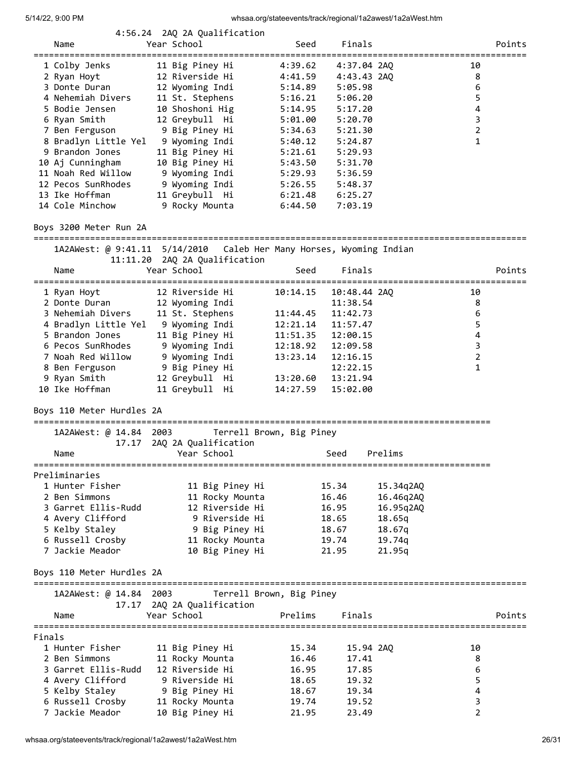|        |                                     |      | 4:56.24 2AQ 2A Qualification                                         |                         |                       |                                   |                          |        |
|--------|-------------------------------------|------|----------------------------------------------------------------------|-------------------------|-----------------------|-----------------------------------|--------------------------|--------|
|        | Name                                |      | Year School                                                          | Seed<br>=============== | Finals                |                                   | ,,,,,,,,,,,,,,,,,,,,,,,, | Points |
|        | 1 Colby Jenks                       |      | 11 Big Piney Hi                                                      | 4:39.62                 | 4:37.04 2AQ           |                                   | 10                       |        |
|        | 2 Ryan Hoyt                         |      | 12 Riverside Hi                                                      | 4:41.59                 | 4:43.43 2AQ           |                                   | 8                        |        |
|        | 3 Donte Duran                       |      | 12 Wyoming Indi                                                      | 5:14.89                 | 5:05.98               |                                   | 6                        |        |
|        | 4 Nehemiah Divers                   |      | 11 St. Stephens                                                      | 5:16.21                 | 5:06.20               |                                   | 5                        |        |
|        | 5 Bodie Jensen                      |      | 10 Shoshoni Hig                                                      | 5:14.95                 | 5:17.20               |                                   | $\overline{4}$           |        |
|        | 6 Ryan Smith                        |      | 12 Greybull Hi                                                       | 5:01.00                 | 5:20.70               |                                   | $\mathsf 3$              |        |
|        | 7 Ben Ferguson                      |      | 9 Big Piney Hi                                                       | 5:34.63                 | 5:21.30               |                                   | $\overline{2}$           |        |
|        | 8 Bradlyn Little Yel 9 Wyoming Indi |      |                                                                      | 5:40.12                 | 5:24.87               |                                   | $\mathbf{1}$             |        |
|        | 9 Brandon Jones                     |      | 11 Big Piney Hi                                                      | 5:21.61                 | 5:29.93               |                                   |                          |        |
|        | 10 Aj Cunningham                    |      | 10 Big Piney Hi                                                      | 5:43.50                 | 5:31.70               |                                   |                          |        |
|        | 11 Noah Red Willow                  |      | 9 Wyoming Indi                                                       | 5:29.93                 | 5:36.59               |                                   |                          |        |
|        | 12 Pecos SunRhodes                  |      | 9 Wyoming Indi                                                       | 5:26.55                 | 5:48.37               |                                   |                          |        |
|        | 13 Ike Hoffman                      |      | 11 Greybull Hi                                                       | 6:21.48                 | 6:25.27               |                                   |                          |        |
|        | 14 Cole Minchow                     |      | 9 Rocky Mounta                                                       | 6:44.50                 | 7:03.19               |                                   |                          |        |
|        | Boys 3200 Meter Run 2A              |      |                                                                      |                         |                       |                                   |                          |        |
|        |                                     |      | 1A2AWest: @ 9:41.11 5/14/2010  Caleb Her Many Horses, Wyoming Indian |                         |                       |                                   |                          |        |
|        |                                     |      | 11:11.20 2AQ 2A Qualification                                        |                         |                       |                                   |                          |        |
|        | Name                                |      | Year School                                                          | Seed<br>=====           | Finals<br>=========== | ==============================    |                          | Points |
|        | 1 Ryan Hoyt                         |      | 12 Riverside Hi                                                      | 10:14.15                | 10:48.44 2AQ          |                                   | 10                       |        |
|        | 2 Donte Duran                       |      | 12 Wyoming Indi                                                      |                         | 11:38.54              |                                   | 8                        |        |
|        | 3 Nehemiah Divers                   |      | 11 St. Stephens                                                      | 11:44.45                | 11:42.73              |                                   | $\boldsymbol{6}$         |        |
|        | 4 Bradlyn Little Yel 9 Wyoming Indi |      |                                                                      | 12:21.14                | 11:57.47              |                                   | 5                        |        |
|        | 5 Brandon Jones                     |      | 11 Big Piney Hi                                                      | 11:51.35                | 12:00.15              |                                   | 4                        |        |
|        | 6 Pecos SunRhodes                   |      | 9 Wyoming Indi                                                       | 12:18.92                | 12:09.58              |                                   | 3                        |        |
|        | 7 Noah Red Willow                   |      | 9 Wyoming Indi                                                       | 13:23.14                | 12:16.15              |                                   | $\overline{2}$           |        |
|        | 8 Ben Ferguson                      |      | 9 Big Piney Hi                                                       |                         | 12:22.15              |                                   | $\mathbf{1}$             |        |
|        | 9 Ryan Smith                        |      | 12 Greybull Hi                                                       | 13:20.60                | 13:21.94              |                                   |                          |        |
|        | 10 Ike Hoffman                      |      | 11 Greybull Hi                                                       | 14:27.59                | 15:02.00              |                                   |                          |        |
|        | Boys 110 Meter Hurdles 2A           |      |                                                                      |                         |                       |                                   |                          |        |
|        | 1A2AWest: @ 14.84                   | 2003 | Terrell Brown, Big Piney                                             |                         |                       | ================================= |                          |        |
|        | 17.17                               |      | 2AQ 2A Qualification                                                 |                         |                       |                                   |                          |        |
|        | Name                                |      | Year School                                                          |                         | Seed                  | Prelims                           |                          |        |
|        | Preliminaries                       |      |                                                                      |                         |                       |                                   |                          |        |
|        | 1 Hunter Fisher                     |      | 11 Big Piney Hi                                                      |                         | 15.34                 | 15.34q2AQ                         |                          |        |
|        | 2 Ben Simmons                       |      | 11 Rocky Mounta                                                      |                         | 16.46                 | 16.46q2AQ                         |                          |        |
|        | 3 Garret Ellis-Rudd                 |      | 12 Riverside Hi                                                      |                         | 16.95                 | 16.95q2AQ                         |                          |        |
|        | 4 Avery Clifford                    |      | 9 Riverside Hi                                                       |                         | 18.65                 | 18.65q                            |                          |        |
|        | 5 Kelby Staley                      |      | 9 Big Piney Hi                                                       |                         | 18.67                 | 18.67q                            |                          |        |
|        | 6 Russell Crosby                    |      | 11 Rocky Mounta                                                      |                         | 19.74                 | 19.74q                            |                          |        |
|        | 7 Jackie Meador                     |      | 10 Big Piney Hi                                                      |                         | 21.95                 | 21.95q                            |                          |        |
|        | Boys 110 Meter Hurdles 2A           |      |                                                                      |                         |                       |                                   |                          |        |
|        | 1A2AWest: @ 14.84 2003              |      | Terrell Brown, Big Piney                                             |                         |                       |                                   |                          |        |
|        |                                     |      | 17.17 2AQ 2A Qualification                                           |                         |                       |                                   |                          |        |
|        | Name                                |      | Year School                                                          | Prelims                 | Finals                |                                   |                          | Points |
| Finals |                                     |      |                                                                      |                         |                       |                                   |                          |        |
|        | 1 Hunter Fisher                     |      | 11 Big Piney Hi                                                      | 15.34                   | 15.94 2AQ             |                                   | 10                       |        |
|        | 2 Ben Simmons                       |      | 11 Rocky Mounta                                                      | 16.46                   | 17.41                 |                                   | 8                        |        |
|        | 3 Garret Ellis-Rudd                 |      | 12 Riverside Hi                                                      | 16.95                   | 17.85                 |                                   | 6                        |        |
|        | 4 Avery Clifford                    |      | 9 Riverside Hi                                                       | 18.65                   | 19.32                 |                                   | 5                        |        |
|        | 5 Kelby Staley                      |      | 9 Big Piney Hi                                                       | 18.67                   | 19.34                 |                                   | 4                        |        |
|        | 6 Russell Crosby                    |      | 11 Rocky Mounta                                                      | 19.74                   | 19.52                 |                                   | 3                        |        |
|        | 7 Jackie Meador                     |      | 10 Big Piney Hi                                                      | 21.95                   | 23.49                 |                                   | $\overline{2}$           |        |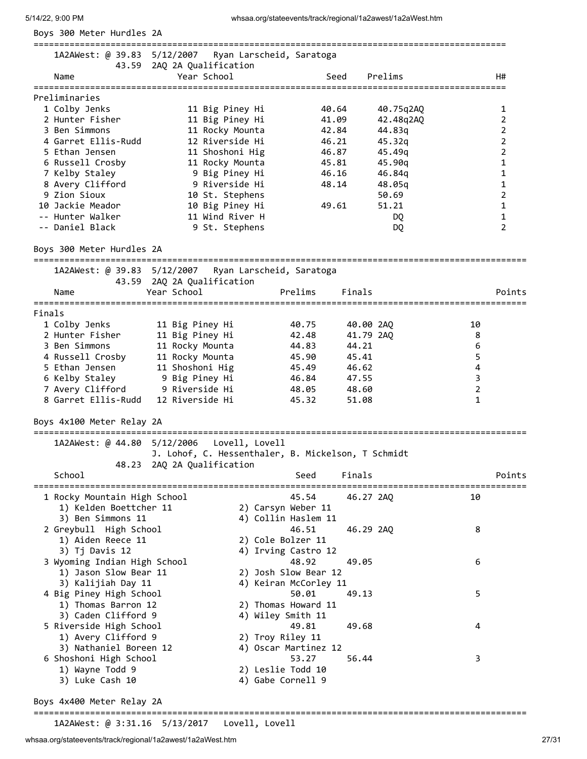Boys 300 Meter Hurdles 2A ============================================================================================ 1A2AWest: @ 39.83 5/12/2007 Ryan Larscheid, Saratoga 43.59 2AQ 2A Qualification Name Year School Seed Prelims H# ============================================================================================ Preliminaries 1 Colby Jenks 11 Big Piney Hi 40.64 40.75q2AQ 1 2 Hunter Fisher 11 Big Piney Hi 41.09 42.48q2AQ 2 3 Ben Simmons 11 Rocky Mounta 42.84 44.83q 2 4 Garret Ellis-Rudd 12 Riverside Hi 46.21 45.32q 2 5 Ethan Jensen 11 Shoshoni Hig 46.87 45.49q 2 6 Russell Crosby 11 Rocky Mounta 45.81 45.90q 1 7 Kelby Staley 9 Big Piney Hi 46.16 46.84q 1 8 Avery Clifford 9 Riverside Hi 48.14 48.05q 1 9 Zion Sioux 10 St. Stephens 50.69 2 10 Jackie Meador 10 Big Piney Hi 49.61 51.21 1 -- Hunter Walker 11 Wind River H DQ 1 -- Daniel Black 9 St. Stephens DQ 2 Boys 300 Meter Hurdles 2A ================================================================================================ 1A2AWest: @ 39.83 5/12/2007 Ryan Larscheid, Saratoga 43.59 2AQ 2A Qualification Name Year School Prelims Finals Points ================================================================================================ Finals 1 Colby Jenks 11 Big Piney Hi 40.75 40.00 2AQ 10 2 Hunter Fisher 11 Big Piney Hi 42.48 41.79 2AQ 8 3 Ben Simmons 11 Rocky Mounta 44.83 44.21 6 4 Russell Crosby 11 Rocky Mounta 45.90 45.41 5 5 Ethan Jensen 11 Shoshoni Hig 45.49 46.62 4 6 Kelby Staley 9 Big Piney Hi 46.84 47.55 3 7 Avery Clifford 9 Riverside Hi 48.05 48.60 2 8 Garret Ellis-Rudd 12 Riverside Hi 45.32 51.08 1 Boys 4x100 Meter Relay 2A ================================================================================================ 1A2AWest: @ 44.80 5/12/2006 Lovell, Lovell J. Lohof, C. Hessenthaler, B. Mickelson, T Schmidt 48.23 2AQ 2A Qualification School School Seed Finals Points Points ================================================================================================ 1 Rocky Mountain High School 45.54 46.27 2AQ 10 1) Kelden Boettcher 11 2) Carsyn Weber 11 3) Ben Simmons 11 4) Collin Haslem 11 2 Greybull High School 46.51 46.29 2AQ 8 1) Aiden Reece 11 2) Cole Bolzer 11 3) Tj Davis 12 4) Irving Castro 12 3 Wyoming Indian High School 48.92 49.05 6 1) Jason Slow Bear 11 2) Josh Slow Bear 12 1) Jason Slow Bear 11 2) Josh Slow Bear 12<br>3) Kalijiah Day 11 4) Keiran McCorley 11 4 Big Piney High School 50.01 49.13 5 1) Thomas Barron 12 2) Thomas Howard 11 3) Caden Clifford 9 4) Wiley Smith 11 5 Riverside High School 49.81 49.68 4 1) Avery Clifford 9 2) Troy Riley 11<br>3) Nathaniel Boreen 12 4) Oscar Martinez 12 3) Nathaniel Boreen 12 4) Oscar Martinez 12 6 Shoshoni High School 53.27 56.44 3 1) Wayne Todd 9 2) Leslie Todd 10 3) Luke Cash 10 4) Gabe Cornell 9 Boys 4x400 Meter Relay 2A

================================================================================================

1A2AWest: @ 3:31.16 5/13/2017 Lovell, Lovell

```
whsaa.org/stateevents/track/regional/1a2awest/1a2aWest.htm 27/31
```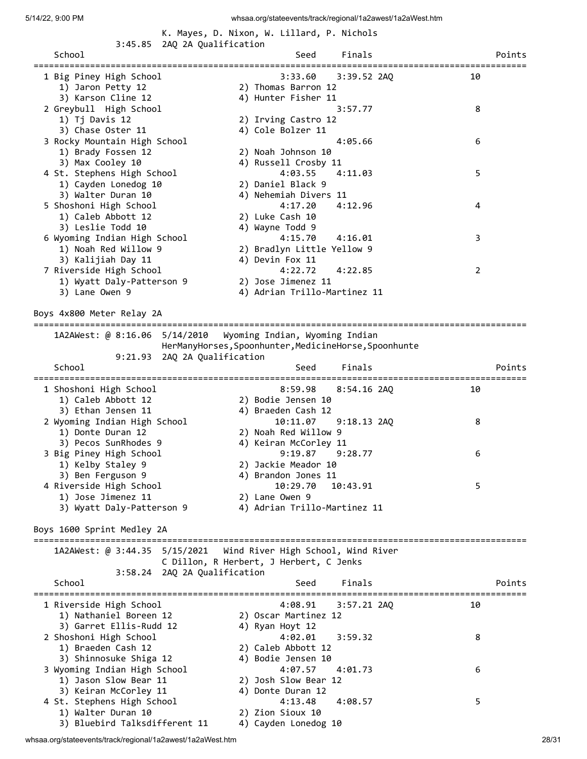| K. Mayes, D. Nixon, W. Lillard, P. Nichols |  |
|--------------------------------------------|--|
|                                            |  |

|                                                      | 3:45.85 2AQ 2A Qualification                                                            |                                 |
|------------------------------------------------------|-----------------------------------------------------------------------------------------|---------------------------------|
| School                                               | Finals<br>Seed                                                                          | Points                          |
| 1 Big Piney High School                              | 3:33.60<br>3:39.52 2AQ                                                                  | 10                              |
| 1) Jaron Petty 12                                    | 2) Thomas Barron 12                                                                     |                                 |
| 3) Karson Cline 12                                   | 4) Hunter Fisher 11                                                                     |                                 |
| 2 Greybull High School                               | 3:57.77                                                                                 | 8                               |
| 1) Tj Davis 12                                       | 2) Irving Castro 12                                                                     |                                 |
| 3) Chase Oster 11                                    | 4) Cole Bolzer 11                                                                       |                                 |
| 3 Rocky Mountain High School<br>1) Brady Fossen 12   | 4:05.66<br>2) Noah Johnson 10                                                           | 6                               |
| 3) Max Cooley 10                                     | 4) Russell Crosby 11                                                                    |                                 |
| 4 St. Stephens High School                           | 4:03.55<br>4:11.03                                                                      | 5                               |
| 1) Cayden Lonedog 10                                 | 2) Daniel Black 9                                                                       |                                 |
| 3) Walter Duran 10                                   | 4) Nehemiah Divers 11                                                                   |                                 |
| 5 Shoshoni High School                               | 4:17.20<br>4:12.96                                                                      | 4                               |
| 1) Caleb Abbott 12                                   | 2) Luke Cash 10                                                                         |                                 |
| 3) Leslie Todd 10                                    | 4) Wayne Todd 9                                                                         |                                 |
| 6 Wyoming Indian High School                         | 4:15.70<br>4:16.01                                                                      | 3                               |
| 1) Noah Red Willow 9                                 | 2) Bradlyn Little Yellow 9                                                              |                                 |
| 3) Kalijiah Day 11                                   | 4) Devin Fox 11                                                                         |                                 |
| 7 Riverside High School<br>1) Wyatt Daly-Patterson 9 | 4:22.72<br>4:22.85<br>2) Jose Jimenez 11                                                | 2                               |
| 3) Lane Owen 9                                       | 4) Adrian Trillo-Martinez 11                                                            |                                 |
|                                                      |                                                                                         |                                 |
| Boys 4x800 Meter Relay 2A                            |                                                                                         |                                 |
|                                                      |                                                                                         |                                 |
| 1A2AWest: @ 8:16.06<br>5/14/2010                     | Wyoming Indian, Wyoming Indian<br>HerManyHorses, Spoonhunter, MedicineHorse, Spoonhunte |                                 |
| 2AQ 2A Qualification<br>9:21.93                      |                                                                                         |                                 |
| School                                               | Finals<br>Seed                                                                          | Points                          |
|                                                      |                                                                                         | ============================    |
| 1 Shoshoni High School                               | 8:59.98<br>$8:54.16$ 2AQ                                                                | 10                              |
| 1) Caleb Abbott 12<br>3) Ethan Jensen 11             | 2) Bodie Jensen 10                                                                      |                                 |
| 2 Wyoming Indian High School                         | 4) Braeden Cash 12<br>10:11.07<br>$9:18.13$ 2AQ                                         | 8                               |
| 1) Donte Duran 12                                    | 2) Noah Red Willow 9                                                                    |                                 |
| 3) Pecos SunRhodes 9                                 | 4) Keiran McCorley 11                                                                   |                                 |
| 3 Big Piney High School                              | 9:19.87<br>9:28.77                                                                      | 6                               |
| 1) Kelby Staley 9                                    | 2) Jackie Meador 10                                                                     |                                 |
|                                                      |                                                                                         |                                 |
| 3) Ben Ferguson 9                                    | 4) Brandon Jones 11                                                                     |                                 |
| 4 Riverside High School                              | 10:29.70<br>10:43.91                                                                    | 5                               |
| 1) Jose Jimenez 11                                   | 2) Lane Owen 9                                                                          |                                 |
| 3) Wyatt Daly-Patterson 9                            | 4) Adrian Trillo-Martinez 11                                                            |                                 |
|                                                      |                                                                                         |                                 |
| Boys 1600 Sprint Medley 2A<br>============           |                                                                                         |                                 |
|                                                      |                                                                                         |                                 |
|                                                      | C Dillon, R Herbert, J Herbert, C Jenks                                                 |                                 |
| 3:58.24 2AQ 2A Qualification                         |                                                                                         |                                 |
| School                                               | Finals<br>Seed                                                                          | Points                          |
|                                                      |                                                                                         | =====================<br>------ |
| 1 Riverside High School                              | 4:08.91<br>3:57.21 2AQ                                                                  | 10                              |
| 1) Nathaniel Boreen 12                               | 2) Oscar Martinez 12                                                                    |                                 |
| 3) Garret Ellis-Rudd 12                              | 4) Ryan Hoyt 12<br>4:02.01<br>3:59.32                                                   | 8                               |
| 2 Shoshoni High School<br>1) Braeden Cash 12         | 2) Caleb Abbott 12                                                                      |                                 |
| 3) Shinnosuke Shiga 12                               | 4) Bodie Jensen 10                                                                      |                                 |
| 3 Wyoming Indian High School                         | 4:07.57<br>4:01.73                                                                      | 6                               |
| 1) Jason Slow Bear 11                                | 2) Josh Slow Bear 12                                                                    |                                 |
| 3) Keiran McCorley 11                                | 4) Donte Duran 12                                                                       |                                 |
| 4 St. Stephens High School                           | 4:13.48<br>4:08.57                                                                      | 5                               |
| 1) Walter Duran 10<br>3) Bluebird Talksdifferent 11  | 2) Zion Sioux 10<br>4) Cayden Lonedog 10                                                |                                 |

whsaa.org/stateevents/track/regional/1a2awest/1a2aWest.htm 28/31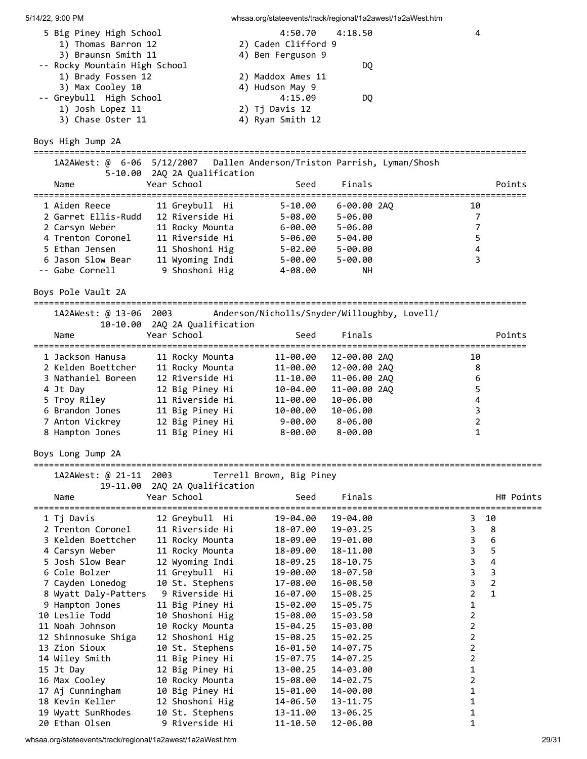| 4:50.70 4:18.50     | 4 |
|---------------------|---|
| 2) Caden Clifford 9 |   |
| 4) Ben Ferguson 9   |   |
| DO.                 |   |
| 2) Maddox Ames 11   |   |
| 4) Hudson May 9     |   |
| 4:15.09<br>DO.      |   |
| 2) Tj Davis 12      |   |
| 4) Ryan Smith 12    |   |
|                     |   |

Boys High Jump 2A

| BOYS HIGN JUMP ZA                   |                                   |                            |                                                                         |                              |
|-------------------------------------|-----------------------------------|----------------------------|-------------------------------------------------------------------------|------------------------------|
|                                     |                                   |                            | 1A2AWest: @ 6-06 5/12/2007 Dallen Anderson/Triston Parrish, Lyman/Shosh |                              |
|                                     | 5-10.00 2AQ 2A Qualification      |                            |                                                                         |                              |
| Name                                | Year School                       | Seed                       | Finals                                                                  | Points                       |
|                                     | 11 Greybull Hi                    |                            |                                                                         |                              |
| 1 Aiden Reece                       | 12 Riverside Hi                   | $5 - 10.00$                | 6-00.00 2AQ                                                             | 10<br>7                      |
| 2 Garret Ellis-Rudd                 | 11 Rocky Mounta                   | $5 - 08.00$                | $5 - 06.00$                                                             | $\overline{7}$               |
| 2 Carsyn Weber<br>4 Trenton Coronel | 11 Riverside Hi                   | $6 - 00.00$                | $5 - 06.00$<br>$5 - 04.00$                                              | 5                            |
| 5 Ethan Jensen                      | 11 Shoshoni Hig                   | $5 - 06.00$<br>$5 - 02.00$ | $5 - 00.00$                                                             | 4                            |
| 6 Jason Slow Bear                   |                                   |                            |                                                                         | 3                            |
| -- Gabe Cornell                     | 11 Wyoming Indi<br>9 Shoshoni Hig | 5-00.00                    | $5 - 00.00$<br>NH.                                                      |                              |
|                                     |                                   | 4-08.00                    |                                                                         |                              |
| Boys Pole Vault 2A                  |                                   |                            |                                                                         |                              |
|                                     |                                   |                            | 1A2AWest: @ 13-06 2003 Anderson/Nicholls/Snyder/Willoughby, Lovell/     |                              |
|                                     | 10-10.00 2AQ 2A Qualification     |                            |                                                                         |                              |
| Name                                | Year School                       | Seed                       | Finals                                                                  | Points                       |
| 1 Jackson Hanusa                    | 11 Rocky Mounta                   | 11-00.00                   | 12-00.00 2AQ                                                            | 10                           |
| 2 Kelden Boettcher                  | 11 Rocky Mounta                   | 11-00.00                   | 12-00.00 2AQ                                                            | 8                            |
| 3 Nathaniel Boreen                  | 12 Riverside Hi                   | $11 - 10.00$               | 11-06.00 2AQ                                                            | 6                            |
| 4 Jt Day                            | 12 Big Piney Hi                   | 10-04.00                   | 11-00.00 2AQ                                                            | 5                            |
| 5 Troy Riley                        | 11 Riverside Hi                   | 11-00.00                   | 10-06.00                                                                | 4                            |
| 6 Brandon Jones                     | 11 Big Piney Hi                   | 10-00.00                   | 10-06.00                                                                | 3                            |
| 7 Anton Vickrey                     | 12 Big Piney Hi                   | 9-00.00                    | 8-06.00                                                                 | $\overline{2}$               |
| 8 Hampton Jones                     | 11 Big Piney Hi                   | 8-00.00                    | $8 - 00.00$                                                             | $\mathbf 1$                  |
| Boys Long Jump 2A                   |                                   |                            |                                                                         |                              |
| ============================        |                                   | ======================     |                                                                         |                              |
| 1A2AWest: @ 21-11 2003              |                                   | Terrell Brown, Big Piney   |                                                                         |                              |
|                                     | 19-11.00 2AQ 2A Qualification     |                            |                                                                         |                              |
| Name                                | Year School                       | Seed                       | Finals                                                                  | H# Points                    |
| 1 Tj Davis                          | 12 Greybull Hi                    | 19-04.00                   | 19-04.00                                                                | 10<br>3                      |
| 2 Trenton Coronel                   | 11 Riverside Hi                   | 18-07.00                   | $19 - 03.25$                                                            | 3<br>8                       |
| 3 Kelden Boettcher                  | 11 Rocky Mounta                   | 18-09.00                   | 19-01.00                                                                | 3<br>6                       |
| 4 Carsyn Weber                      | 11 Rocky Mounta                   | 18-09.00                   | 18-11.00                                                                | 3<br>5                       |
| 5 Josh Slow Bear                    | 12 Wyoming Indi                   | 18-09.25                   | 18-10.75                                                                | $\overline{\mathbf{3}}$<br>4 |
| 6 Cole Bolzer                       | 11 Greybull Hi                    | 19-00.00                   | 18-07.50                                                                | 3<br>3                       |
| 7 Cayden Lonedog                    | 10 St. Stephens                   | 17-08.00                   | 16-08.50                                                                | 2<br>3                       |
| 8 Wyatt Daly-Patters                | 9 Riverside Hi                    | 16-07.00                   | 15-08.25                                                                | 2<br>1                       |
| 9 Hampton Jones                     | 11 Big Piney Hi                   | 15-02.00                   | 15-05.75                                                                | 1                            |
| 10 Leslie Todd                      | 10 Shoshoni Hig                   | 15-08.00                   | 15-03.50                                                                | 2                            |
| 11 Noah Johnson                     | 10 Rocky Mounta                   | 15-04.25                   | 15-03.00                                                                | 2                            |
| 12 Shinnosuke Shiga                 | 12 Shoshoni Hig                   | 15-08.25                   | 15-02.25                                                                | 2                            |
| 13 Zion Sioux                       | 10 St. Stephens                   | 16-01.50                   | 14-07.75                                                                | 2                            |
| 14 Wiley Smith                      | 11 Big Piney Hi                   | 15-07.75                   | 14-07.25                                                                | $\overline{2}$               |
| 15 Jt Day                           | 12 Big Piney Hi                   | 13-00.25                   | 14-03.00                                                                | 1                            |
| 16 Max Cooley                       | 10 Rocky Mounta                   | 15-08.00                   | 14-02.75                                                                | 2                            |
| 17 Aj Cunningham                    | 10 Big Piney Hi                   | 15-01.00                   | 14-00.00                                                                | 1                            |
| 18 Kevin Keller                     | 12 Shoshoni Hig                   | 14-06.50                   | 13-11.75                                                                | 1                            |
| 19 Wyatt SunRhodes                  | 10 St. Stephens                   | 13-11.00                   | 13-06.25                                                                | 1                            |
| 20 Ethan Olsen                      | 9 Riverside Hi                    | 11-10.50                   | 12-06.00                                                                | 1                            |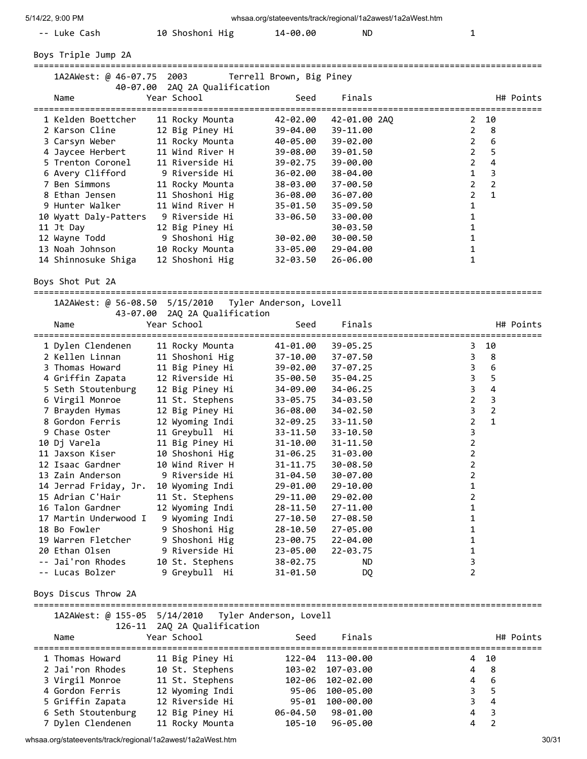| 5/14/22, 9:00 PM |  |
|------------------|--|
|                  |  |

| 5/14/22. 9:00 PM | whsaa.org/stateevents/track/regional/1a2awest/1a2aWest.htm |
|------------------|------------------------------------------------------------|
|                  |                                                            |

| -- Luke Cash        | 10 Shoshoni Hig | 14-00.00 | <b>ND</b> |  |
|---------------------|-----------------|----------|-----------|--|
| Boys Triple Jump 2A |                 |          |           |  |
|                     |                 |          |           |  |

| 1A2AWest: @ 46-07.75 2003 Terrell Brown, Big Piney |                               |          |      |              |                |                |
|----------------------------------------------------|-------------------------------|----------|------|--------------|----------------|----------------|
|                                                    | 40-07.00 2AQ 2A Qualification |          |      |              |                |                |
| Name                                               | Year School                   |          | Seed | Finals       |                | H# Points      |
|                                                    |                               |          |      |              |                |                |
| 1 Kelden Boettcher                                 | 11 Rocky Mounta               | 42-02.00 |      | 42-01.00 2AO | $2^{\circ}$    | 10             |
| 2 Karson Cline                                     | 12 Big Piney Hi               | 39-04.00 |      | 39-11.00     | $\overline{2}$ | 8              |
| 3 Carsyn Weber                                     | 11 Rocky Mounta               | 40-05.00 |      | 39-02.00     | $\overline{2}$ | 6              |
| 4 Jaycee Herbert                                   | 11 Wind River H               | 39-08.00 |      | 39-01.50     | $2^{\circ}$    | 5              |
| 5 Trenton Coronel                                  | 11 Riverside Hi               | 39-02.75 |      | 39-00.00     | $\mathbf{2}$   | 4              |
| 6 Avery Clifford                                   | 9 Riverside Hi                | 36-02.00 |      | 38-04.00     | 1              | 3              |
| 7 Ben Simmons                                      | 11 Rocky Mounta               | 38-03.00 |      | $37 - 00.50$ | $\overline{2}$ | $\overline{2}$ |
| 8 Ethan Jensen                                     | 11 Shoshoni Hig               | 36-08.00 |      | 36-07.00     | 2              | $\mathbf{1}$   |
| 9 Hunter Walker                                    | 11 Wind River H               | 35-01.50 |      | $35 - 09.50$ |                |                |
| 10 Wyatt Daly-Patters                              | 9 Riverside Hi                | 33-06.50 |      | 33-00.00     |                |                |
| 11 Jt Day                                          | 12 Big Piney Hi               |          |      | 30-03.50     |                |                |
| 12 Wayne Todd                                      | 9 Shoshoni Hig                | 30-02.00 |      | 30-00.50     |                |                |
| 13 Noah Johnson                                    | 10 Rocky Mounta               | 33-05.00 |      | 29-04.00     |                |                |
| 14 Shinnosuke Shiga                                | 12 Shoshoni Hig               | 32-03.50 |      | 26-06.00     |                |                |

Boys Shot Put 2A

| 1A2AWest: @ 56-08.50  5/15/2010  Tyler Anderson, Lovell<br>Name | 43-07.00 2AQ 2A Qualification<br>Year School | Seed                   | Finals       |                         |                   | H# Points |
|-----------------------------------------------------------------|----------------------------------------------|------------------------|--------------|-------------------------|-------------------|-----------|
| 1 Dylen Clendenen                                               | ==============<br>11 Rocky Mounta            | 41-01.00               | $39 - 05.25$ | 3                       | ===========<br>10 |           |
| 2 Kellen Linnan                                                 | 11 Shoshoni Hig                              | 37-10.00               | 37-07.50     | 3                       | 8                 |           |
| 3 Thomas Howard                                                 | 11 Big Piney Hi                              | 39-02.00               | 37-07.25     | 3                       | $\boldsymbol{6}$  |           |
| 4 Griffin Zapata                                                | 12 Riverside Hi                              | 35-00.50               | $35 - 04.25$ | $\overline{\mathbf{3}}$ | 5                 |           |
| 5 Seth Stoutenburg                                              | 12 Big Piney Hi                              | 34-09.00               | $34 - 06.25$ | 3                       | 4                 |           |
| 6 Virgil Monroe                                                 | 11 St. Stephens                              | 33-05.75               | 34-03.50     | $\overline{2}$          | $\mathsf 3$       |           |
| 7 Brayden Hymas                                                 | 12 Big Piney Hi                              | 36-08.00               | 34-02.50     | 3                       | $\overline{2}$    |           |
| 8 Gordon Ferris                                                 | 12 Wyoming Indi                              | 32-09.25               | 33-11.50     | $\overline{2}$          | $\mathbf{1}$      |           |
| 9 Chase Oster                                                   | 11 Greybull Hi                               | 33-11.50               | $33 - 10.50$ | 3                       |                   |           |
| 10 Di Varela                                                    | 11 Big Piney Hi                              | 31-10.00               | 31-11.50     | 2                       |                   |           |
| 11 Jaxson Kiser                                                 | 10 Shoshoni Hig                              | 31-06.25               | 31-03.00     | $\overline{2}$          |                   |           |
| 12 Isaac Gardner                                                | 10 Wind River H                              | 31-11.75               | 30-08.50     | 2                       |                   |           |
| 13 Zain Anderson                                                | 9 Riverside Hi                               | 31-04.50               | 30-07.00     | 2                       |                   |           |
| 14 Jerrad Friday, Jr.                                           | 10 Wyoming Indi                              | 29-01.00               | 29-10.00     | 1                       |                   |           |
| 15 Adrian C'Hair                                                | 11 St. Stephens                              | 29-11.00               | 29-02.00     | 2                       |                   |           |
| 16 Talon Gardner                                                | 12 Wyoming Indi                              | 28-11.50               | 27-11.00     | 1                       |                   |           |
| 17 Martin Underwood I                                           | 9 Wyoming Indi                               | 27-10.50               | 27-08.50     | 1                       |                   |           |
| 18 Bo Fowler                                                    | 9 Shoshoni Hig                               | 28-10.50               | 27-05.00     | 1                       |                   |           |
| 19 Warren Fletcher                                              | 9 Shoshoni Hig                               | 23-00.75               | 22-04.00     | 1                       |                   |           |
| 20 Ethan Olsen                                                  | 9 Riverside Hi                               | 23-05.00               | 22-03.75     | 1                       |                   |           |
| -- Jai'ron Rhodes                                               | 10 St. Stephens                              | 38-02.75               | <b>ND</b>    | 3                       |                   |           |
| -- Lucas Bolzer                                                 | 9 Greybull Hi                                | $31 - 01.50$           | DO.          | $\overline{2}$          |                   |           |
| Boys Discus Throw 2A                                            |                                              |                        |              |                         |                   |           |
| 1A2AWest: @ 155-05 5/14/2010                                    | 126-11 2AQ 2A Qualification                  | Tyler Anderson, Lovell |              |                         |                   |           |
| Name                                                            | Year School                                  | Seed                   | Finals       |                         |                   | H# Points |

| Name               | Year School     | Seed     | Finals           |    |                          | H# Points |
|--------------------|-----------------|----------|------------------|----|--------------------------|-----------|
| 1 Thomas Howard    | 11 Big Piney Hi | 122-04   | 113-00.00        | 4  | - 10                     |           |
| 2 Jai'ron Rhodes   | 10 St. Stephens |          | 103-02 107-03.00 | 4  | - 8                      |           |
| 3 Virgil Monroe    | 11 St. Stephens |          | 102-06 102-02.00 | 4  | - 6                      |           |
| 4 Gordon Ferris    | 12 Wyoming Indi | 95-06    | 100-05.00        | 3  | -5                       |           |
| 5 Griffin Zapata   | 12 Riverside Hi | 95-01    | 100-00.00        | 3. | 4                        |           |
| 6 Seth Stoutenburg | 12 Big Piney Hi | 06-04.50 | 98-01.00         | 4  | $\overline{\phantom{a}}$ |           |
| 7 Dylen Clendenen  | 11 Rocky Mounta | 105-10   | 96-05.00         | 4  | $\overline{2}$           |           |
|                    |                 |          |                  |    |                          |           |

whsaa.org/stateevents/track/regional/1a2awest/1a2aWest.htm 30/31